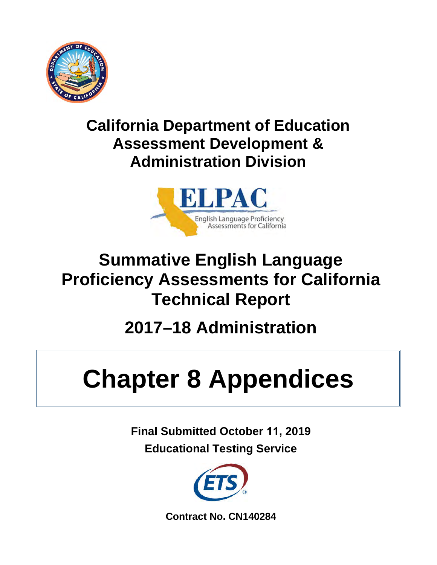

## **California Department of Education Assessment Development & Administration Division**



# **Summative English Language Proficiency Assessments for California Technical Report**

# **2017–18 Administration**

# **Chapter 8 Appendices**

**Final Submitted October 11, 2019 Educational Testing Service**



**Contract No. CN140284**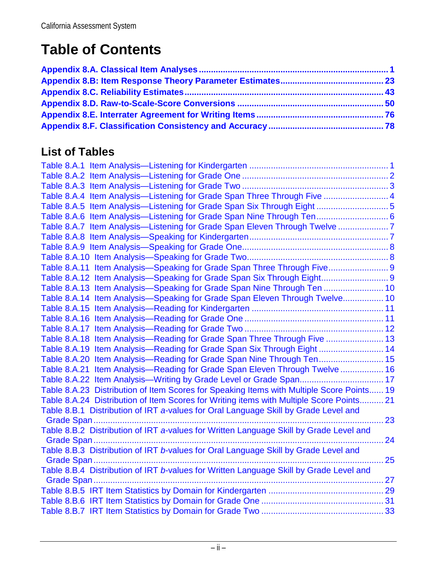## **Table of Contents**

## **List of Tables**

| Table 8.A.4 Item Analysis—Listening for Grade Span Three Through Five  4                  |  |
|-------------------------------------------------------------------------------------------|--|
| Table 8.A.5 Item Analysis—Listening for Grade Span Six Through Eight 5                    |  |
| Table 8.A.6 Item Analysis—Listening for Grade Span Nine Through Ten 6                     |  |
| Table 8.A.7 Item Analysis—Listening for Grade Span Eleven Through Twelve 7                |  |
|                                                                                           |  |
|                                                                                           |  |
|                                                                                           |  |
| Table 8.A.11 Item Analysis-Speaking for Grade Span Three Through Five 9                   |  |
| Table 8.A.12 Item Analysis-Speaking for Grade Span Six Through Eight 9                    |  |
| Table 8.A.13 Item Analysis-Speaking for Grade Span Nine Through Ten  10                   |  |
| Table 8.A.14 Item Analysis-Speaking for Grade Span Eleven Through Twelve 10               |  |
|                                                                                           |  |
|                                                                                           |  |
|                                                                                           |  |
| Table 8.A.18 Item Analysis-Reading for Grade Span Three Through Five  13                  |  |
| Table 8.A.19 Item Analysis-Reading for Grade Span Six Through Eight  14                   |  |
| Table 8.A.20 Item Analysis-Reading for Grade Span Nine Through Ten 15                     |  |
| Table 8.A.21 Item Analysis-Reading for Grade Span Eleven Through Twelve  16               |  |
|                                                                                           |  |
| Table 8.A.23 Distribution of Item Scores for Speaking Items with Multiple Score Points 19 |  |
| Table 8.A.24 Distribution of Item Scores for Writing items with Multiple Score Points 21  |  |
| Table 8.B.1 Distribution of IRT a-values for Oral Language Skill by Grade Level and       |  |
| 23                                                                                        |  |
| Table 8.B.2 Distribution of IRT a-values for Written Language Skill by Grade Level and    |  |
|                                                                                           |  |
| Table 8.B.3 Distribution of IRT b-values for Oral Language Skill by Grade Level and       |  |
| 25                                                                                        |  |
| Table 8.B.4 Distribution of IRT b-values for Written Language Skill by Grade Level and    |  |
| Grade Span                                                                                |  |
|                                                                                           |  |
|                                                                                           |  |
|                                                                                           |  |
|                                                                                           |  |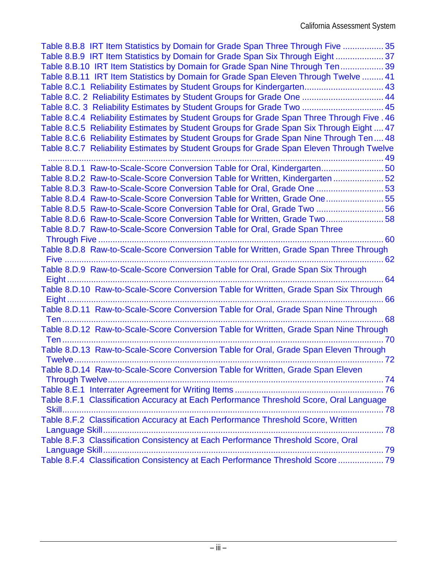| Table 8.B.8 IRT Item Statistics by Domain for Grade Span Three Through Five  35           |    |
|-------------------------------------------------------------------------------------------|----|
| Table 8.B.9 IRT Item Statistics by Domain for Grade Span Six Through Eight  37            |    |
| Table 8.B.10 IRT Item Statistics by Domain for Grade Span Nine Through Ten 39             |    |
| Table 8.B.11 IRT Item Statistics by Domain for Grade Span Eleven Through Twelve  41       |    |
| Table 8.C.1 Reliability Estimates by Student Groups for Kindergarten 43                   |    |
| Table 8.C. 2 Reliability Estimates by Student Groups for Grade One  44                    |    |
| Table 8.C. 3 Reliability Estimates by Student Groups for Grade Two  45                    |    |
| Table 8.C.4 Reliability Estimates by Student Groups for Grade Span Three Through Five. 46 |    |
| Table 8.C.5 Reliability Estimates by Student Groups for Grade Span Six Through Eight  47  |    |
| Table 8.C.6 Reliability Estimates by Student Groups for Grade Span Nine Through Ten 48    |    |
| Table 8.C.7 Reliability Estimates by Student Groups for Grade Span Eleven Through Twelve  |    |
|                                                                                           |    |
| Table 8.D.1 Raw-to-Scale-Score Conversion Table for Oral, Kindergarten 50                 |    |
| Table 8.D.2 Raw-to-Scale-Score Conversion Table for Written, Kindergarten 52              |    |
| Table 8.D.3 Raw-to-Scale-Score Conversion Table for Oral, Grade One 53                    |    |
| Table 8.D.4 Raw-to-Scale-Score Conversion Table for Written, Grade One55                  |    |
| Table 8.D.5 Raw-to-Scale-Score Conversion Table for Oral, Grade Two  56                   |    |
| Table 8.D.6 Raw-to-Scale-Score Conversion Table for Written, Grade Two58                  |    |
| Table 8.D.7 Raw-to-Scale-Score Conversion Table for Oral, Grade Span Three                |    |
|                                                                                           |    |
| Table 8.D.8 Raw-to-Scale-Score Conversion Table for Written, Grade Span Three Through     |    |
|                                                                                           |    |
| Table 8.D.9 Raw-to-Scale-Score Conversion Table for Oral, Grade Span Six Through          |    |
|                                                                                           |    |
|                                                                                           |    |
|                                                                                           |    |
| Table 8.D.11 Raw-to-Scale-Score Conversion Table for Oral, Grade Span Nine Through        |    |
| <b>Ten</b>                                                                                |    |
| Table 8.D.12 Raw-to-Scale-Score Conversion Table for Written, Grade Span Nine Through     |    |
| Ten                                                                                       |    |
|                                                                                           |    |
| <b>Twelve</b>                                                                             | 72 |
| Table 8.D.14 Raw-to-Scale-Score Conversion Table for Written, Grade Span Eleven           |    |
|                                                                                           |    |
|                                                                                           |    |
| Table 8.F.1 Classification Accuracy at Each Performance Threshold Score, Oral Language    |    |
|                                                                                           |    |
| Table 8.F.2 Classification Accuracy at Each Performance Threshold Score, Written          |    |
|                                                                                           |    |
| Table 8.F.3 Classification Consistency at Each Performance Threshold Score, Oral          |    |
|                                                                                           |    |
| Table 8.F.4 Classification Consistency at Each Performance Threshold Score  79            |    |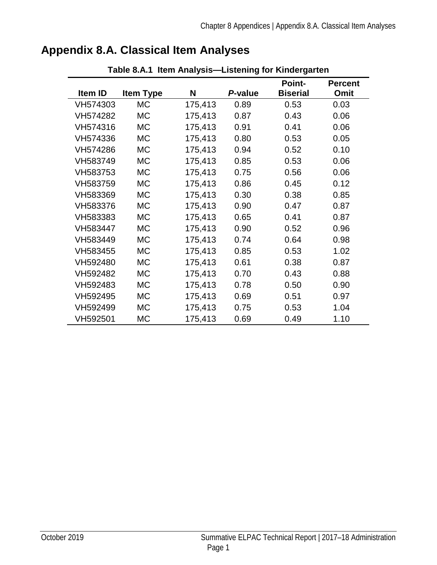| Table 8.A.1 Item Analysis-Listening for Kindergarten |                  |         |         |                 |                |
|------------------------------------------------------|------------------|---------|---------|-----------------|----------------|
|                                                      |                  |         |         | <b>Point-</b>   | <b>Percent</b> |
| Item ID                                              | <b>Item Type</b> | N       | P-value | <b>Biserial</b> | Omit           |
| VH574303                                             | <b>MC</b>        | 175,413 | 0.89    | 0.53            | 0.03           |
| VH574282                                             | <b>MC</b>        | 175,413 | 0.87    | 0.43            | 0.06           |
| VH574316                                             | <b>MC</b>        | 175,413 | 0.91    | 0.41            | 0.06           |
| VH574336                                             | МC               | 175,413 | 0.80    | 0.53            | 0.05           |
| VH574286                                             | <b>MC</b>        | 175,413 | 0.94    | 0.52            | 0.10           |
| VH583749                                             | <b>MC</b>        | 175,413 | 0.85    | 0.53            | 0.06           |
| VH583753                                             | <b>MC</b>        | 175,413 | 0.75    | 0.56            | 0.06           |
| VH583759                                             | <b>MC</b>        | 175,413 | 0.86    | 0.45            | 0.12           |
| VH583369                                             | <b>MC</b>        | 175,413 | 0.30    | 0.38            | 0.85           |
| VH583376                                             | <b>MC</b>        | 175,413 | 0.90    | 0.47            | 0.87           |
| VH583383                                             | <b>MC</b>        | 175,413 | 0.65    | 0.41            | 0.87           |
| VH583447                                             | <b>MC</b>        | 175,413 | 0.90    | 0.52            | 0.96           |
| VH583449                                             | <b>MC</b>        | 175,413 | 0.74    | 0.64            | 0.98           |
| VH583455                                             | <b>MC</b>        | 175,413 | 0.85    | 0.53            | 1.02           |
| VH592480                                             | <b>MC</b>        | 175,413 | 0.61    | 0.38            | 0.87           |
| VH592482                                             | <b>MC</b>        | 175,413 | 0.70    | 0.43            | 0.88           |
| VH592483                                             | МC               | 175,413 | 0.78    | 0.50            | 0.90           |
| VH592495                                             | <b>MC</b>        | 175,413 | 0.69    | 0.51            | 0.97           |
| VH592499                                             | МC               | 175,413 | 0.75    | 0.53            | 1.04           |
| VH592501                                             | МC               | 175,413 | 0.69    | 0.49            | 1.10           |

## <span id="page-4-1"></span><span id="page-4-0"></span>**Appendix 8.A. Classical Item Analyses**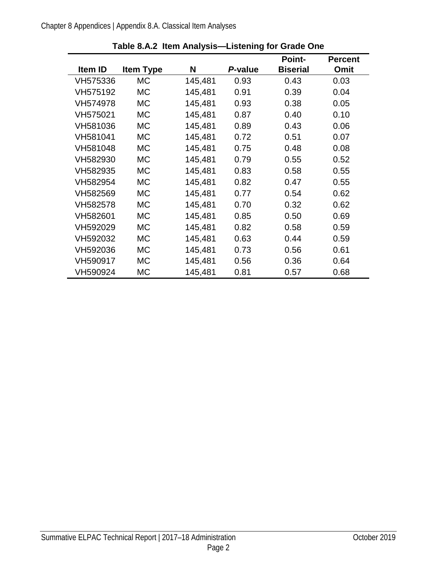<span id="page-5-0"></span>

|          |                  |         |         | <b>Point-</b>   | <b>Percent</b> |
|----------|------------------|---------|---------|-----------------|----------------|
| Item ID  | <b>Item Type</b> | N       | P-value | <b>Biserial</b> | <b>Omit</b>    |
| VH575336 | МC               | 145,481 | 0.93    | 0.43            | 0.03           |
| VH575192 | МC               | 145,481 | 0.91    | 0.39            | 0.04           |
| VH574978 | <b>MC</b>        | 145,481 | 0.93    | 0.38            | 0.05           |
| VH575021 | <b>MC</b>        | 145,481 | 0.87    | 0.40            | 0.10           |
| VH581036 | <b>MC</b>        | 145,481 | 0.89    | 0.43            | 0.06           |
| VH581041 | МC               | 145,481 | 0.72    | 0.51            | 0.07           |
| VH581048 | МC               | 145,481 | 0.75    | 0.48            | 0.08           |
| VH582930 | МC               | 145,481 | 0.79    | 0.55            | 0.52           |
| VH582935 | <b>MC</b>        | 145,481 | 0.83    | 0.58            | 0.55           |
| VH582954 | МC               | 145,481 | 0.82    | 0.47            | 0.55           |
| VH582569 | МC               | 145,481 | 0.77    | 0.54            | 0.62           |
| VH582578 | <b>MC</b>        | 145,481 | 0.70    | 0.32            | 0.62           |
| VH582601 | <b>MC</b>        | 145,481 | 0.85    | 0.50            | 0.69           |
| VH592029 | <b>MC</b>        | 145,481 | 0.82    | 0.58            | 0.59           |
| VH592032 | МC               | 145,481 | 0.63    | 0.44            | 0.59           |
| VH592036 | МC               | 145,481 | 0.73    | 0.56            | 0.61           |
| VH590917 | МC               | 145,481 | 0.56    | 0.36            | 0.64           |
| VH590924 | МC               | 145,481 | 0.81    | 0.57            | 0.68           |

**Table 8.A.2 Item Analysis—Listening for Grade One**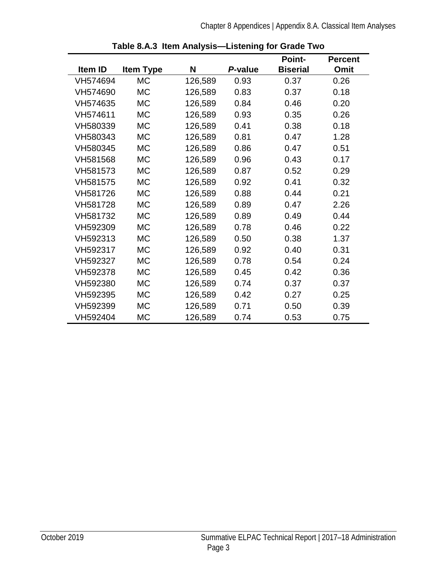<span id="page-6-0"></span>

|          |                  |         |         | <b>Point-</b>   | <b>Percent</b> |
|----------|------------------|---------|---------|-----------------|----------------|
| Item ID  | <b>Item Type</b> | N       | P-value | <b>Biserial</b> | Omit           |
| VH574694 | <b>MC</b>        | 126,589 | 0.93    | 0.37            | 0.26           |
| VH574690 | МC               | 126,589 | 0.83    | 0.37            | 0.18           |
| VH574635 | <b>MC</b>        | 126,589 | 0.84    | 0.46            | 0.20           |
| VH574611 | <b>MC</b>        | 126,589 | 0.93    | 0.35            | 0.26           |
| VH580339 | <b>MC</b>        | 126,589 | 0.41    | 0.38            | 0.18           |
| VH580343 | <b>MC</b>        | 126,589 | 0.81    | 0.47            | 1.28           |
| VH580345 | МC               | 126,589 | 0.86    | 0.47            | 0.51           |
| VH581568 | МC               | 126,589 | 0.96    | 0.43            | 0.17           |
| VH581573 | <b>MC</b>        | 126,589 | 0.87    | 0.52            | 0.29           |
| VH581575 | <b>MC</b>        | 126,589 | 0.92    | 0.41            | 0.32           |
| VH581726 | <b>MC</b>        | 126,589 | 0.88    | 0.44            | 0.21           |
| VH581728 | <b>MC</b>        | 126,589 | 0.89    | 0.47            | 2.26           |
| VH581732 | <b>MC</b>        | 126,589 | 0.89    | 0.49            | 0.44           |
| VH592309 | <b>MC</b>        | 126,589 | 0.78    | 0.46            | 0.22           |
| VH592313 | <b>MC</b>        | 126,589 | 0.50    | 0.38            | 1.37           |
| VH592317 | МC               | 126,589 | 0.92    | 0.40            | 0.31           |
| VH592327 | МC               | 126,589 | 0.78    | 0.54            | 0.24           |
| VH592378 | <b>MC</b>        | 126,589 | 0.45    | 0.42            | 0.36           |
| VH592380 | <b>MC</b>        | 126,589 | 0.74    | 0.37            | 0.37           |
| VH592395 | МC               | 126,589 | 0.42    | 0.27            | 0.25           |
| VH592399 | МC               | 126,589 | 0.71    | 0.50            | 0.39           |
| VH592404 | МC               | 126,589 | 0.74    | 0.53            | 0.75           |

**Table 8.A.3 Item Analysis—Listening for Grade Two**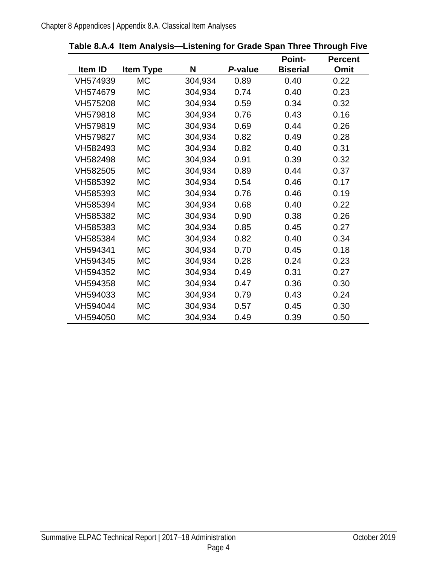|          |                  |         |         | <b>Point-</b>   | <b>Percent</b> |
|----------|------------------|---------|---------|-----------------|----------------|
| Item ID  | <b>Item Type</b> | N       | P-value | <b>Biserial</b> | Omit           |
| VH574939 | <b>MC</b>        | 304,934 | 0.89    | 0.40            | 0.22           |
| VH574679 | <b>MC</b>        | 304,934 | 0.74    | 0.40            | 0.23           |
| VH575208 | <b>MC</b>        | 304,934 | 0.59    | 0.34            | 0.32           |
| VH579818 | <b>MC</b>        | 304,934 | 0.76    | 0.43            | 0.16           |
| VH579819 | <b>MC</b>        | 304,934 | 0.69    | 0.44            | 0.26           |
| VH579827 | <b>MC</b>        | 304,934 | 0.82    | 0.49            | 0.28           |
| VH582493 | <b>MC</b>        | 304,934 | 0.82    | 0.40            | 0.31           |
| VH582498 | <b>MC</b>        | 304,934 | 0.91    | 0.39            | 0.32           |
| VH582505 | <b>MC</b>        | 304,934 | 0.89    | 0.44            | 0.37           |
| VH585392 | <b>MC</b>        | 304,934 | 0.54    | 0.46            | 0.17           |
| VH585393 | <b>MC</b>        | 304,934 | 0.76    | 0.46            | 0.19           |
| VH585394 | <b>MC</b>        | 304,934 | 0.68    | 0.40            | 0.22           |
| VH585382 | <b>MC</b>        | 304,934 | 0.90    | 0.38            | 0.26           |
| VH585383 | <b>MC</b>        | 304,934 | 0.85    | 0.45            | 0.27           |
| VH585384 | <b>MC</b>        | 304,934 | 0.82    | 0.40            | 0.34           |
| VH594341 | <b>MC</b>        | 304,934 | 0.70    | 0.45            | 0.18           |
| VH594345 | <b>MC</b>        | 304,934 | 0.28    | 0.24            | 0.23           |
| VH594352 | <b>MC</b>        | 304,934 | 0.49    | 0.31            | 0.27           |
| VH594358 | <b>MC</b>        | 304,934 | 0.47    | 0.36            | 0.30           |
| VH594033 | <b>MC</b>        | 304,934 | 0.79    | 0.43            | 0.24           |
| VH594044 | <b>MC</b>        | 304,934 | 0.57    | 0.45            | 0.30           |
| VH594050 | <b>MC</b>        | 304,934 | 0.49    | 0.39            | 0.50           |

<span id="page-7-0"></span>**Table 8.A.4 Item Analysis—Listening for Grade Span Three Through Five**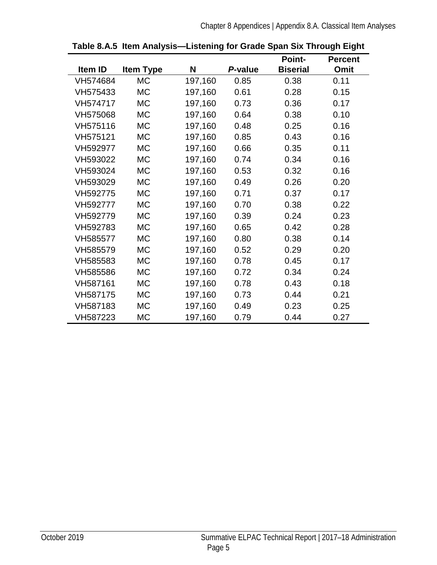<span id="page-8-0"></span>

|          |                  |         |         | <b>Point-</b>   | <b>Percent</b> |
|----------|------------------|---------|---------|-----------------|----------------|
| Item ID  | <b>Item Type</b> | N       | P-value | <b>Biserial</b> | Omit           |
| VH574684 | <b>MC</b>        | 197,160 | 0.85    | 0.38            | 0.11           |
| VH575433 | <b>MC</b>        | 197,160 | 0.61    | 0.28            | 0.15           |
| VH574717 | <b>MC</b>        | 197,160 | 0.73    | 0.36            | 0.17           |
| VH575068 | <b>MC</b>        | 197,160 | 0.64    | 0.38            | 0.10           |
| VH575116 | <b>MC</b>        | 197,160 | 0.48    | 0.25            | 0.16           |
| VH575121 | <b>MC</b>        | 197,160 | 0.85    | 0.43            | 0.16           |
| VH592977 | <b>MC</b>        | 197,160 | 0.66    | 0.35            | 0.11           |
| VH593022 | <b>MC</b>        | 197,160 | 0.74    | 0.34            | 0.16           |
| VH593024 | <b>MC</b>        | 197,160 | 0.53    | 0.32            | 0.16           |
| VH593029 | <b>MC</b>        | 197,160 | 0.49    | 0.26            | 0.20           |
| VH592775 | <b>MC</b>        | 197,160 | 0.71    | 0.37            | 0.17           |
| VH592777 | <b>MC</b>        | 197,160 | 0.70    | 0.38            | 0.22           |
| VH592779 | <b>MC</b>        | 197,160 | 0.39    | 0.24            | 0.23           |
| VH592783 | <b>MC</b>        | 197,160 | 0.65    | 0.42            | 0.28           |
| VH585577 | <b>MC</b>        | 197,160 | 0.80    | 0.38            | 0.14           |
| VH585579 | <b>MC</b>        | 197,160 | 0.52    | 0.29            | 0.20           |
| VH585583 | <b>MC</b>        | 197,160 | 0.78    | 0.45            | 0.17           |
| VH585586 | <b>MC</b>        | 197,160 | 0.72    | 0.34            | 0.24           |
| VH587161 | <b>MC</b>        | 197,160 | 0.78    | 0.43            | 0.18           |
| VH587175 | <b>MC</b>        | 197,160 | 0.73    | 0.44            | 0.21           |
| VH587183 | <b>MC</b>        | 197,160 | 0.49    | 0.23            | 0.25           |
| VH587223 | МC               | 197,160 | 0.79    | 0.44            | 0.27           |

**Table 8.A.5 Item Analysis—Listening for Grade Span Six Through Eight**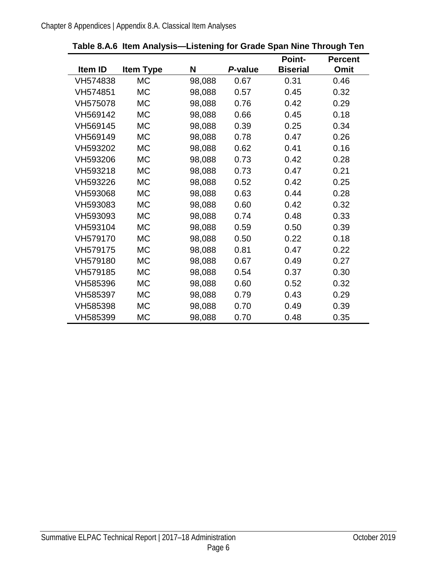<span id="page-9-0"></span>

|          |                  |        |         | <b>Point-</b>   | <b>Percent</b> |
|----------|------------------|--------|---------|-----------------|----------------|
| Item ID  | <b>Item Type</b> | N      | P-value | <b>Biserial</b> | Omit           |
| VH574838 | <b>MC</b>        | 98,088 | 0.67    | 0.31            | 0.46           |
| VH574851 | <b>MC</b>        | 98,088 | 0.57    | 0.45            | 0.32           |
| VH575078 | <b>MC</b>        | 98,088 | 0.76    | 0.42            | 0.29           |
| VH569142 | МC               | 98,088 | 0.66    | 0.45            | 0.18           |
| VH569145 | МC               | 98,088 | 0.39    | 0.25            | 0.34           |
| VH569149 | МC               | 98,088 | 0.78    | 0.47            | 0.26           |
| VH593202 | <b>MC</b>        | 98,088 | 0.62    | 0.41            | 0.16           |
| VH593206 | МC               | 98,088 | 0.73    | 0.42            | 0.28           |
| VH593218 | <b>MC</b>        | 98,088 | 0.73    | 0.47            | 0.21           |
| VH593226 | МC               | 98,088 | 0.52    | 0.42            | 0.25           |
| VH593068 | <b>MC</b>        | 98,088 | 0.63    | 0.44            | 0.28           |
| VH593083 | <b>MC</b>        | 98,088 | 0.60    | 0.42            | 0.32           |
| VH593093 | <b>MC</b>        | 98,088 | 0.74    | 0.48            | 0.33           |
| VH593104 | <b>MC</b>        | 98,088 | 0.59    | 0.50            | 0.39           |
| VH579170 | МC               | 98,088 | 0.50    | 0.22            | 0.18           |
| VH579175 | <b>MC</b>        | 98,088 | 0.81    | 0.47            | 0.22           |
| VH579180 | МC               | 98,088 | 0.67    | 0.49            | 0.27           |
| VH579185 | <b>MC</b>        | 98,088 | 0.54    | 0.37            | 0.30           |
| VH585396 | <b>MC</b>        | 98,088 | 0.60    | 0.52            | 0.32           |
| VH585397 | <b>MC</b>        | 98,088 | 0.79    | 0.43            | 0.29           |
| VH585398 | <b>MC</b>        | 98,088 | 0.70    | 0.49            | 0.39           |
| VH585399 | МC               | 98,088 | 0.70    | 0.48            | 0.35           |

**Table 8.A.6 Item Analysis—Listening for Grade Span Nine Through Ten**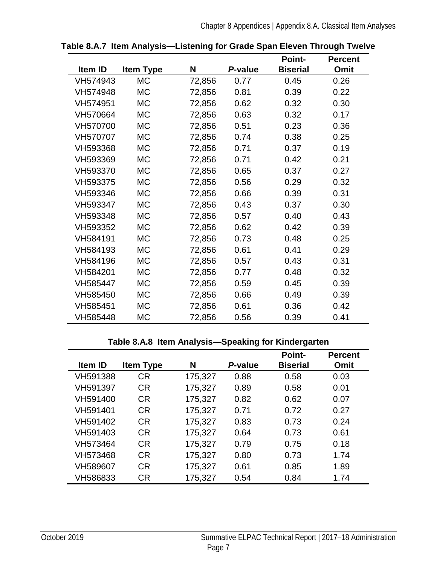|          |                  |        |         | <b>Point-</b>   | <b>Percent</b> |
|----------|------------------|--------|---------|-----------------|----------------|
| Item ID  | <b>Item Type</b> | N      | P-value | <b>Biserial</b> | Omit           |
| VH574943 | <b>MC</b>        | 72,856 | 0.77    | 0.45            | 0.26           |
| VH574948 | <b>MC</b>        | 72,856 | 0.81    | 0.39            | 0.22           |
| VH574951 | МC               | 72,856 | 0.62    | 0.32            | 0.30           |
| VH570664 | <b>MC</b>        | 72,856 | 0.63    | 0.32            | 0.17           |
| VH570700 | <b>MC</b>        | 72,856 | 0.51    | 0.23            | 0.36           |
| VH570707 | <b>MC</b>        | 72,856 | 0.74    | 0.38            | 0.25           |
| VH593368 | МC               | 72,856 | 0.71    | 0.37            | 0.19           |
| VH593369 | <b>MC</b>        | 72,856 | 0.71    | 0.42            | 0.21           |
| VH593370 | <b>MC</b>        | 72,856 | 0.65    | 0.37            | 0.27           |
| VH593375 | МC               | 72,856 | 0.56    | 0.29            | 0.32           |
| VH593346 | <b>MC</b>        | 72,856 | 0.66    | 0.39            | 0.31           |
| VH593347 | <b>MC</b>        | 72,856 | 0.43    | 0.37            | 0.30           |
| VH593348 | <b>MC</b>        | 72,856 | 0.57    | 0.40            | 0.43           |
| VH593352 | <b>MC</b>        | 72,856 | 0.62    | 0.42            | 0.39           |
| VH584191 | <b>MC</b>        | 72,856 | 0.73    | 0.48            | 0.25           |
| VH584193 | МC               | 72,856 | 0.61    | 0.41            | 0.29           |
| VH584196 | МC               | 72,856 | 0.57    | 0.43            | 0.31           |
| VH584201 | <b>MC</b>        | 72,856 | 0.77    | 0.48            | 0.32           |
| VH585447 | <b>MC</b>        | 72,856 | 0.59    | 0.45            | 0.39           |
| VH585450 | <b>MC</b>        | 72,856 | 0.66    | 0.49            | 0.39           |
| VH585451 | МC               | 72,856 | 0.61    | 0.36            | 0.42           |
| VH585448 | MC               | 72,856 | 0.56    | 0.39            | 0.41           |

<span id="page-10-0"></span>**Table 8.A.7 Item Analysis—Listening for Grade Span Eleven Through Twelve**

#### **Table 8.A.8 Item Analysis—Speaking for Kindergarten**

<span id="page-10-1"></span>

|                |                  |         |         | <b>Point-</b>   | <b>Percent</b> |
|----------------|------------------|---------|---------|-----------------|----------------|
| <b>Item ID</b> | <b>Item Type</b> | N       | P-value | <b>Biserial</b> | Omit           |
| VH591388       | <b>CR</b>        | 175,327 | 0.88    | 0.58            | 0.03           |
| VH591397       | <b>CR</b>        | 175,327 | 0.89    | 0.58            | 0.01           |
| VH591400       | <b>CR</b>        | 175,327 | 0.82    | 0.62            | 0.07           |
| VH591401       | <b>CR</b>        | 175,327 | 0.71    | 0.72            | 0.27           |
| VH591402       | <b>CR</b>        | 175,327 | 0.83    | 0.73            | 0.24           |
| VH591403       | <b>CR</b>        | 175,327 | 0.64    | 0.73            | 0.61           |
| VH573464       | <b>CR</b>        | 175,327 | 0.79    | 0.75            | 0.18           |
| VH573468       | CR.              | 175,327 | 0.80    | 0.73            | 1.74           |
| VH589607       | <b>CR</b>        | 175,327 | 0.61    | 0.85            | 1.89           |
| VH586833       | CR               | 175,327 | 0.54    | 0.84            | 1.74           |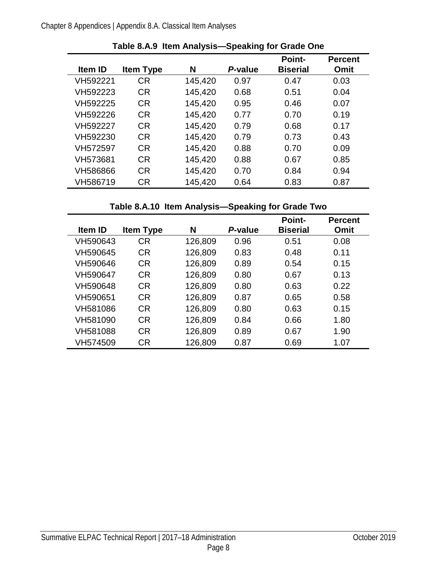<span id="page-11-0"></span>

| <b>Item ID</b> |                  | N       | P-value | <b>Point-</b>   | <b>Percent</b> |
|----------------|------------------|---------|---------|-----------------|----------------|
|                | <b>Item Type</b> |         |         | <b>Biserial</b> | Omit           |
| VH592221       | СR               | 145,420 | 0.97    | 0.47            | 0.03           |
| VH592223       | <b>CR</b>        | 145,420 | 0.68    | 0.51            | 0.04           |
| VH592225       | <b>CR</b>        | 145,420 | 0.95    | 0.46            | 0.07           |
| VH592226       | <b>CR</b>        | 145,420 | 0.77    | 0.70            | 0.19           |
| VH592227       | <b>CR</b>        | 145,420 | 0.79    | 0.68            | 0.17           |
| VH592230       | <b>CR</b>        | 145,420 | 0.79    | 0.73            | 0.43           |
| VH572597       | <b>CR</b>        | 145,420 | 0.88    | 0.70            | 0.09           |
| VH573681       | <b>CR</b>        | 145,420 | 0.88    | 0.67            | 0.85           |
| VH586866       | <b>CR</b>        | 145,420 | 0.70    | 0.84            | 0.94           |
| VH586719       | СR               | 145,420 | 0.64    | 0.83            | 0.87           |

**Table 8.A.10 Item Analysis—Speaking for Grade Two**

<span id="page-11-1"></span>

|                |                  |         |         | <b>Point-</b>   | <b>Percent</b> |
|----------------|------------------|---------|---------|-----------------|----------------|
| <b>Item ID</b> | <b>Item Type</b> | N       | P-value | <b>Biserial</b> | Omit           |
| VH590643       | <b>CR</b>        | 126,809 | 0.96    | 0.51            | 0.08           |
| VH590645       | <b>CR</b>        | 126,809 | 0.83    | 0.48            | 0.11           |
| VH590646       | <b>CR</b>        | 126,809 | 0.89    | 0.54            | 0.15           |
| VH590647       | <b>CR</b>        | 126,809 | 0.80    | 0.67            | 0.13           |
| VH590648       | <b>CR</b>        | 126,809 | 0.80    | 0.63            | 0.22           |
| VH590651       | <b>CR</b>        | 126,809 | 0.87    | 0.65            | 0.58           |
| VH581086       | <b>CR</b>        | 126,809 | 0.80    | 0.63            | 0.15           |
| VH581090       | <b>CR</b>        | 126,809 | 0.84    | 0.66            | 1.80           |
| VH581088       | <b>CR</b>        | 126,809 | 0.89    | 0.67            | 1.90           |
| VH574509       | CR               | 126,809 | 0.87    | 0.69            | 1.07           |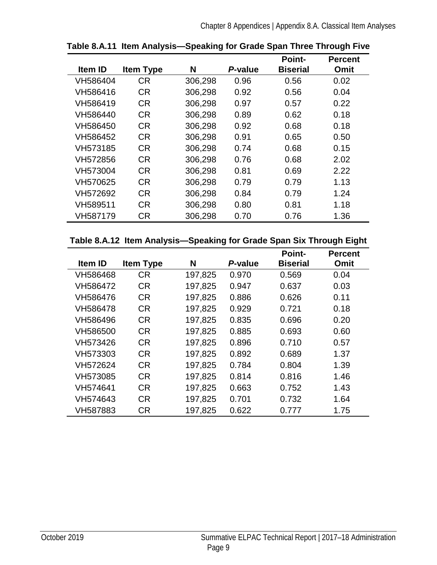|                |                  |         |         | <b>Point-</b>   | <b>Percent</b> |
|----------------|------------------|---------|---------|-----------------|----------------|
| <b>Item ID</b> | <b>Item Type</b> | N       | P-value | <b>Biserial</b> | Omit           |
| VH586404       | <b>CR</b>        | 306,298 | 0.96    | 0.56            | 0.02           |
| VH586416       | <b>CR</b>        | 306,298 | 0.92    | 0.56            | 0.04           |
| VH586419       | <b>CR</b>        | 306,298 | 0.97    | 0.57            | 0.22           |
| VH586440       | <b>CR</b>        | 306,298 | 0.89    | 0.62            | 0.18           |
| VH586450       | <b>CR</b>        | 306,298 | 0.92    | 0.68            | 0.18           |
| VH586452       | <b>CR</b>        | 306,298 | 0.91    | 0.65            | 0.50           |
| VH573185       | <b>CR</b>        | 306,298 | 0.74    | 0.68            | 0.15           |
| VH572856       | <b>CR</b>        | 306,298 | 0.76    | 0.68            | 2.02           |
| VH573004       | <b>CR</b>        | 306,298 | 0.81    | 0.69            | 2.22           |
| VH570625       | <b>CR</b>        | 306,298 | 0.79    | 0.79            | 1.13           |
| VH572692       | <b>CR</b>        | 306,298 | 0.84    | 0.79            | 1.24           |
| VH589511       | <b>CR</b>        | 306,298 | 0.80    | 0.81            | 1.18           |
| VH587179       | <b>CR</b>        | 306,298 | 0.70    | 0.76            | 1.36           |

<span id="page-12-0"></span>**Table 8.A.11 Item Analysis—Speaking for Grade Span Three Through Five**

#### <span id="page-12-1"></span>**Table 8.A.12 Item Analysis—Speaking for Grade Span Six Through Eight**

|                |                  |         |         | <b>Point-</b>   | <b>Percent</b> |
|----------------|------------------|---------|---------|-----------------|----------------|
| <b>Item ID</b> | <b>Item Type</b> | N       | P-value | <b>Biserial</b> | Omit           |
| VH586468       | <b>CR</b>        | 197,825 | 0.970   | 0.569           | 0.04           |
| VH586472       | <b>CR</b>        | 197,825 | 0.947   | 0.637           | 0.03           |
| VH586476       | <b>CR</b>        | 197,825 | 0.886   | 0.626           | 0.11           |
| VH586478       | <b>CR</b>        | 197,825 | 0.929   | 0.721           | 0.18           |
| VH586496       | <b>CR</b>        | 197,825 | 0.835   | 0.696           | 0.20           |
| VH586500       | <b>CR</b>        | 197,825 | 0.885   | 0.693           | 0.60           |
| VH573426       | <b>CR</b>        | 197,825 | 0.896   | 0.710           | 0.57           |
| VH573303       | <b>CR</b>        | 197,825 | 0.892   | 0.689           | 1.37           |
| VH572624       | <b>CR</b>        | 197,825 | 0.784   | 0.804           | 1.39           |
| VH573085       | <b>CR</b>        | 197,825 | 0.814   | 0.816           | 1.46           |
| VH574641       | <b>CR</b>        | 197,825 | 0.663   | 0.752           | 1.43           |
| VH574643       | <b>CR</b>        | 197,825 | 0.701   | 0.732           | 1.64           |
| VH587883       | <b>CR</b>        | 197,825 | 0.622   | 0.777           | 1.75           |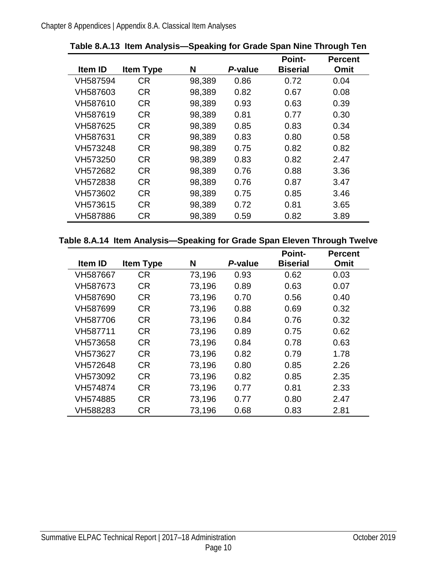|                |                  |        |         | <b>Point-</b>   | <b>Percent</b> |
|----------------|------------------|--------|---------|-----------------|----------------|
| <b>Item ID</b> | <b>Item Type</b> | N      | P-value | <b>Biserial</b> | <b>Omit</b>    |
| VH587594       | <b>CR</b>        | 98,389 | 0.86    | 0.72            | 0.04           |
| VH587603       | <b>CR</b>        | 98,389 | 0.82    | 0.67            | 0.08           |
| VH587610       | <b>CR</b>        | 98,389 | 0.93    | 0.63            | 0.39           |
| VH587619       | <b>CR</b>        | 98,389 | 0.81    | 0.77            | 0.30           |
| VH587625       | <b>CR</b>        | 98,389 | 0.85    | 0.83            | 0.34           |
| VH587631       | <b>CR</b>        | 98,389 | 0.83    | 0.80            | 0.58           |
| VH573248       | <b>CR</b>        | 98,389 | 0.75    | 0.82            | 0.82           |
| VH573250       | <b>CR</b>        | 98,389 | 0.83    | 0.82            | 2.47           |
| VH572682       | <b>CR</b>        | 98,389 | 0.76    | 0.88            | 3.36           |
| VH572838       | <b>CR</b>        | 98,389 | 0.76    | 0.87            | 3.47           |
| VH573602       | <b>CR</b>        | 98,389 | 0.75    | 0.85            | 3.46           |
| VH573615       | <b>CR</b>        | 98,389 | 0.72    | 0.81            | 3.65           |
| VH587886       | <b>CR</b>        | 98,389 | 0.59    | 0.82            | 3.89           |

<span id="page-13-0"></span>**Table 8.A.13 Item Analysis—Speaking for Grade Span Nine Through Ten**

#### <span id="page-13-1"></span>**Table 8.A.14 Item Analysis—Speaking for Grade Span Eleven Through Twelve**

|          |                  |        |         | <b>Point-</b>   | <b>Percent</b> |
|----------|------------------|--------|---------|-----------------|----------------|
| Item ID  | <b>Item Type</b> | N      | P-value | <b>Biserial</b> | Omit           |
| VH587667 | <b>CR</b>        | 73,196 | 0.93    | 0.62            | 0.03           |
| VH587673 | <b>CR</b>        | 73,196 | 0.89    | 0.63            | 0.07           |
| VH587690 | <b>CR</b>        | 73,196 | 0.70    | 0.56            | 0.40           |
| VH587699 | <b>CR</b>        | 73,196 | 0.88    | 0.69            | 0.32           |
| VH587706 | <b>CR</b>        | 73,196 | 0.84    | 0.76            | 0.32           |
| VH587711 | <b>CR</b>        | 73,196 | 0.89    | 0.75            | 0.62           |
| VH573658 | <b>CR</b>        | 73,196 | 0.84    | 0.78            | 0.63           |
| VH573627 | <b>CR</b>        | 73,196 | 0.82    | 0.79            | 1.78           |
| VH572648 | <b>CR</b>        | 73,196 | 0.80    | 0.85            | 2.26           |
| VH573092 | <b>CR</b>        | 73,196 | 0.82    | 0.85            | 2.35           |
| VH574874 | <b>CR</b>        | 73,196 | 0.77    | 0.81            | 2.33           |
| VH574885 | <b>CR</b>        | 73,196 | 0.77    | 0.80            | 2.47           |
| VH588283 | <b>CR</b>        | 73,196 | 0.68    | 0.83            | 2.81           |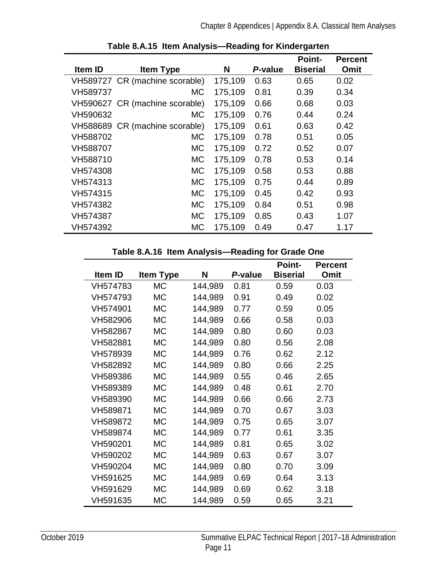<span id="page-14-0"></span>

| Item ID  | <b>Item Type</b>               | N       | P-value | <b>Point-</b><br><b>Biserial</b> | <b>Percent</b><br>Omit |
|----------|--------------------------------|---------|---------|----------------------------------|------------------------|
|          |                                |         |         |                                  |                        |
|          | VH589727 CR (machine scorable) | 175,109 | 0.63    | 0.65                             | 0.02                   |
| VH589737 | МC                             | 175,109 | 0.81    | 0.39                             | 0.34                   |
|          | VH590627 CR (machine scorable) | 175,109 | 0.66    | 0.68                             | 0.03                   |
| VH590632 | МC                             | 175,109 | 0.76    | 0.44                             | 0.24                   |
|          | VH588689 CR (machine scorable) | 175,109 | 0.61    | 0.63                             | 0.42                   |
| VH588702 | <b>MC</b>                      | 175,109 | 0.78    | 0.51                             | 0.05                   |
| VH588707 | <b>MC</b>                      | 175,109 | 0.72    | 0.52                             | 0.07                   |
| VH588710 | <b>MC</b>                      | 175,109 | 0.78    | 0.53                             | 0.14                   |
| VH574308 | <b>MC</b>                      | 175,109 | 0.58    | 0.53                             | 0.88                   |
| VH574313 | <b>MC</b>                      | 175,109 | 0.75    | 0.44                             | 0.89                   |
| VH574315 | <b>MC</b>                      | 175,109 | 0.45    | 0.42                             | 0.93                   |
| VH574382 | <b>MC</b>                      | 175,109 | 0.84    | 0.51                             | 0.98                   |
| VH574387 | <b>MC</b>                      | 175,109 | 0.85    | 0.43                             | 1.07                   |
| VH574392 | <b>MC</b>                      | 175,109 | 0.49    | 0.47                             | 1.17                   |

|  |  |  |  |  | Table 8.A.15 Item Analysis-Reading for Kindergarten |
|--|--|--|--|--|-----------------------------------------------------|
|--|--|--|--|--|-----------------------------------------------------|

| Table 8.A.16 Item Analysis-Reading for Grade One |  |  |  |
|--------------------------------------------------|--|--|--|
|                                                  |  |  |  |

<span id="page-14-1"></span>

|          |                  |         |         | <b>Point-</b>   | <b>Percent</b> |
|----------|------------------|---------|---------|-----------------|----------------|
| Item ID  | <b>Item Type</b> | N       | P-value | <b>Biserial</b> | Omit           |
| VH574783 | <b>MC</b>        | 144,989 | 0.81    | 0.59            | 0.03           |
| VH574793 | <b>MC</b>        | 144,989 | 0.91    | 0.49            | 0.02           |
| VH574901 | <b>MC</b>        | 144,989 | 0.77    | 0.59            | 0.05           |
| VH582906 | <b>MC</b>        | 144,989 | 0.66    | 0.58            | 0.03           |
| VH582867 | <b>MC</b>        | 144,989 | 0.80    | 0.60            | 0.03           |
| VH582881 | <b>MC</b>        | 144,989 | 0.80    | 0.56            | 2.08           |
| VH578939 | <b>MC</b>        | 144,989 | 0.76    | 0.62            | 2.12           |
| VH582892 | <b>MC</b>        | 144,989 | 0.80    | 0.66            | 2.25           |
| VH589386 | <b>MC</b>        | 144,989 | 0.55    | 0.46            | 2.65           |
| VH589389 | <b>MC</b>        | 144,989 | 0.48    | 0.61            | 2.70           |
| VH589390 | <b>MC</b>        | 144,989 | 0.66    | 0.66            | 2.73           |
| VH589871 | <b>MC</b>        | 144,989 | 0.70    | 0.67            | 3.03           |
| VH589872 | <b>MC</b>        | 144,989 | 0.75    | 0.65            | 3.07           |
| VH589874 | <b>MC</b>        | 144,989 | 0.77    | 0.61            | 3.35           |
| VH590201 | <b>MC</b>        | 144,989 | 0.81    | 0.65            | 3.02           |
| VH590202 | <b>MC</b>        | 144,989 | 0.63    | 0.67            | 3.07           |
| VH590204 | <b>MC</b>        | 144,989 | 0.80    | 0.70            | 3.09           |
| VH591625 | <b>MC</b>        | 144,989 | 0.69    | 0.64            | 3.13           |
| VH591629 | <b>MC</b>        | 144,989 | 0.69    | 0.62            | 3.18           |
| VH591635 | <b>MC</b>        | 144,989 | 0.59    | 0.65            | 3.21           |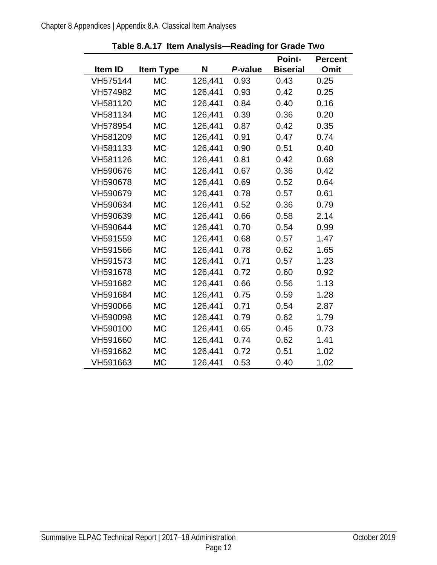<span id="page-15-0"></span>

|          |                  |         |         | <b>Point-</b>   | <b>Percent</b> |
|----------|------------------|---------|---------|-----------------|----------------|
| Item ID  | <b>Item Type</b> | N       | P-value | <b>Biserial</b> | <b>Omit</b>    |
| VH575144 | <b>MC</b>        | 126,441 | 0.93    | 0.43            | 0.25           |
| VH574982 | <b>MC</b>        | 126,441 | 0.93    | 0.42            | 0.25           |
| VH581120 | <b>MC</b>        | 126,441 | 0.84    | 0.40            | 0.16           |
| VH581134 | <b>MC</b>        | 126,441 | 0.39    | 0.36            | 0.20           |
| VH578954 | <b>MC</b>        | 126,441 | 0.87    | 0.42            | 0.35           |
| VH581209 | <b>MC</b>        | 126,441 | 0.91    | 0.47            | 0.74           |
| VH581133 | <b>MC</b>        | 126,441 | 0.90    | 0.51            | 0.40           |
| VH581126 | МC               | 126,441 | 0.81    | 0.42            | 0.68           |
| VH590676 | <b>MC</b>        | 126,441 | 0.67    | 0.36            | 0.42           |
| VH590678 | <b>MC</b>        | 126,441 | 0.69    | 0.52            | 0.64           |
| VH590679 | <b>MC</b>        | 126,441 | 0.78    | 0.57            | 0.61           |
| VH590634 | <b>MC</b>        | 126,441 | 0.52    | 0.36            | 0.79           |
| VH590639 | <b>MC</b>        | 126,441 | 0.66    | 0.58            | 2.14           |
| VH590644 | <b>MC</b>        | 126,441 | 0.70    | 0.54            | 0.99           |
| VH591559 | <b>MC</b>        | 126,441 | 0.68    | 0.57            | 1.47           |
| VH591566 | <b>MC</b>        | 126,441 | 0.78    | 0.62            | 1.65           |
| VH591573 | МC               | 126,441 | 0.71    | 0.57            | 1.23           |
| VH591678 | <b>MC</b>        | 126,441 | 0.72    | 0.60            | 0.92           |
| VH591682 | <b>MC</b>        | 126,441 | 0.66    | 0.56            | 1.13           |
| VH591684 | <b>MC</b>        | 126,441 | 0.75    | 0.59            | 1.28           |
| VH590066 | <b>MC</b>        | 126,441 | 0.71    | 0.54            | 2.87           |
| VH590098 | <b>MC</b>        | 126,441 | 0.79    | 0.62            | 1.79           |
| VH590100 | <b>MC</b>        | 126,441 | 0.65    | 0.45            | 0.73           |
| VH591660 | <b>MC</b>        | 126,441 | 0.74    | 0.62            | 1.41           |
| VH591662 | <b>MC</b>        | 126,441 | 0.72    | 0.51            | 1.02           |
| VH591663 | МC               | 126,441 | 0.53    | 0.40            | 1.02           |

**Table 8.A.17 Item Analysis—Reading for Grade Two**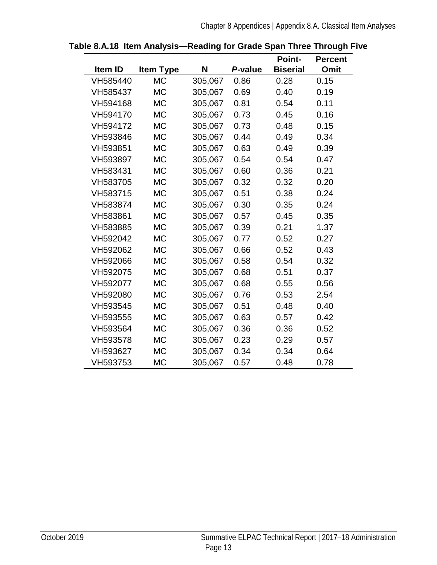|          |                  |         |         | <b>Point-</b>   | <b>Percent</b> |
|----------|------------------|---------|---------|-----------------|----------------|
| Item ID  | <b>Item Type</b> | N       | P-value | <b>Biserial</b> | Omit           |
| VH585440 | <b>MC</b>        | 305,067 | 0.86    | 0.28            | 0.15           |
| VH585437 | <b>MC</b>        | 305,067 | 0.69    | 0.40            | 0.19           |
| VH594168 | <b>MC</b>        | 305,067 | 0.81    | 0.54            | 0.11           |
| VH594170 | <b>MC</b>        | 305,067 | 0.73    | 0.45            | 0.16           |
| VH594172 | <b>MC</b>        | 305,067 | 0.73    | 0.48            | 0.15           |
| VH593846 | <b>MC</b>        | 305,067 | 0.44    | 0.49            | 0.34           |
| VH593851 | <b>MC</b>        | 305,067 | 0.63    | 0.49            | 0.39           |
| VH593897 | <b>MC</b>        | 305,067 | 0.54    | 0.54            | 0.47           |
| VH583431 | <b>MC</b>        | 305,067 | 0.60    | 0.36            | 0.21           |
| VH583705 | <b>MC</b>        | 305,067 | 0.32    | 0.32            | 0.20           |
| VH583715 | <b>MC</b>        | 305,067 | 0.51    | 0.38            | 0.24           |
| VH583874 | <b>MC</b>        | 305,067 | 0.30    | 0.35            | 0.24           |
| VH583861 | <b>MC</b>        | 305,067 | 0.57    | 0.45            | 0.35           |
| VH583885 | <b>MC</b>        | 305,067 | 0.39    | 0.21            | 1.37           |
| VH592042 | <b>MC</b>        | 305,067 | 0.77    | 0.52            | 0.27           |
| VH592062 | <b>MC</b>        | 305,067 | 0.66    | 0.52            | 0.43           |
| VH592066 | <b>MC</b>        | 305,067 | 0.58    | 0.54            | 0.32           |
| VH592075 | <b>MC</b>        | 305,067 | 0.68    | 0.51            | 0.37           |
| VH592077 | <b>MC</b>        | 305,067 | 0.68    | 0.55            | 0.56           |
| VH592080 | <b>MC</b>        | 305,067 | 0.76    | 0.53            | 2.54           |
| VH593545 | <b>MC</b>        | 305,067 | 0.51    | 0.48            | 0.40           |
| VH593555 | <b>MC</b>        | 305,067 | 0.63    | 0.57            | 0.42           |
| VH593564 | <b>MC</b>        | 305,067 | 0.36    | 0.36            | 0.52           |
| VH593578 | <b>MC</b>        | 305,067 | 0.23    | 0.29            | 0.57           |
| VH593627 | <b>MC</b>        | 305,067 | 0.34    | 0.34            | 0.64           |
| VH593753 | MC               | 305,067 | 0.57    | 0.48            | 0.78           |

#### <span id="page-16-0"></span>**Table 8.A.18 Item Analysis—Reading for Grade Span Three Through Five**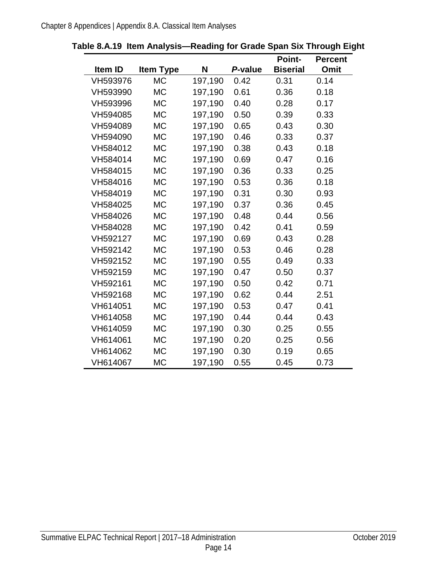|          |                  |         |         | <b>Point-</b>   | <b>Percent</b> |
|----------|------------------|---------|---------|-----------------|----------------|
| Item ID  | <b>Item Type</b> | N       | P-value | <b>Biserial</b> | <b>Omit</b>    |
| VH593976 | <b>MC</b>        | 197,190 | 0.42    | 0.31            | 0.14           |
| VH593990 | <b>MC</b>        | 197,190 | 0.61    | 0.36            | 0.18           |
| VH593996 | <b>MC</b>        | 197,190 | 0.40    | 0.28            | 0.17           |
| VH594085 | <b>MC</b>        | 197,190 | 0.50    | 0.39            | 0.33           |
| VH594089 | <b>MC</b>        | 197,190 | 0.65    | 0.43            | 0.30           |
| VH594090 | <b>MC</b>        | 197,190 | 0.46    | 0.33            | 0.37           |
| VH584012 | <b>MC</b>        | 197,190 | 0.38    | 0.43            | 0.18           |
| VH584014 | <b>MC</b>        | 197,190 | 0.69    | 0.47            | 0.16           |
| VH584015 | <b>MC</b>        | 197,190 | 0.36    | 0.33            | 0.25           |
| VH584016 | <b>MC</b>        | 197,190 | 0.53    | 0.36            | 0.18           |
| VH584019 | <b>MC</b>        | 197,190 | 0.31    | 0.30            | 0.93           |
| VH584025 | <b>MC</b>        | 197,190 | 0.37    | 0.36            | 0.45           |
| VH584026 | <b>MC</b>        | 197,190 | 0.48    | 0.44            | 0.56           |
| VH584028 | <b>MC</b>        | 197,190 | 0.42    | 0.41            | 0.59           |
| VH592127 | <b>MC</b>        | 197,190 | 0.69    | 0.43            | 0.28           |
| VH592142 | <b>MC</b>        | 197,190 | 0.53    | 0.46            | 0.28           |
| VH592152 | <b>MC</b>        | 197,190 | 0.55    | 0.49            | 0.33           |
| VH592159 | <b>MC</b>        | 197,190 | 0.47    | 0.50            | 0.37           |
| VH592161 | <b>MC</b>        | 197,190 | 0.50    | 0.42            | 0.71           |
| VH592168 | <b>MC</b>        | 197,190 | 0.62    | 0.44            | 2.51           |
| VH614051 | <b>MC</b>        | 197,190 | 0.53    | 0.47            | 0.41           |
| VH614058 | <b>MC</b>        | 197,190 | 0.44    | 0.44            | 0.43           |
| VH614059 | <b>MC</b>        | 197,190 | 0.30    | 0.25            | 0.55           |
| VH614061 | <b>MC</b>        | 197,190 | 0.20    | 0.25            | 0.56           |
| VH614062 | <b>MC</b>        | 197,190 | 0.30    | 0.19            | 0.65           |
| VH614067 | <b>MC</b>        | 197,190 | 0.55    | 0.45            | 0.73           |

<span id="page-17-0"></span>

|  |  | Table 8.A.19 Item Analysis-Reading for Grade Span Six Through Eight |  |  |
|--|--|---------------------------------------------------------------------|--|--|
|--|--|---------------------------------------------------------------------|--|--|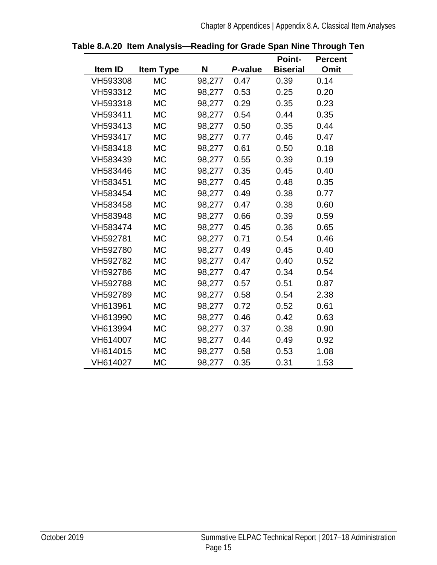|          |                  |        |         | <b>Point-</b>   | <b>Percent</b> |
|----------|------------------|--------|---------|-----------------|----------------|
| Item ID  | <b>Item Type</b> | N      | P-value | <b>Biserial</b> | <b>Omit</b>    |
| VH593308 | <b>MC</b>        | 98,277 | 0.47    | 0.39            | 0.14           |
| VH593312 | <b>MC</b>        | 98,277 | 0.53    | 0.25            | 0.20           |
| VH593318 | <b>MC</b>        | 98,277 | 0.29    | 0.35            | 0.23           |
| VH593411 | <b>MC</b>        | 98,277 | 0.54    | 0.44            | 0.35           |
| VH593413 | <b>MC</b>        | 98,277 | 0.50    | 0.35            | 0.44           |
| VH593417 | <b>MC</b>        | 98,277 | 0.77    | 0.46            | 0.47           |
| VH583418 | <b>MC</b>        | 98,277 | 0.61    | 0.50            | 0.18           |
| VH583439 | <b>MC</b>        | 98,277 | 0.55    | 0.39            | 0.19           |
| VH583446 | <b>MC</b>        | 98,277 | 0.35    | 0.45            | 0.40           |
| VH583451 | <b>MC</b>        | 98,277 | 0.45    | 0.48            | 0.35           |
| VH583454 | <b>MC</b>        | 98,277 | 0.49    | 0.38            | 0.77           |
| VH583458 | <b>MC</b>        | 98,277 | 0.47    | 0.38            | 0.60           |
| VH583948 | <b>MC</b>        | 98,277 | 0.66    | 0.39            | 0.59           |
| VH583474 | <b>MC</b>        | 98,277 | 0.45    | 0.36            | 0.65           |
| VH592781 | <b>MC</b>        | 98,277 | 0.71    | 0.54            | 0.46           |
| VH592780 | <b>MC</b>        | 98,277 | 0.49    | 0.45            | 0.40           |
| VH592782 | <b>MC</b>        | 98,277 | 0.47    | 0.40            | 0.52           |
| VH592786 | <b>MC</b>        | 98,277 | 0.47    | 0.34            | 0.54           |
| VH592788 | <b>MC</b>        | 98,277 | 0.57    | 0.51            | 0.87           |
| VH592789 | <b>MC</b>        | 98,277 | 0.58    | 0.54            | 2.38           |
| VH613961 | <b>MC</b>        | 98,277 | 0.72    | 0.52            | 0.61           |
| VH613990 | <b>MC</b>        | 98,277 | 0.46    | 0.42            | 0.63           |
| VH613994 | <b>MC</b>        | 98,277 | 0.37    | 0.38            | 0.90           |
| VH614007 | <b>MC</b>        | 98,277 | 0.44    | 0.49            | 0.92           |
| VH614015 | <b>MC</b>        | 98,277 | 0.58    | 0.53            | 1.08           |
| VH614027 | <b>MC</b>        | 98,277 | 0.35    | 0.31            | 1.53           |

<span id="page-18-0"></span>**Table 8.A.20 Item Analysis—Reading for Grade Span Nine Through Ten**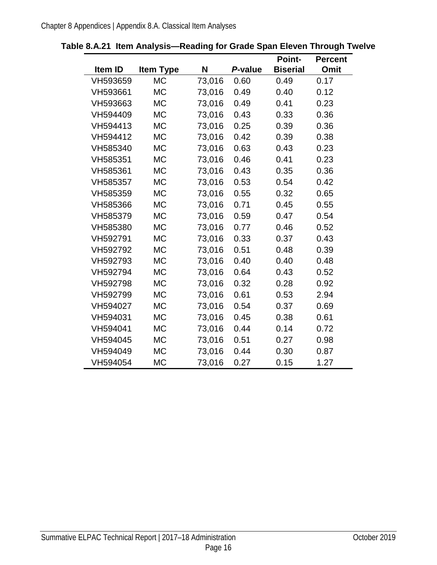|          |                  |        |         | <b>Point-</b>   | <b>Percent</b> |
|----------|------------------|--------|---------|-----------------|----------------|
| Item ID  | <b>Item Type</b> | N      | P-value | <b>Biserial</b> | Omit           |
| VH593659 | <b>MC</b>        | 73,016 | 0.60    | 0.49            | 0.17           |
| VH593661 | <b>MC</b>        | 73,016 | 0.49    | 0.40            | 0.12           |
| VH593663 | <b>MC</b>        | 73,016 | 0.49    | 0.41            | 0.23           |
| VH594409 | <b>MC</b>        | 73,016 | 0.43    | 0.33            | 0.36           |
| VH594413 | <b>MC</b>        | 73,016 | 0.25    | 0.39            | 0.36           |
| VH594412 | <b>MC</b>        | 73,016 | 0.42    | 0.39            | 0.38           |
| VH585340 | <b>MC</b>        | 73,016 | 0.63    | 0.43            | 0.23           |
| VH585351 | <b>MC</b>        | 73,016 | 0.46    | 0.41            | 0.23           |
| VH585361 | <b>MC</b>        | 73,016 | 0.43    | 0.35            | 0.36           |
| VH585357 | <b>MC</b>        | 73,016 | 0.53    | 0.54            | 0.42           |
| VH585359 | <b>MC</b>        | 73,016 | 0.55    | 0.32            | 0.65           |
| VH585366 | <b>MC</b>        | 73,016 | 0.71    | 0.45            | 0.55           |
| VH585379 | <b>MC</b>        | 73,016 | 0.59    | 0.47            | 0.54           |
| VH585380 | <b>MC</b>        | 73,016 | 0.77    | 0.46            | 0.52           |
| VH592791 | <b>MC</b>        | 73,016 | 0.33    | 0.37            | 0.43           |
| VH592792 | <b>MC</b>        | 73,016 | 0.51    | 0.48            | 0.39           |
| VH592793 | <b>MC</b>        | 73,016 | 0.40    | 0.40            | 0.48           |
| VH592794 | <b>MC</b>        | 73,016 | 0.64    | 0.43            | 0.52           |
| VH592798 | <b>MC</b>        | 73,016 | 0.32    | 0.28            | 0.92           |
| VH592799 | <b>MC</b>        | 73,016 | 0.61    | 0.53            | 2.94           |
| VH594027 | <b>MC</b>        | 73,016 | 0.54    | 0.37            | 0.69           |
| VH594031 | <b>MC</b>        | 73,016 | 0.45    | 0.38            | 0.61           |
| VH594041 | <b>MC</b>        | 73,016 | 0.44    | 0.14            | 0.72           |
| VH594045 | <b>MC</b>        | 73,016 | 0.51    | 0.27            | 0.98           |
| VH594049 | <b>MC</b>        | 73,016 | 0.44    | 0.30            | 0.87           |
| VH594054 | <b>MC</b>        | 73,016 | 0.27    | 0.15            | 1.27           |

#### <span id="page-19-0"></span>**Table 8.A.21 Item Analysis—Reading for Grade Span Eleven Through Twelve**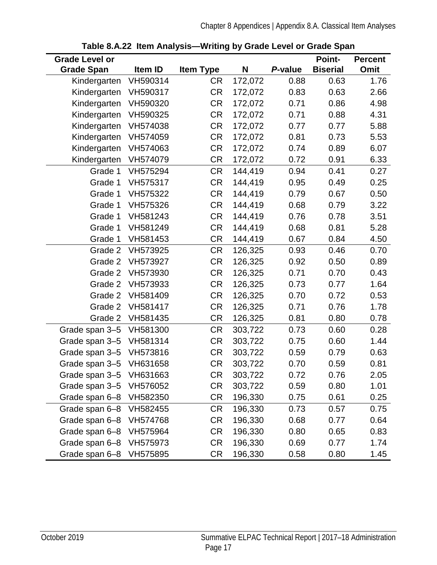<span id="page-20-0"></span>

| <b>Grade Level or</b>   |          |                  |         |         | <b>Point-</b>   | <b>Percent</b> |
|-------------------------|----------|------------------|---------|---------|-----------------|----------------|
| <b>Grade Span</b>       | Item ID  | <b>Item Type</b> | N       | P-value | <b>Biserial</b> | Omit           |
| Kindergarten            | VH590314 | <b>CR</b>        | 172,072 | 0.88    | 0.63            | 1.76           |
| Kindergarten            | VH590317 | <b>CR</b>        | 172,072 | 0.83    | 0.63            | 2.66           |
| Kindergarten            | VH590320 | <b>CR</b>        | 172,072 | 0.71    | 0.86            | 4.98           |
| Kindergarten            | VH590325 | <b>CR</b>        | 172,072 | 0.71    | 0.88            | 4.31           |
| Kindergarten            | VH574038 | <b>CR</b>        | 172,072 | 0.77    | 0.77            | 5.88           |
| Kindergarten            | VH574059 | <b>CR</b>        | 172,072 | 0.81    | 0.73            | 5.53           |
| Kindergarten            | VH574063 | <b>CR</b>        | 172,072 | 0.74    | 0.89            | 6.07           |
| Kindergarten            | VH574079 | <b>CR</b>        | 172,072 | 0.72    | 0.91            | 6.33           |
| Grade 1                 | VH575294 | <b>CR</b>        | 144,419 | 0.94    | 0.41            | 0.27           |
| Grade 1                 | VH575317 | <b>CR</b>        | 144,419 | 0.95    | 0.49            | 0.25           |
| Grade 1                 | VH575322 | <b>CR</b>        | 144,419 | 0.79    | 0.67            | 0.50           |
| Grade 1                 | VH575326 | <b>CR</b>        | 144,419 | 0.68    | 0.79            | 3.22           |
| Grade 1                 | VH581243 | <b>CR</b>        | 144,419 | 0.76    | 0.78            | 3.51           |
| Grade 1                 | VH581249 | <b>CR</b>        | 144,419 | 0.68    | 0.81            | 5.28           |
| Grade 1                 | VH581453 | <b>CR</b>        | 144,419 | 0.67    | 0.84            | 4.50           |
| Grade 2                 | VH573925 | <b>CR</b>        | 126,325 | 0.93    | 0.46            | 0.70           |
| Grade 2                 | VH573927 | <b>CR</b>        | 126,325 | 0.92    | 0.50            | 0.89           |
| Grade 2                 | VH573930 | <b>CR</b>        | 126,325 | 0.71    | 0.70            | 0.43           |
| Grade 2                 | VH573933 | <b>CR</b>        | 126,325 | 0.73    | 0.77            | 1.64           |
| Grade 2                 | VH581409 | <b>CR</b>        | 126,325 | 0.70    | 0.72            | 0.53           |
| Grade 2                 | VH581417 | <b>CR</b>        | 126,325 | 0.71    | 0.76            | 1.78           |
| Grade 2                 | VH581435 | <b>CR</b>        | 126,325 | 0.81    | 0.80            | 0.78           |
| Grade span 3-5          | VH581300 | <b>CR</b>        | 303,722 | 0.73    | 0.60            | 0.28           |
| Grade span 3-5          | VH581314 | <b>CR</b>        | 303,722 | 0.75    | 0.60            | 1.44           |
| Grade span 3-5          | VH573816 | <b>CR</b>        | 303,722 | 0.59    | 0.79            | 0.63           |
| Grade span 3-5 VH631658 |          | <b>CR</b>        | 303,722 | 0.70    | 0.59            | 0.81           |
| Grade span 3-5          | VH631663 | <b>CR</b>        | 303,722 | 0.72    | 0.76            | 2.05           |
| Grade span 3-5          | VH576052 | <b>CR</b>        | 303,722 | 0.59    | 0.80            | 1.01           |
| Grade span 6-8          | VH582350 | <b>CR</b>        | 196,330 | 0.75    | 0.61            | 0.25           |
| Grade span 6-8          | VH582455 | <b>CR</b>        | 196,330 | 0.73    | 0.57            | 0.75           |
| Grade span 6-8          | VH574768 | <b>CR</b>        | 196,330 | 0.68    | 0.77            | 0.64           |
| Grade span 6-8          | VH575964 | <b>CR</b>        | 196,330 | 0.80    | 0.65            | 0.83           |
| Grade span 6-8          | VH575973 | <b>CR</b>        | 196,330 | 0.69    | 0.77            | 1.74           |
| Grade span 6-8          | VH575895 | <b>CR</b>        | 196,330 | 0.58    | 0.80            | 1.45           |

**Table 8.A.22 Item Analysis—Writing by Grade Level or Grade Span**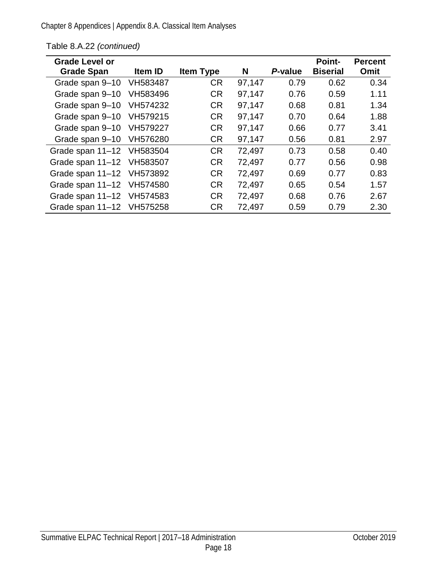| <b>Grade Level or</b><br><b>Grade Span</b> | Item ID  | <b>Item Type</b> | N      | P-value | <b>Point-</b><br><b>Biserial</b> | <b>Percent</b><br>Omit |
|--------------------------------------------|----------|------------------|--------|---------|----------------------------------|------------------------|
| Grade span 9-10                            | VH583487 | <b>CR</b>        | 97,147 | 0.79    | 0.62                             | 0.34                   |
|                                            |          |                  |        |         |                                  |                        |
| Grade span 9-10                            | VH583496 | <b>CR</b>        | 97,147 | 0.76    | 0.59                             | 1.11                   |
| Grade span 9-10                            | VH574232 | <b>CR</b>        | 97,147 | 0.68    | 0.81                             | 1.34                   |
| Grade span 9-10                            | VH579215 | <b>CR</b>        | 97,147 | 0.70    | 0.64                             | 1.88                   |
| Grade span 9-10                            | VH579227 | <b>CR</b>        | 97,147 | 0.66    | 0.77                             | 3.41                   |
| Grade span 9-10                            | VH576280 | <b>CR</b>        | 97,147 | 0.56    | 0.81                             | 2.97                   |
| Grade span 11-12 VH583504                  |          | <b>CR</b>        | 72,497 | 0.73    | 0.58                             | 0.40                   |
| Grade span 11-12 VH583507                  |          | <b>CR</b>        | 72,497 | 0.77    | 0.56                             | 0.98                   |
| Grade span 11-12 VH573892                  |          | <b>CR</b>        | 72,497 | 0.69    | 0.77                             | 0.83                   |
| Grade span 11-12 VH574580                  |          | <b>CR</b>        | 72,497 | 0.65    | 0.54                             | 1.57                   |
| Grade span 11-12 VH574583                  |          | <b>CR</b>        | 72,497 | 0.68    | 0.76                             | 2.67                   |
| Grade span 11–12                           | VH575258 | <b>CR</b>        | 72,497 | 0.59    | 0.79                             | 2.30                   |

#### [Table 8.A.22](#page-20-0) *(continued)*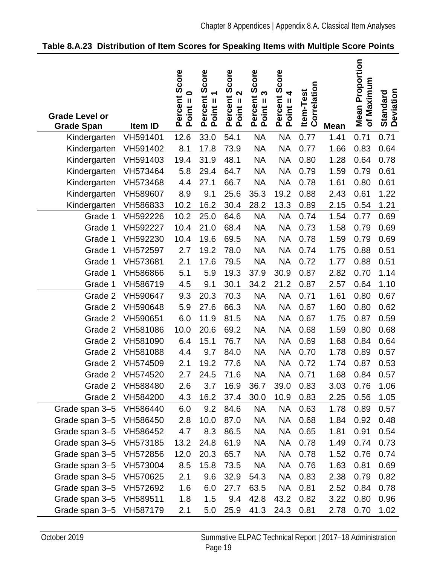| <b>Grade Level or</b><br><b>Grade Span</b> | Item ID  | Percent Score<br>$\bullet$<br>$Point =$ | Score<br>Percent<br>Point = 1 | Score<br>$\mathbf{\Omega}$<br>Percent<br>Point = 2 | Score<br>S<br>Percent:<br>Point = 3 | Percent Score<br>Point = 4 | Correlation<br><b>Item-Test</b> | <b>Mean</b> | <b>Mean Proportion</b><br>of Maximum | <b>Deviation</b><br>Standard |
|--------------------------------------------|----------|-----------------------------------------|-------------------------------|----------------------------------------------------|-------------------------------------|----------------------------|---------------------------------|-------------|--------------------------------------|------------------------------|
| Kindergarten                               | VH591401 | 12.6                                    | 33.0                          | 54.1                                               | <b>NA</b>                           | <b>NA</b>                  | 0.77                            | 1.41        | 0.71                                 | 0.71                         |
| Kindergarten                               | VH591402 | 8.1                                     | 17.8                          | 73.9                                               | <b>NA</b>                           | <b>NA</b>                  | 0.77                            | 1.66        | 0.83                                 | 0.64                         |
| Kindergarten                               | VH591403 | 19.4                                    | 31.9                          | 48.1                                               | <b>NA</b>                           | <b>NA</b>                  | 0.80                            | 1.28        | 0.64                                 | 0.78                         |
| Kindergarten                               | VH573464 | 5.8                                     | 29.4                          | 64.7                                               | <b>NA</b>                           | <b>NA</b>                  | 0.79                            | 1.59        | 0.79                                 | 0.61                         |
| Kindergarten                               | VH573468 | 4.4                                     | 27.1                          | 66.7                                               | <b>NA</b>                           | <b>NA</b>                  | 0.78                            | 1.61        | 0.80                                 | 0.61                         |
| Kindergarten                               | VH589607 | 8.9                                     | 9.1                           | 25.6                                               | 35.3                                | 19.2                       | 0.88                            | 2.43        | 0.61                                 | 1.22                         |
| Kindergarten                               | VH586833 | 10.2                                    | 16.2                          | 30.4                                               | 28.2                                | 13.3                       | 0.89                            | 2.15        | 0.54                                 | 1.21                         |
| Grade 1                                    | VH592226 | 10.2                                    | 25.0                          | 64.6                                               | <b>NA</b>                           | <b>NA</b>                  | 0.74                            | 1.54        | 0.77                                 | 0.69                         |
| Grade 1                                    | VH592227 | 10.4                                    | 21.0                          | 68.4                                               | <b>NA</b>                           | <b>NA</b>                  | 0.73                            | 1.58        | 0.79                                 | 0.69                         |
| Grade 1                                    | VH592230 | 10.4                                    | 19.6                          | 69.5                                               | <b>NA</b>                           | <b>NA</b>                  | 0.78                            | 1.59        | 0.79                                 | 0.69                         |
| Grade 1                                    | VH572597 | 2.7                                     | 19.2                          | 78.0                                               | <b>NA</b>                           | <b>NA</b>                  | 0.74                            | 1.75        | 0.88                                 | 0.51                         |
| Grade 1                                    | VH573681 | 2.1                                     | 17.6                          | 79.5                                               | <b>NA</b>                           | <b>NA</b>                  | 0.72                            | 1.77        | 0.88                                 | 0.51                         |
| Grade 1                                    | VH586866 | 5.1                                     | 5.9                           | 19.3                                               | 37.9                                | 30.9                       | 0.87                            | 2.82        | 0.70                                 | 1.14                         |
| Grade 1                                    | VH586719 | 4.5                                     | 9.1                           | 30.1                                               | 34.2                                | 21.2                       | 0.87                            | 2.57        | 0.64                                 | 1.10                         |
| Grade 2                                    | VH590647 | 9.3                                     | 20.3                          | 70.3                                               | <b>NA</b>                           | <b>NA</b>                  | 0.71                            | 1.61        | 0.80                                 | 0.67                         |
| Grade 2                                    | VH590648 | 5.9                                     | 27.6                          | 66.3                                               | <b>NA</b>                           | <b>NA</b>                  | 0.67                            | 1.60        | 0.80                                 | 0.62                         |
| Grade 2                                    | VH590651 | 6.0                                     | 11.9                          | 81.5                                               | <b>NA</b>                           | <b>NA</b>                  | 0.67                            | 1.75        | 0.87                                 | 0.59                         |
| Grade 2                                    | VH581086 | 10.0                                    | 20.6                          | 69.2                                               | <b>NA</b>                           | <b>NA</b>                  | 0.68                            | 1.59        | 0.80                                 | 0.68                         |
| Grade 2                                    | VH581090 | 6.4                                     | 15.1                          | 76.7                                               | <b>NA</b>                           | <b>NA</b>                  | 0.69                            | 1.68        | 0.84                                 | 0.64                         |
| Grade 2                                    | VH581088 | 4.4                                     | 9.7                           | 84.0                                               | <b>NA</b>                           | <b>NA</b>                  | 0.70                            | 1.78        | 0.89                                 | 0.57                         |
| Grade 2                                    | VH574509 | 2.1                                     | 19.2                          | 77.6                                               | <b>NA</b>                           | <b>NA</b>                  | 0.72                            | 1.74        | 0.87                                 | 0.53                         |
| Grade 2                                    | VH574520 | 2.7                                     | 24.5                          | 71.6                                               | <b>NA</b>                           | <b>NA</b>                  | 0.71                            | 1.68        | 0.84                                 | 0.57                         |
| Grade 2                                    | VH588480 | 2.6                                     | 3.7                           | 16.9                                               | 36.7                                | 39.0                       | 0.83                            | 3.03        | 0.76                                 | 1.06                         |
| Grade 2                                    | VH584200 | 4.3                                     | 16.2                          | 37.4                                               | 30.0                                | 10.9                       | 0.83                            | 2.25        | 0.56                                 | 1.05                         |
| Grade span 3-5                             | VH586440 | 6.0                                     | 9.2                           | 84.6                                               | NA                                  | NA.                        | 0.63                            | 1.78        | 0.89                                 | 0.57                         |
| Grade span 3-5                             | VH586450 | 2.8                                     | 10.0                          | 87.0                                               | NA                                  | <b>NA</b>                  | 0.68                            | 1.84        | 0.92                                 | 0.48                         |
| Grade span 3-5                             | VH586452 | 4.7                                     | 8.3                           | 86.5                                               | NA                                  | <b>NA</b>                  | 0.65                            | 1.81        | 0.91                                 | 0.54                         |
| Grade span 3-5                             | VH573185 | 13.2                                    | 24.8                          | 61.9                                               | NA                                  | <b>NA</b>                  | 0.78                            | 1.49        | 0.74                                 | 0.73                         |
| Grade span 3-5                             | VH572856 | 12.0                                    | 20.3                          | 65.7                                               | NA                                  | <b>NA</b>                  | 0.78                            | 1.52        | 0.76                                 | 0.74                         |
| Grade span 3-5                             | VH573004 | 8.5                                     | 15.8                          | 73.5                                               | NA                                  | <b>NA</b>                  | 0.76                            | 1.63        | 0.81                                 | 0.69                         |
| Grade span 3-5                             | VH570625 | 2.1                                     | 9.6                           | 32.9                                               | 54.3                                | <b>NA</b>                  | 0.83                            | 2.38        | 0.79                                 | 0.82                         |
| Grade span 3-5                             | VH572692 | 1.6                                     | 6.0                           | 27.7                                               | 63.5                                | <b>NA</b>                  | 0.81                            | 2.52        | 0.84                                 | 0.78                         |
| Grade span 3-5                             | VH589511 | 1.8                                     | 1.5                           | 9.4                                                | 42.8                                | 43.2                       | 0.82                            | 3.22        | 0.80                                 | 0.96                         |
| Grade span 3-5 VH587179                    |          | 2.1                                     | 5.0                           | 25.9                                               | 41.3                                | 24.3                       | 0.81                            | 2.78        | 0.70                                 | 1.02                         |

<span id="page-22-0"></span>

|  | Table 8.A.23 Distribution of Item Scores for Speaking Items with Multiple Score Points |
|--|----------------------------------------------------------------------------------------|
|--|----------------------------------------------------------------------------------------|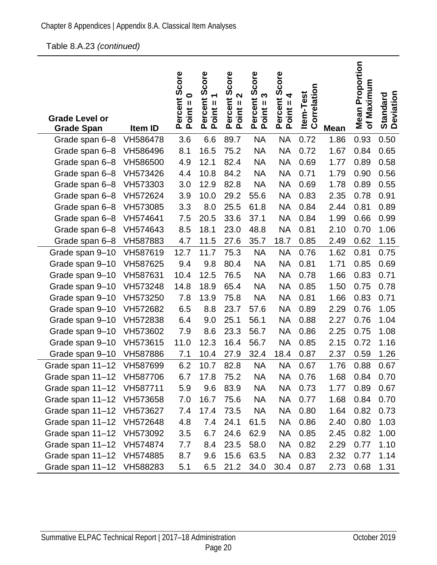#### Table [8.A.23](#page-22-0) *(continued)*

| <b>Grade Level or</b><br><b>Grade Span</b> | Item ID  | Percent Score<br>Point = 0 | Score<br>$\blacktriangledown$<br>Percent<br>Point = 1 | core<br>Ō<br>2<br>Percent<br>$\mathbf{I}$<br>Point: | Score<br>Percent S<br>Point = 3 | Percent Score<br>Point = 4 | Correlation<br>Item-Test | <b>Mean</b> | <b>Mean Proportion</b><br>Maximum<br>$\mathbf{r}$ | <b>Standard</b><br>Deviation |
|--------------------------------------------|----------|----------------------------|-------------------------------------------------------|-----------------------------------------------------|---------------------------------|----------------------------|--------------------------|-------------|---------------------------------------------------|------------------------------|
| Grade span 6-8                             | VH586478 | 3.6                        | 6.6                                                   | 89.7                                                | <b>NA</b>                       | <b>NA</b>                  | 0.72                     | 1.86        | 0.93                                              | 0.50                         |
| Grade span 6-8                             | VH586496 | 8.1                        | 16.5                                                  | 75.2                                                | <b>NA</b>                       | <b>NA</b>                  | 0.72                     | 1.67        | 0.84                                              | 0.65                         |
| Grade span 6-8                             | VH586500 | 4.9                        | 12.1                                                  | 82.4                                                | <b>NA</b>                       | <b>NA</b>                  | 0.69                     | 1.77        | 0.89                                              | 0.58                         |
| Grade span 6-8                             | VH573426 | 4.4                        | 10.8                                                  | 84.2                                                | <b>NA</b>                       | <b>NA</b>                  | 0.71                     | 1.79        | 0.90                                              | 0.56                         |
| Grade span 6-8                             | VH573303 | 3.0                        | 12.9                                                  | 82.8                                                | <b>NA</b>                       | <b>NA</b>                  | 0.69                     | 1.78        | 0.89                                              | 0.55                         |
| Grade span 6-8                             | VH572624 | 3.9                        | 10.0                                                  | 29.2                                                | 55.6                            | <b>NA</b>                  | 0.83                     | 2.35        | 0.78                                              | 0.91                         |
| Grade span 6-8                             | VH573085 | 3.3                        | 8.0                                                   | 25.5                                                | 61.8                            | <b>NA</b>                  | 0.84                     | 2.44        | 0.81                                              | 0.89                         |
| Grade span 6-8                             | VH574641 | 7.5                        | 20.5                                                  | 33.6                                                | 37.1                            | <b>NA</b>                  | 0.84                     | 1.99        | 0.66                                              | 0.99                         |
| Grade span 6-8                             | VH574643 | 8.5                        | 18.1                                                  | 23.0                                                | 48.8                            | <b>NA</b>                  | 0.81                     | 2.10        | 0.70                                              | 1.06                         |
| Grade span 6-8                             | VH587883 | 4.7                        | 11.5                                                  | 27.6                                                | 35.7                            | 18.7                       | 0.85                     | 2.49        | 0.62                                              | 1.15                         |
| Grade span 9-10                            | VH587619 | 12.7                       | 11.7                                                  | 75.3                                                | <b>NA</b>                       | <b>NA</b>                  | 0.76                     | 1.62        | 0.81                                              | 0.75                         |
| Grade span 9-10                            | VH587625 | 9.4                        | 9.8                                                   | 80.4                                                | <b>NA</b>                       | <b>NA</b>                  | 0.81                     | 1.71        | 0.85                                              | 0.69                         |
| Grade span 9-10                            | VH587631 | 10.4                       | 12.5                                                  | 76.5                                                | <b>NA</b>                       | <b>NA</b>                  | 0.78                     | 1.66        | 0.83                                              | 0.71                         |
| Grade span 9-10                            | VH573248 | 14.8                       | 18.9                                                  | 65.4                                                | <b>NA</b>                       | <b>NA</b>                  | 0.85                     | 1.50        | 0.75                                              | 0.78                         |
| Grade span 9-10                            | VH573250 | 7.8                        | 13.9                                                  | 75.8                                                | <b>NA</b>                       | <b>NA</b>                  | 0.81                     | 1.66        | 0.83                                              | 0.71                         |
| Grade span 9-10                            | VH572682 | 6.5                        | 8.8                                                   | 23.7                                                | 57.6                            | <b>NA</b>                  | 0.89                     | 2.29        | 0.76                                              | 1.05                         |
| Grade span 9-10                            | VH572838 | 6.4                        | 9.0                                                   | 25.1                                                | 56.1                            | <b>NA</b>                  | 0.88                     | 2.27        | 0.76                                              | 1.04                         |
| Grade span 9-10                            | VH573602 | 7.9                        | 8.6                                                   | 23.3                                                | 56.7                            | <b>NA</b>                  | 0.86                     | 2.25        | 0.75                                              | 1.08                         |
| Grade span 9-10                            | VH573615 | 11.0                       | 12.3                                                  | 16.4                                                | 56.7                            | <b>NA</b>                  | 0.85                     | 2.15        | 0.72                                              | 1.16                         |
| Grade span 9-10                            | VH587886 | 7.1                        | 10.4                                                  | 27.9                                                | 32.4                            | 18.4                       | 0.87                     | 2.37        | 0.59                                              | 1.26                         |
| Grade span 11-12                           | VH587699 | 6.2                        | 10.7                                                  | 82.8                                                | <b>NA</b>                       | <b>NA</b>                  | 0.67                     | 1.76        | 0.88                                              | 0.67                         |
| Grade span 11-12                           | VH587706 | 6.7                        | 17.8                                                  | 75.2                                                | NA                              | <b>NA</b>                  | 0.76                     | 1.68        | 0.84                                              | 0.70                         |
| Grade span 11-12 VH587711                  |          | 5.9                        | 9.6                                                   | 83.9                                                | <b>NA</b>                       | NA                         | 0.73                     | 1.77        | 0.89                                              | 0.67                         |
| Grade span 11-12                           | VH573658 | 7.0                        | 16.7                                                  | 75.6                                                | <b>NA</b>                       | <b>NA</b>                  | 0.77                     | 1.68        | 0.84                                              | 0.70                         |
| Grade span 11-12                           | VH573627 | 7.4                        | 17.4                                                  | 73.5                                                | <b>NA</b>                       | <b>NA</b>                  | 0.80                     | 1.64        | 0.82                                              | 0.73                         |
| Grade span 11-12                           | VH572648 | 4.8                        | 7.4                                                   | 24.1                                                | 61.5                            | <b>NA</b>                  | 0.86                     | 2.40        | 0.80                                              | 1.03                         |
| Grade span 11-12                           | VH573092 | 3.5                        | 6.7                                                   | 24.6                                                | 62.9                            | <b>NA</b>                  | 0.85                     | 2.45        | 0.82                                              | 1.00                         |
| Grade span 11-12                           | VH574874 | 7.7                        | 8.4                                                   | 23.5                                                | 58.0                            | <b>NA</b>                  | 0.82                     | 2.29        | 0.77                                              | 1.10                         |
| Grade span 11-12                           | VH574885 | 8.7                        | 9.6                                                   | 15.6                                                | 63.5                            | <b>NA</b>                  | 0.83                     | 2.32        | 0.77                                              | 1.14                         |
| Grade span 11-12                           | VH588283 | 5.1                        | 6.5                                                   | 21.2                                                | 34.0                            | 30.4                       | 0.87                     | 2.73        | 0.68                                              | 1.31                         |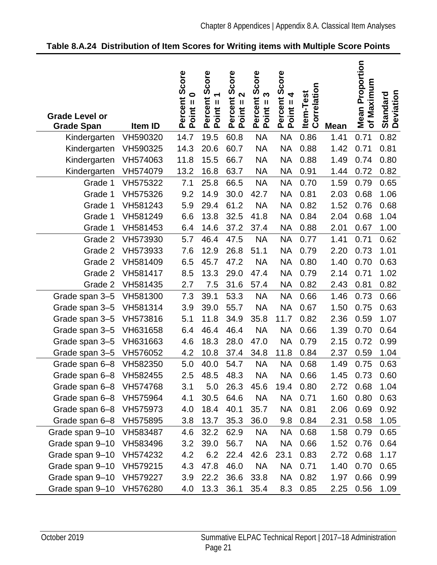| <b>Grade Level or</b><br><b>Grade Span</b> | Item ID  | Score<br>$\bullet$<br>Percent<br>$Point =$ | Score<br>T<br>Percent<br>$Point =$ | Score<br>2<br>Percent :<br>Point = 2 | Score<br>$Point = 3$<br>Percent | Percent Score<br>Point = 4 | Correlation<br>Item-Test | <b>Mean</b> | <b>Mean Proportion</b><br>of Maximum | <b>Standard</b><br>Deviation |
|--------------------------------------------|----------|--------------------------------------------|------------------------------------|--------------------------------------|---------------------------------|----------------------------|--------------------------|-------------|--------------------------------------|------------------------------|
| Kindergarten                               | VH590320 | 14.7                                       | 19.5                               | 60.8                                 | <b>NA</b>                       | <b>NA</b>                  | 0.86                     | 1.41        | 0.71                                 | 0.82                         |
| Kindergarten                               | VH590325 | 14.3                                       | 20.6                               | 60.7                                 | <b>NA</b>                       | <b>NA</b>                  | 0.88                     | 1.42        | 0.71                                 | 0.81                         |
| Kindergarten                               | VH574063 | 11.8                                       | 15.5                               | 66.7                                 | <b>NA</b>                       | <b>NA</b>                  | 0.88                     | 1.49        | 0.74                                 | 0.80                         |
| Kindergarten                               | VH574079 | 13.2                                       | 16.8                               | 63.7                                 | <b>NA</b>                       | <b>NA</b>                  | 0.91                     | 1.44        | 0.72                                 | 0.82                         |
| Grade 1                                    | VH575322 | 7.1                                        | 25.8                               | 66.5                                 | <b>NA</b>                       | <b>NA</b>                  | 0.70                     | 1.59        | 0.79                                 | 0.65                         |
| Grade 1                                    | VH575326 | 9.2                                        | 14.9                               | 30.0                                 | 42.7                            | <b>NA</b>                  | 0.81                     | 2.03        | 0.68                                 | 1.06                         |
| Grade 1                                    | VH581243 | 5.9                                        | 29.4                               | 61.2                                 | <b>NA</b>                       | <b>NA</b>                  | 0.82                     | 1.52        | 0.76                                 | 0.68                         |
| Grade 1                                    | VH581249 | 6.6                                        | 13.8                               | 32.5                                 | 41.8                            | <b>NA</b>                  | 0.84                     | 2.04        | 0.68                                 | 1.04                         |
| Grade 1                                    | VH581453 | 6.4                                        | 14.6                               | 37.2                                 | 37.4                            | <b>NA</b>                  | 0.88                     | 2.01        | 0.67                                 | 1.00                         |
| Grade 2                                    | VH573930 | 5.7                                        | 46.4                               | 47.5                                 | <b>NA</b>                       | <b>NA</b>                  | 0.77                     | 1.41        | 0.71                                 | 0.62                         |
| Grade 2                                    | VH573933 | 7.6                                        | 12.9                               | 26.8                                 | 51.1                            | <b>NA</b>                  | 0.79                     | 2.20        | 0.73                                 | 1.01                         |
| Grade 2                                    | VH581409 | 6.5                                        | 45.7                               | 47.2                                 | <b>NA</b>                       | <b>NA</b>                  | 0.80                     | 1.40        | 0.70                                 | 0.63                         |
| Grade 2                                    | VH581417 | 8.5                                        | 13.3                               | 29.0                                 | 47.4                            | <b>NA</b>                  | 0.79                     | 2.14        | 0.71                                 | 1.02                         |
| Grade 2                                    | VH581435 | 2.7                                        | 7.5                                | 31.6                                 | 57.4                            | <b>NA</b>                  | 0.82                     | 2.43        | 0.81                                 | 0.82                         |
| Grade span 3-5                             | VH581300 | 7.3                                        | 39.1                               | 53.3                                 | <b>NA</b>                       | <b>NA</b>                  | 0.66                     | 1.46        | 0.73                                 | 0.66                         |
| Grade span 3-5                             | VH581314 | 3.9                                        | 39.0                               | 55.7                                 | <b>NA</b>                       | <b>NA</b>                  | 0.67                     | 1.50        | 0.75                                 | 0.63                         |
| Grade span 3-5                             | VH573816 | 5.1                                        | 11.8                               | 34.9                                 | 35.8                            | 11.7                       | 0.82                     | 2.36        | 0.59                                 | 1.07                         |
| Grade span 3-5                             | VH631658 | 6.4                                        | 46.4                               | 46.4                                 | <b>NA</b>                       | <b>NA</b>                  | 0.66                     | 1.39        | 0.70                                 | 0.64                         |
| Grade span 3-5                             | VH631663 | 4.6                                        | 18.3                               | 28.0                                 | 47.0                            | <b>NA</b>                  | 0.79                     | 2.15        | 0.72                                 | 0.99                         |
| Grade span 3-5                             | VH576052 | 4.2                                        | 10.8                               | 37.4                                 | 34.8                            | 11.8                       | 0.84                     | 2.37        | 0.59                                 | 1.04                         |
| Grade span 6-8                             | VH582350 | 5.0                                        | 40.0                               | 54.7                                 | <b>NA</b>                       | <b>NA</b>                  | 0.68                     | 1.49        | 0.75                                 | 0.63                         |
| Grade span 6-8                             | VH582455 | 2.5                                        | 48.5                               | 48.3                                 | <b>NA</b>                       | <b>NA</b>                  | 0.66                     | 1.45        | 0.73                                 | 0.60                         |
| Grade span 6-8                             | VH574768 | 3.1                                        | 5.0                                | 26.3                                 | 45.6                            | 19.4                       | 0.80                     | 2.72        | 0.68                                 | 1.04                         |
| Grade span 6-8                             | VH575964 | 4.1                                        | 30.5                               | 64.6                                 | <b>NA</b>                       | <b>NA</b>                  | 0.71                     | 1.60        | 0.80                                 | 0.63                         |
| Grade span 6-8                             | VH575973 | 4.0                                        | 18.4                               | 40.1                                 | 35.7                            | NA                         | 0.81                     | 2.06        | 0.69                                 | 0.92                         |
| Grade span 6-8                             | VH575895 | 3.8                                        | 13.7                               | 35.3                                 | 36.0                            | 9.8                        | 0.84                     | 2.31        | 0.58                                 | 1.05                         |
| Grade span 9-10                            | VH583487 | 4.6                                        | 32.2                               | 62.9                                 | <b>NA</b>                       | NA                         | 0.68                     | 1.58        | 0.79                                 | 0.65                         |
| Grade span 9-10                            | VH583496 | 3.2                                        | 39.0                               | 56.7                                 | <b>NA</b>                       | <b>NA</b>                  | 0.66                     | 1.52        | 0.76                                 | 0.64                         |
| Grade span 9-10                            | VH574232 | 4.2                                        | 6.2                                | 22.4                                 | 42.6                            | 23.1                       | 0.83                     | 2.72        | 0.68                                 | 1.17                         |
| Grade span 9-10                            | VH579215 | 4.3                                        | 47.8                               | 46.0                                 | <b>NA</b>                       | <b>NA</b>                  | 0.71                     | 1.40        | 0.70                                 | 0.65                         |
| Grade span 9-10                            | VH579227 | 3.9                                        | 22.2                               | 36.6                                 | 33.8                            | <b>NA</b>                  | 0.82                     | 1.97        | 0.66                                 | 0.99                         |
| Grade span 9-10                            | VH576280 | 4.0                                        | 13.3                               | 36.1                                 | 35.4                            | 8.3                        | 0.85                     | 2.25        | 0.56                                 | 1.09                         |

#### <span id="page-24-0"></span>**Table 8.A.24 Distribution of Item Scores for Writing items with Multiple Score Points**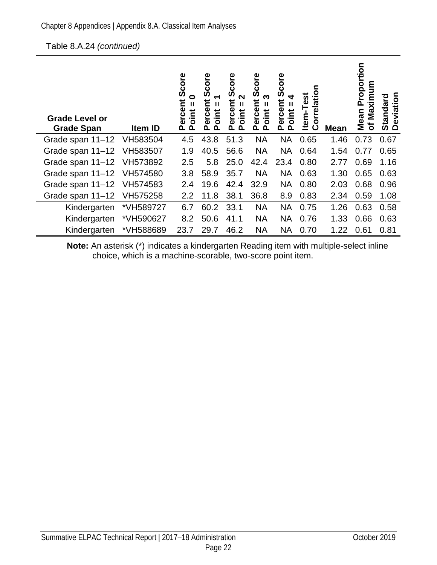| <b>Grade Level or</b><br><b>Grade Span</b> | Item ID   | Score<br>0<br>Ĕ<br>Ш<br>e<br>පර<br>oint<br>Δ.<br>മ | core<br>Ō<br>ミ<br>Ш<br>ercel<br><b>Jint</b><br>൨<br>൨ | Score<br>N<br>՟<br>Ш<br>ercel<br>oint<br>൨<br>൨ | core<br>Û)<br>ო<br>ercent<br>Ш<br>oint<br>൨<br>$\Omega$ | Score<br>ercent<br>Ш<br>oint<br>൨<br>൨ | rrelation<br>Item-Test<br>ပိ | <b>Mean</b> | roportion<br>ximum<br>$\mathbf{a}$<br>Σã<br>Mean<br>ัธ | Deviation<br><b>Standard</b> |
|--------------------------------------------|-----------|----------------------------------------------------|-------------------------------------------------------|-------------------------------------------------|---------------------------------------------------------|----------------------------------------|------------------------------|-------------|--------------------------------------------------------|------------------------------|
| Grade span 11-12                           | VH583504  | 4.5                                                | 43.8                                                  | 51.3                                            | <b>NA</b>                                               | <b>NA</b>                              | 0.65                         | 1.46        | 0.73                                                   | 0.67                         |
| Grade span 11-12                           | VH583507  | 1.9                                                | 40.5                                                  | 56.6                                            | <b>NA</b>                                               | <b>NA</b>                              | 0.64                         | 1.54        | 0.77                                                   | 0.65                         |
| Grade span 11-12                           | VH573892  | 2.5                                                | 5.8                                                   | 25.0                                            | 42.4                                                    | 23.4                                   | 0.80                         | 2.77        | 0.69                                                   | 1.16                         |
| Grade span 11-12                           | VH574580  | 3.8                                                | 58.9                                                  | 35.7                                            | <b>NA</b>                                               | <b>NA</b>                              | 0.63                         | 1.30        | 0.65                                                   | 0.63                         |
| Grade span 11-12 VH574583                  |           | 2.4                                                | 19.6                                                  | 42.4                                            | 32.9                                                    | <b>NA</b>                              | 0.80                         | 2.03        | 0.68                                                   | 0.96                         |
| Grade span 11-12                           | VH575258  | 2.2                                                | 11.8                                                  | 38.1                                            | 36.8                                                    | 8.9                                    | 0.83                         | 2.34        | 0.59                                                   | 1.08                         |
| Kindergarten                               | *VH589727 | 6.7                                                | 60.2                                                  | 33.1                                            | <b>NA</b>                                               | <b>NA</b>                              | 0.75                         | 1.26        | 0.63                                                   | 0.58                         |
| Kindergarten                               | *VH590627 | 8.2                                                | 50.6                                                  | 41.1                                            | <b>NA</b>                                               | <b>NA</b>                              | 0.76                         | 1.33        | 0.66                                                   | 0.63                         |
| Kindergarten                               | *VH588689 | 23.7                                               | 29.7                                                  | 46.2                                            | <b>NA</b>                                               | <b>NA</b>                              | 0.70                         | 1.22        | 0.61                                                   | 0.81                         |

**Note:** An asterisk (\*) indicates a kindergarten Reading item with multiple-select inline choice, which is a machine-scorable, two-score point item.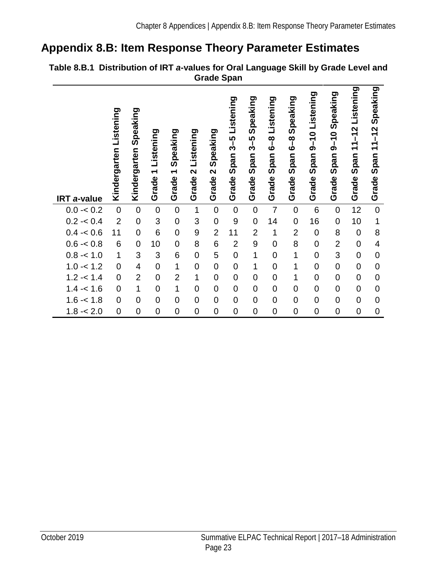### <span id="page-26-0"></span>**Appendix 8.B: Item Response Theory Parameter Estimates**

|             |                           |                          |                                                |                                |                                         |                                              | Orauc Opan                                          |                                             |                                           |                                            |                                        |                                       |                                                      |                              |
|-------------|---------------------------|--------------------------|------------------------------------------------|--------------------------------|-----------------------------------------|----------------------------------------------|-----------------------------------------------------|---------------------------------------------|-------------------------------------------|--------------------------------------------|----------------------------------------|---------------------------------------|------------------------------------------------------|------------------------------|
| IRT a-value | Listening<br>Kindergarten | Speaking<br>Kindergarten | Listening<br>$\overline{\phantom{0}}$<br>Grade | Speaking<br>Grade <sub>1</sub> | Listening<br>$\mathbf{\Omega}$<br>Grade | Speaking<br>$\overline{\mathbf{C}}$<br>Grade | Listening<br>rÙ.<br>ကို<br>neq<br><u>ທ</u><br>Grade | Speaking<br><u>ທ</u><br>က်<br>Span<br>Grade | Listening<br><u>ဇိ –</u><br>Span<br>Grade | Speaking<br>$\frac{8}{6}$<br>Span<br>Grade | Listening<br>$9 - 10$<br>Span<br>Grade | Speaking<br>$9 - 10$<br>Span<br>Grade | Listening<br>$11 - 12$<br>Span <sup>-</sup><br>Grade | Speaking<br>Grade Span 11-12 |
| $0.0 - 0.2$ | $\overline{0}$            | $\boldsymbol{0}$         | $\pmb{0}$                                      | $\mathbf 0$                    | 1                                       | $\mathbf 0$                                  | $\mathbf 0$                                         | $\mathbf 0$                                 | $\overline{7}$                            | $\pmb{0}$                                  | 6                                      | $\mathbf 0$                           | 12                                                   | $\mathbf 0$                  |
| $0.2 - 0.4$ | $\overline{2}$            | $\mathbf 0$              | 3                                              | $\mathbf 0$                    | 3                                       | $\mathbf 0$                                  | 9                                                   | $\mathbf 0$                                 | 14                                        | $\overline{0}$                             | 16                                     | $\mathbf 0$                           | 10                                                   | 1                            |
| $0.4 - 0.6$ | 11                        | $\mathbf 0$              | $6\phantom{1}6$                                | $\mathbf 0$                    | 9                                       | $\overline{2}$                               | 11                                                  | $\overline{2}$                              | $\mathbf 1$                               | $\overline{2}$                             | $\mathbf 0$                            | 8                                     | $\mathbf 0$                                          | 8                            |
| $0.6 - 0.8$ | 6                         | $\mathbf 0$              | 10                                             | $\mathbf 0$                    | 8                                       | 6                                            | $\overline{2}$                                      | 9                                           | $\overline{0}$                            | 8                                          | $\mathbf 0$                            | $\overline{2}$                        | $\mathbf 0$                                          | $\overline{4}$               |
| $0.8 - 1.0$ | $\mathbf{1}$              | 3                        | 3                                              | 6                              | $\mathbf 0$                             | 5                                            | $\mathbf 0$                                         | $\mathbf 1$                                 | $\overline{0}$                            | 1                                          | $\overline{0}$                         | 3                                     | $\mathbf 0$                                          | $\boldsymbol{0}$             |
| $1.0 - 1.2$ | $\overline{0}$            | $\overline{\mathcal{A}}$ | $\mathbf 0$                                    | 1                              | $\mathbf 0$                             | $\mathbf 0$                                  | $\boldsymbol{0}$                                    | 1                                           | $\mathbf 0$                               | 1                                          | $\mathbf 0$                            | $\mathbf 0$                           | $\mathbf 0$                                          | $\mathbf 0$                  |
| $1.2 - 1.4$ | $\mathbf 0$               | $\overline{2}$           | $\mathbf 0$                                    | $\overline{2}$                 | 1                                       | $\overline{0}$                               | $\mathbf 0$                                         | $\mathbf 0$                                 | $\overline{0}$                            | 1                                          | $\overline{0}$                         | $\mathbf 0$                           | $\mathbf 0$                                          | $\mathbf 0$                  |
| $1.4 - 1.6$ | $\overline{0}$            | 1                        | $\mathbf 0$                                    | $\mathbf 1$                    | $\overline{0}$                          | $\mathbf 0$                                  | $\overline{0}$                                      | $\mathbf 0$                                 | $\mathbf 0$                               | $\mathbf 0$                                | $\overline{0}$                         | $\mathbf 0$                           | $\mathbf 0$                                          | $\mathbf 0$                  |
| $1.6 - 1.8$ | $\boldsymbol{0}$          | $\mathbf 0$              | $\mathbf 0$                                    | $\mathbf 0$                    | $\mathbf 0$                             | $\mathbf 0$                                  | $\mathbf 0$                                         | $\boldsymbol{0}$                            | $\mathbf 0$                               | $\mathbf 0$                                | $\mathbf 0$                            | $\mathbf 0$                           | $\mathbf 0$                                          | $\mathbf 0$                  |
| $1.8 - 2.0$ | $\mathbf 0$               | $\mathbf 0$              | $\mathbf 0$                                    | $\mathbf 0$                    | $\mathbf 0$                             | $\overline{0}$                               | $\mathbf 0$                                         | $\mathbf 0$                                 | $\overline{0}$                            | $\mathbf 0$                                | $\overline{0}$                         | $\mathbf 0$                           | $\mathbf 0$                                          | $\mathbf 0$                  |

#### <span id="page-26-1"></span>**Table 8.B.1 Distribution of IRT** *a***-values for Oral Language Skill by Grade Level and Grade Span**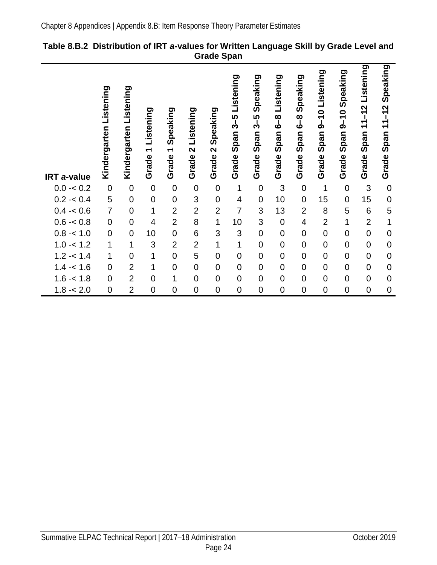| <b>IRT</b> a-value | Listening<br>Kindergarten | Listening<br>Kindergarten | Listening<br>$\overline{\phantom{0}}$<br>Grade | Speaking<br>$\overline{\phantom{0}}$<br>Grade | Listening<br>$\mathbf{\Omega}$<br>Grade | Speaking<br>$\mathbf{\Omega}$<br>Grade | Listening<br>$3-5$<br>pan<br><u>ທ</u><br>Grade | Speaking<br>$3 - 5$<br>Span<br>Grade | Listening<br><u>ရီ</u><br>Span<br>Grade | Speaking<br><u>၀</u><br>Span<br>Grade | Listening<br>$\bullet$<br>$\bar{5}$<br>Span<br>Grade | Speaking<br>$9 - 10$<br>Span<br>Grade | Listening<br>$11 - 12$<br>Span<br>Grade | Speaking<br>$-12$<br>$\frac{4}{\sqrt{2}}$<br>Span ·<br>Grade |
|--------------------|---------------------------|---------------------------|------------------------------------------------|-----------------------------------------------|-----------------------------------------|----------------------------------------|------------------------------------------------|--------------------------------------|-----------------------------------------|---------------------------------------|------------------------------------------------------|---------------------------------------|-----------------------------------------|--------------------------------------------------------------|
| $0.0 - 0.2$        | $\mathsf 0$               | $\mathbf 0$               | $\mathbf 0$                                    | $\mathbf 0$                                   | $\mathbf 0$                             | $\mathbf 0$                            | $\mathbf 1$                                    | $\mathbf 0$                          | 3                                       | $\mathbf 0$                           | 1                                                    | $\mathbf 0$                           | 3                                       | $\mathbf 0$                                                  |
| $0.2 - 0.4$        | 5                         | $\mathbf 0$               | $\mathbf 0$                                    | $\mathbf 0$                                   | 3                                       | $\mathbf 0$                            | $\overline{\mathcal{A}}$                       | $\mathbf 0$                          | 10                                      | $\mathbf 0$                           | 15                                                   | $\mathbf 0$                           | 15                                      | $\mathbf 0$                                                  |
| $0.4 - 0.6$        | $\overline{7}$            | $\mathbf 0$               | 1                                              | $\overline{2}$                                | $\overline{2}$                          | $\overline{2}$                         | $\overline{7}$                                 | 3                                    | 13                                      | $\overline{2}$                        | 8                                                    | 5                                     | 6                                       | 5                                                            |
| $0.6 - 0.8$        | $\overline{0}$            | $\overline{0}$            | $\overline{4}$                                 | $\overline{2}$                                | 8                                       | 1                                      | 10                                             | 3                                    | $\mathbf 0$                             | 4                                     | $\overline{2}$                                       | $\mathbf 1$                           | $\overline{2}$                          | $\mathbf 1$                                                  |
| $0.8 - 1.0$        | $\mathsf 0$               | $\overline{0}$            | 10                                             | $\mathbf 0$                                   | 6                                       | 3                                      | 3                                              | $\pmb{0}$                            | $\mathbf 0$                             | $\overline{0}$                        | $\mathsf 0$                                          | $\mathbf 0$                           | $\overline{0}$                          | $\mathbf 0$                                                  |
| $1.0 - 1.2$        | 1                         | 1                         | 3                                              | $\overline{2}$                                | $\overline{2}$                          | $\overline{1}$                         | $\mathbf{1}$                                   | $\pmb{0}$                            | $\mathbf 0$                             | $\overline{0}$                        | $\mathsf 0$                                          | $\mathbf 0$                           | $\mathbf 0$                             | $\mathbf 0$                                                  |
| $1.2 - 1.4$        | 1                         | $\mathbf 0$               | 1                                              | $\overline{0}$                                | 5                                       | $\overline{0}$                         | $\pmb{0}$                                      | $\mathbf 0$                          | $\mathbf 0$                             | $\mathbf 0$                           | $\boldsymbol{0}$                                     | $\mathbf 0$                           | $\mathbf 0$                             | $\mathbf 0$                                                  |
| $1.4 - 1.6$        | 0                         | $\overline{2}$            | 1                                              | $\mathbf 0$                                   | $\mathbf 0$                             | $\overline{0}$                         | $\mathbf 0$                                    | $\mathbf 0$                          | $\mathbf 0$                             | $\overline{0}$                        | $\mathsf 0$                                          | $\mathbf 0$                           | $\overline{0}$                          | $\mathbf 0$                                                  |
| $1.6 - 1.8$        | $\overline{0}$            | $\overline{2}$            | $\overline{0}$                                 | $\mathbf 1$                                   | $\overline{0}$                          | $\overline{0}$                         | $\mathbf 0$                                    | $\overline{0}$                       | $\overline{0}$                          | $\overline{0}$                        | $\mathsf 0$                                          | $\mathbf 0$                           | $\overline{0}$                          | $\overline{0}$                                               |
| 1.8<br>$-2.0$      | $\mathsf 0$               | $\overline{2}$            | $\mathbf 0$                                    | $\overline{0}$                                | $\overline{0}$                          | $\overline{0}$                         | $\mathbf 0$                                    | $\overline{0}$                       | $\overline{0}$                          | $\mathbf 0$                           | $\mathbf 0$                                          | $\overline{0}$                        | $\overline{0}$                          | $\mathbf 0$                                                  |

#### <span id="page-27-0"></span>**Table 8.B.2 Distribution of IRT** *a***-values for Written Language Skill by Grade Level and Grade Span**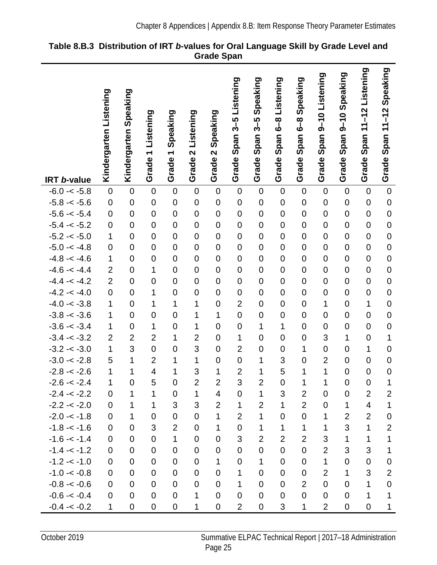|                                 |                        |                       |                                  |                               |                         |                               | Listening                     | Speaking            | 6-8 Listening       | Speaking         | 9-10 Listening                | 9-10 Speaking                 | 11-12 Listening               | Speaking                      |
|---------------------------------|------------------------|-----------------------|----------------------------------|-------------------------------|-------------------------|-------------------------------|-------------------------------|---------------------|---------------------|------------------|-------------------------------|-------------------------------|-------------------------------|-------------------------------|
|                                 | Kindergarten Listening | Kindergarten Speaking |                                  |                               |                         |                               |                               |                     |                     |                  |                               |                               |                               |                               |
|                                 |                        |                       | Listening                        | Speaking                      | Listening               | Speaking                      |                               | 3–5<br>გ            |                     | <u>8</u><br>6    |                               |                               |                               | Span $11-12$                  |
|                                 |                        |                       |                                  |                               |                         |                               | Span 3-5                      |                     |                     |                  |                               |                               |                               |                               |
|                                 |                        |                       | $\overline{\phantom{0}}$         | $\blacktriangledown$          | $\overline{\mathbf{C}}$ | $\overline{\mathbf{C}}$       |                               | Span <sup>3</sup>   | Span                | Span             | Span:                         | Span <sub>5</sub>             | Span                          |                               |
|                                 |                        |                       |                                  |                               |                         |                               |                               |                     |                     |                  |                               |                               |                               |                               |
| <b>IRT b-value</b>              |                        |                       | Grade                            | Grade                         | Grade                   | Grade                         | Grade                         | Grade               | Grade               | Grade            | Grade                         | Grade                         | Grade                         | Grade                         |
| $-6.0 - < -5.8$                 | $\pmb{0}$              | $\mathbf 0$           | $\mathbf 0$                      | $\mathbf 0$                   | $\boldsymbol{0}$        | $\mathsf 0$                   | $\mathbf 0$                   | $\mathbf 0$         | $\mathbf 0$         | $\mathbf 0$      | $\mathbf 0$                   | $\mathbf 0$                   | $\mathbf 0$                   | $\mathbf 0$                   |
| $-5.8 - 5.6$                    | $\mathbf 0$            | $\overline{0}$        | $\mathbf 0$                      | $\mathbf 0$                   | $\mathbf 0$             | $\mathbf 0$                   | $\mathbf 0$                   | $\mathbf 0$         | $\mathbf 0$         | $\mathbf 0$      | $\mathbf 0$                   | $\mathbf 0$                   | $\mathbf 0$                   | $\mathbf 0$                   |
| $-5.6 - < -5.4$                 | $\mathbf 0$            | $\mathbf 0$           | $\mathbf 0$                      | $\mathbf 0$                   | $\mathbf 0$             | $\mathbf 0$                   | $\mathbf 0$                   | $\mathbf 0$         | $\mathbf 0$         | $\mathbf 0$      | $\mathbf 0$                   | $\mathbf 0$                   | $\mathbf 0$                   | $\overline{0}$                |
| $-5.4 - < -5.2$                 | $\pmb{0}$              | $\overline{0}$        | $\mathbf 0$                      | $\mathbf 0$                   | $\mathbf 0$             | $\overline{0}$                | $\mathbf 0$                   | $\mathbf 0$         | $\overline{0}$      | $\mathbf 0$      | $\mathbf 0$                   | $\mathbf 0$                   | $\mathbf 0$                   | $\overline{0}$                |
| $-5.2 - < -5.0$                 | 1                      | $\mathbf 0$           | $\mathbf 0$                      | $\mathbf 0$                   | $\mathbf 0$             | $\mathbf 0$                   | $\mathbf 0$                   | $\mathbf 0$         | $\mathbf 0$         | $\mathbf 0$      | $\mathbf 0$                   | $\mathbf 0$                   | $\mathbf 0$                   | $\overline{0}$                |
| $-5.0 - < -4.8$                 | $\mathbf 0$            | $\mathbf 0$           | $\mathbf 0$                      | $\mathbf 0$                   | $\mathbf 0$             | $\mathbf 0$                   | $\mathbf 0$                   | $\mathbf 0$         | $\mathbf 0$         | $\mathbf 0$      | $\mathbf 0$                   | $\mathbf 0$                   | $\mathbf 0$                   | $\mathbf 0$                   |
| $-4.8 - -4.6$                   | 1                      | $\overline{0}$        | $\mathbf 0$                      | $\mathbf 0$                   | $\mathbf 0$             | $\overline{0}$                | $\mathbf 0$                   | $\mathbf 0$         | $\overline{0}$      | $\mathbf 0$      | $\mathbf 0$                   | $\overline{0}$                | $\overline{0}$                | $\overline{0}$                |
| $-4.6 - -4.4$                   | $\overline{2}$         | $\mathbf 0$           | 1                                | $\mathbf 0$                   | $\mathbf 0$             | $\mathbf 0$                   | $\mathbf 0$                   | $\mathbf 0$         | $\mathbf 0$         | $\overline{0}$   | $\mathbf 0$                   | $\mathbf 0$                   | $\mathbf 0$                   | $\overline{0}$                |
| $-4.4 - < -4.2$                 | $\overline{2}$         | $\overline{0}$        | $\mathbf 0$                      | $\mathbf 0$                   | $\overline{0}$          | $\mathbf 0$                   | $\mathbf 0$                   | $\mathbf 0$         | $\mathbf 0$         | $\mathbf 0$      | $\mathbf 0$                   | $\overline{0}$                | $\mathbf 0$                   | $\overline{0}$                |
| $-4.2 - 4.0$                    | $\mathbf 0$            | $\overline{0}$        | 1                                | $\mathbf 0$                   | $\mathbf 0$             | $\overline{0}$                | $\mathbf 0$                   | $\mathbf 0$         | $\overline{0}$      | $\overline{0}$   | $\mathbf 0$                   | $\overline{0}$                | $\mathbf 0$                   | $\overline{0}$                |
| $-4.0 - < -3.8$                 | 1                      | $\mathbf 0$           | 1                                | 1                             | 1                       | $\mathbf 0$                   | $\overline{2}$                | $\mathbf 0$         | $\mathbf 0$         | $\mathbf 0$      | 1                             | $\mathbf 0$                   | $\mathbf 1$                   | $\overline{0}$                |
| $-3.8 - 3.6$                    | 1                      | $\overline{0}$        | $\mathbf 0$                      | $\mathbf 0$                   | 1                       | 1                             | $\mathbf 0$                   | $\mathbf 0$         | $\mathbf 0$         | $\mathbf 0$      | $\mathbf 0$                   | $\overline{0}$                | $\mathbf 0$                   | $\overline{0}$                |
| $-3.6 - < -3.4$                 | 1                      | $\overline{0}$        | 1                                | $\mathbf 0$                   | 1                       | $\mathbf 0$                   | $\mathbf 0$                   | 1                   | 1                   | $\overline{0}$   | $\mathbf 0$                   | $\mathbf 0$                   | $\overline{0}$                | $\overline{0}$                |
| $-3.4 - 3.2$                    | $\overline{2}$         | $\overline{2}$<br>3   | $\overline{2}$<br>$\overline{0}$ | $\mathbf 1$                   | $\overline{2}$          | $\overline{0}$                | 1                             | $\mathbf 0$         | $\mathbf 0$         | $\overline{0}$   | 3                             | 1                             | $\mathbf 0$                   | $\mathbf{1}$                  |
| $-3.2 - 3.0$                    | 1<br>5                 | 1                     | $\overline{2}$                   | $\overline{0}$<br>$\mathbf 1$ | 3<br>1                  | $\overline{0}$<br>$\mathbf 0$ | $\overline{2}$<br>$\mathbf 0$ | $\overline{0}$<br>1 | $\overline{0}$<br>3 | 1<br>$\mathbf 0$ | $\mathbf 0$<br>$\overline{2}$ | $\overline{0}$<br>$\mathbf 0$ | $\overline{1}$<br>$\mathbf 0$ | $\overline{0}$<br>$\mathbf 0$ |
| $-3.0 - < -2.8$<br>$-2.8 - 2.6$ | 1                      | 1                     | $\overline{\mathbf{4}}$          | $\mathbf 1$                   | 3                       | 1                             | $\overline{2}$                | 1                   | 5                   | 1                | $\mathbf 1$                   | $\mathbf 0$                   | $\mathbf 0$                   | $\mathbf 0$                   |
| $-2.6 - 2.4$                    | 1                      | $\mathbf 0$           | 5                                | $\mathbf 0$                   | $\overline{2}$          | $\overline{2}$                | 3                             | $\overline{2}$      | $\mathbf 0$         | 1                | 1                             | $\mathbf 0$                   | $\overline{0}$                | 1                             |
| $-2.4 - 2.2$                    | $\mathbf 0$            | 1                     | 1                                | $\mathbf 0$                   | $\mathbf 1$             | 4                             | $\mathbf 0$                   | $\mathbf 1$         | 3                   | $\overline{2}$   | $\mathbf 0$                   | 0                             | $\overline{2}$                | $\mathbf{2}$                  |
| $-2.2 - 2.0$                    | $\mathbf 0$            | 1                     | 1                                | 3                             | 3                       | $\overline{2}$                | 1                             | $\overline{2}$      | $\mathbf{1}$        | $\overline{2}$   | $\overline{0}$                | $\mathbf{1}$                  | $\overline{\mathbf{4}}$       | 1                             |
| $-2.0 - 1.8$                    | $\mathbf 0$            | 1                     | $\mathbf 0$                      | $\mathbf 0$                   | $\Omega$                | 1                             | $\overline{2}$                | 1                   | $\mathbf 0$         | $\overline{0}$   | 1                             | $\overline{2}$                | $\overline{2}$                | $\mathbf 0$                   |
| $-1.8 - -1.6$                   | $\mathbf 0$            | 0                     | 3                                | $\overline{2}$                | $\mathbf 0$             | 1                             | $\mathbf 0$                   | $\mathbf 1$         | $\mathbf{1}$        | $\mathbf{1}$     | 1                             | 3                             | $\mathbf{1}$                  | $\overline{2}$                |
| $-1.6 - < -1.4$                 | $\mathbf 0$            | $\mathbf 0$           | $\mathbf 0$                      | 1                             | $\mathbf 0$             | $\mathbf 0$                   | 3                             | $\overline{2}$      | $\overline{2}$      | $\overline{2}$   | 3                             | $\mathbf{1}$                  | 1                             | 1                             |
| $-1.4 - -1.2$                   | $\mathbf 0$            | $\mathbf 0$           | $\mathbf 0$                      | $\mathbf 0$                   | $\mathbf 0$             | $\mathbf 0$                   | $\mathbf 0$                   | $\mathbf 0$         | $\mathbf 0$         | $\mathbf 0$      | $\overline{2}$                | 3                             | 3                             | 1                             |
| $-1.2 - 1.0$                    | $\mathbf 0$            | 0                     | 0                                | 0                             | $\mathbf 0$             | $\mathbf{1}$                  | $\pmb{0}$                     | $\mathbf 1$         | 0                   | $\mathbf 0$      | $\mathbf{1}$                  | 0                             | $\mathbf 0$                   | $\mathbf 0$                   |
| $-1.0 - < -0.8$                 | $\mathbf 0$            | 0                     | $\mathbf 0$                      | $\mathbf 0$                   | 0                       | $\overline{0}$                | 1                             | 0                   | $\overline{0}$      | $\mathbf 0$      | $\overline{2}$                | $\mathbf{1}$                  | 3                             | $\overline{2}$                |
| $-0.8 - 0.6$                    | $\mathbf 0$            | $\mathbf 0$           | $\mathbf 0$                      | $\mathbf 0$                   | $\mathbf 0$             | $\mathbf 0$                   | 1                             | $\mathbf 0$         | $\mathbf 0$         | $\overline{2}$   | $\mathbf 0$                   | $\mathbf 0$                   | $\mathbf 1$                   | $\mathbf 0$                   |
| $-0.6 - < -0.4$                 | $\mathbf 0$            | $\mathbf 0$           | $\overline{0}$                   | $\mathbf 0$                   | $\mathbf{1}$            | $\overline{0}$                | $\mathbf 0$                   | 0                   | $\overline{0}$      | $\overline{0}$   | $\mathbf 0$                   | 0                             | 1                             | 1                             |
| $-0.4 - 0.2$                    | 1                      | 0                     | $\pmb{0}$                        | $\boldsymbol{0}$              | $\mathbf{1}$            | $\boldsymbol{0}$              | $\overline{2}$                | $\pmb{0}$           | $\mathfrak{S}$      | $\mathbf 1$      | $\overline{2}$                | $\pmb{0}$                     | $\pmb{0}$                     | $\mathbf 1$                   |

<span id="page-28-0"></span>**Table 8.B.3 Distribution of IRT** *b***-values for Oral Language Skill by Grade Level and Grade Span**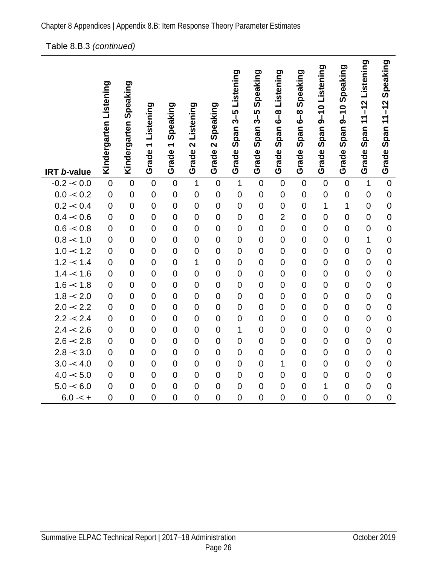[Table 8.B.3](#page-28-0) *(continued)*

|                    |                        | Speaking       |                    |                                      |                |                               |                    | Speaking                      |                          | Speaking              |                     |                    |                            | Speaking         |
|--------------------|------------------------|----------------|--------------------|--------------------------------------|----------------|-------------------------------|--------------------|-------------------------------|--------------------------|-----------------------|---------------------|--------------------|----------------------------|------------------|
|                    | Kindergarten Listening | Kindergarten   | Listening          | Speaking<br>$\overline{\phantom{0}}$ | 2 Listening    | Speaking<br>$\mathbf{\Omega}$ | Span 3-5 Listening | 3–5<br>გ<br>Span <sup>-</sup> | Grade Span 6-8 Listening | $\frac{8}{6}$<br>Span | Span 9-10 Listening | Span 9-10 Speaking | Grade Span 11-12 Listening | Span 11-12       |
| <b>IRT b-value</b> |                        |                | Grade <sub>1</sub> | Grade                                | Grade          | Grade                         | Grade              | Grade                         |                          | Grade                 | Grade               | Grade              |                            | Grade            |
| $-0.2 - 0.0$       | $\mathbf 0$            | $\overline{0}$ | $\mathbf 0$        | $\mathbf 0$                          | $\mathbf 1$    | $\mathbf 0$                   | $\mathbf{1}$       | $\mathbf 0$                   | $\mathbf 0$              | $\overline{0}$        | $\mathbf 0$         | $\mathbf 0$        | $\mathbf{1}$               | $\overline{0}$   |
| $0.0 - 0.2$        | $\overline{0}$         | $\overline{0}$ | $\mathbf 0$        | $\mathbf 0$                          | $\mathbf 0$    | $\mathbf 0$                   | $\mathbf 0$        | $\mathbf 0$                   | $\mathbf 0$              | $\mathbf 0$           | $\mathbf 0$         | $\mathbf 0$        | $\mathbf 0$                | $\mathbf 0$      |
| $0.2 - 0.4$        | $\overline{0}$         | $\overline{0}$ | $\overline{0}$     | $\overline{0}$                       | $\mathbf 0$    | $\overline{0}$                | $\overline{0}$     | $\mathbf 0$                   | $\overline{0}$           | $\overline{0}$        | $\overline{1}$      | $\mathbf{1}$       | $\overline{0}$             | $\mathbf 0$      |
| $0.4 - 0.6$        | $\overline{0}$         | $\overline{0}$ | $\overline{0}$     | $\mathbf 0$                          | $\overline{0}$ | $\overline{0}$                | $\overline{0}$     | $\mathbf 0$                   | $\overline{2}$           | $\overline{0}$        | $\overline{0}$      | $\overline{0}$     | $\overline{0}$             | $\overline{0}$   |
| $0.6 - 0.8$        | $\overline{0}$         | $\overline{0}$ | $\mathbf 0$        | $\overline{0}$                       | $\overline{0}$ | $\overline{0}$                | $\overline{0}$     | $\mathbf 0$                   | $\overline{0}$           | $\overline{0}$        | $\overline{0}$      | $\mathbf 0$        | $\overline{0}$             | $\overline{0}$   |
| $0.8 - 1.0$        | $\overline{0}$         | $\overline{0}$ | $\overline{0}$     | $\overline{0}$                       | $\overline{0}$ | $\overline{0}$                | $\overline{0}$     | $\mathbf 0$                   | $\overline{0}$           | $\overline{0}$        | $\overline{0}$      | $\overline{0}$     | 1                          | $\overline{0}$   |
| $1.0 - 1.2$        | $\mathbf 0$            | $\overline{0}$ | $\overline{0}$     | $\mathbf 0$                          | $\overline{0}$ | $\overline{0}$                | $\mathbf 0$        | $\mathbf 0$                   | $\overline{0}$           | $\overline{0}$        | $\overline{0}$      | $\mathbf 0$        | $\overline{0}$             | $\overline{0}$   |
| $1.2 - 1.4$        | $\overline{0}$         | $\overline{0}$ | $\overline{0}$     | $\overline{0}$                       | 1              | $\overline{0}$                | $\mathbf 0$        | $\mathbf 0$                   | $\overline{0}$           | $\overline{0}$        | $\overline{0}$      | $\overline{0}$     | $\overline{0}$             | $\overline{0}$   |
| $1.4 - 1.6$        | $\overline{0}$         | $\overline{0}$ | $\mathbf 0$        | $\mathbf 0$                          | $\overline{0}$ | $\overline{0}$                | $\overline{0}$     | $\mathbf 0$                   | $\overline{0}$           | $\overline{0}$        | $\overline{0}$      | $\overline{0}$     | $\overline{0}$             | $\overline{0}$   |
| $1.6 - 1.8$        | $\mathbf 0$            | $\overline{0}$ | $\overline{0}$     | $\overline{0}$                       | $\overline{0}$ | $\overline{0}$                | $\mathbf 0$        | $\mathbf 0$                   | $\overline{0}$           | $\overline{0}$        | $\overline{0}$      | $\mathbf 0$        | $\overline{0}$             | $\overline{0}$   |
| $1.8 - 2.0$        | $\mathbf 0$            | $\overline{0}$ | $\overline{0}$     | $\overline{0}$                       | $\overline{0}$ | $\overline{0}$                | $\overline{0}$     | $\mathbf 0$                   | $\overline{0}$           | $\overline{0}$        | $\overline{0}$      | $\mathbf 0$        | $\overline{0}$             | $\overline{0}$   |
| $2.0 - 2.2$        | $\overline{0}$         | $\overline{0}$ | $\overline{0}$     | $\overline{0}$                       | $\overline{0}$ | $\overline{0}$                | $\overline{0}$     | $\mathbf 0$                   | $\overline{0}$           | $\overline{0}$        | $\overline{0}$      | $\overline{0}$     | $\overline{0}$             | $\overline{0}$   |
| $2.2 - 2.4$        | $\overline{0}$         | $\overline{0}$ | $\overline{0}$     | $\mathbf 0$                          | $\overline{0}$ | $\overline{0}$                | $\mathbf 0$        | $\mathbf 0$                   | $\overline{0}$           | $\overline{0}$        | $\overline{0}$      | $\overline{0}$     | $\overline{0}$             | $\mathbf 0$      |
| $2.4 - 2.6$        | $\overline{0}$         | $\overline{0}$ | $\mathbf 0$        | $\overline{0}$                       | $\overline{0}$ | $\overline{0}$                | 1                  | $\mathbf 0$                   | $\overline{0}$           | $\overline{0}$        | $\overline{0}$      | $\mathbf 0$        | $\overline{0}$             | $\overline{0}$   |
| $2.6 - 2.8$        | $\overline{0}$         | $\overline{0}$ | $\overline{0}$     | $\overline{0}$                       | $\overline{0}$ | $\overline{0}$                | $\mathbf 0$        | $\mathbf 0$                   | $\overline{0}$           | $\overline{0}$        | $\overline{0}$      | $\overline{0}$     | $\overline{0}$             | $\overline{0}$   |
| $2.8 - 3.0$        | $\overline{0}$         | $\overline{0}$ | $\mathbf 0$        | $\mathbf 0$                          | $\overline{0}$ | $\overline{0}$                | $\mathbf 0$        | $\mathbf 0$                   | $\overline{0}$           | $\overline{0}$        | $\mathbf 0$         | $\overline{0}$     | $\overline{0}$             | $\mathbf 0$      |
| $3.0 - 4.0$        | $\overline{0}$         | $\overline{0}$ | $\mathbf 0$        | $\overline{0}$                       | $\overline{0}$ | $\overline{0}$                | $\mathbf 0$        | $\mathbf 0$                   | 1                        | $\overline{0}$        | $\mathbf 0$         | $\mathbf 0$        | $\overline{0}$             | $\mathbf 0$      |
| $4.0 - 5.0$        | $\overline{0}$         | $\overline{0}$ | $\mathbf 0$        | $\mathbf 0$                          | $\mathbf 0$    | $\overline{0}$                | $\mathbf 0$        | $\mathbf 0$                   | $\overline{0}$           | $\mathbf 0$           | $\mathbf 0$         | $\mathbf 0$        | $\overline{0}$             | $\mathbf 0$      |
| $5.0 - 6.0$        | $\boldsymbol{0}$       | $\overline{0}$ | $\mathbf 0$        | $\mathbf 0$                          | $\mathbf 0$    | $\mathbf 0$                   | $\mathbf 0$        | $\pmb{0}$                     | $\mathbf 0$              | $\mathbf 0$           | 1                   | $\mathbf 0$        | $\overline{0}$             | $\boldsymbol{0}$ |
| $6.0 - 5 +$        | $\mathbf 0$            | $\mathbf 0$    | $\overline{0}$     | $\mathbf 0$                          | $\overline{0}$ | $\mathbf 0$                   | $\overline{0}$     | $\overline{0}$                | $\mathbf 0$              | $\overline{0}$        | $\overline{0}$      | $\overline{0}$     | $\mathbf 0$                | $\overline{0}$   |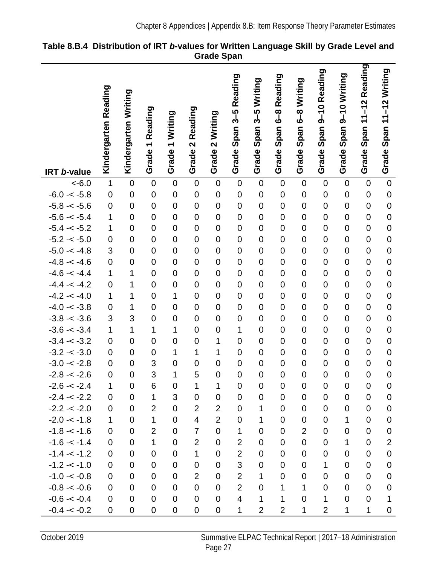|                    |                      |                      |                                  |                                              |                         |                                             | Reading<br>$3 - 5$      | 3-5 Writing      | 6-8 Reading    | Writing<br><u>ဇိ -</u> | 9-10 Reading   | 9-10 Writing   | Reading<br>$11 - 12$ | Span 11-12 Writing |
|--------------------|----------------------|----------------------|----------------------------------|----------------------------------------------|-------------------------|---------------------------------------------|-------------------------|------------------|----------------|------------------------|----------------|----------------|----------------------|--------------------|
| <b>IRT b-value</b> | Kindergarten Reading | Kindergarten Writing | Reading<br>$\leftarrow$<br>Grade | Writing<br>$\overline{\phantom{0}}$<br>Grade | 2 Reading<br>Grade      | Writing<br>$\overline{\mathbf{N}}$<br>Grade | Span:<br>Grade          | Span<br>Grade    | Span<br>Grade  | Span<br>Grade          | Span<br>Grade  | Span<br>Grade  | Span<br>Grade        | Grade              |
| $< -6.0$           | $\mathbf 1$          | $\mathbf 0$          | $\mathbf 0$                      | $\mathbf 0$                                  | $\mathbf 0$             | $\mathbf 0$                                 | $\mathbf 0$             | $\mathbf 0$      | $\mathbf 0$    | $\mathbf 0$            | $\mathbf 0$    | $\mathbf 0$    | $\mathbf 0$          | $\overline{0}$     |
| $-6.0 - < -5.8$    | $\mathbf 0$          | $\overline{0}$       | $\overline{0}$                   | $\mathbf 0$                                  | $\mathbf 0$             | $\mathbf 0$                                 | $\mathbf 0$             | $\mathbf 0$      | $\mathbf 0$    | $\mathbf 0$            | $\overline{0}$ | $\mathbf 0$    | $\mathbf 0$          | $\mathbf 0$        |
| $-5.8 - 5.6$       | $\mathbf 0$          | $\mathbf 0$          | $\mathbf 0$                      | $\mathbf 0$                                  | $\mathbf 0$             | $\mathbf 0$                                 | $\mathbf 0$             | $\mathbf 0$      | $\mathbf 0$    | $\mathbf 0$            | $\mathbf 0$    | $\overline{0}$ | $\mathbf 0$          | $\overline{0}$     |
| $-5.6 - < -5.4$    | 1                    | $\overline{0}$       | $\overline{0}$                   | $\mathbf 0$                                  | $\overline{0}$          | $\mathbf 0$                                 | $\overline{0}$          | $\mathbf 0$      | $\overline{0}$ | $\overline{0}$         | $\overline{0}$ | $\mathbf 0$    | $\mathbf 0$          | $\overline{0}$     |
| $-5.4 - < -5.2$    | 1                    | $\overline{0}$       | $\mathbf 0$                      | $\mathbf 0$                                  | $\mathbf 0$             | $\mathbf 0$                                 | $\mathbf 0$             | $\mathbf 0$      | $\mathbf 0$    | $\mathbf 0$            | $\mathbf 0$    | $\overline{0}$ | $\mathbf 0$          | $\overline{0}$     |
| $-5.2 - < -5.0$    | $\mathbf 0$          | $\overline{0}$       | $\overline{0}$                   | $\mathbf 0$                                  | $\mathbf 0$             | $\mathbf 0$                                 | $\overline{0}$          | $\boldsymbol{0}$ | $\overline{0}$ | $\mathbf 0$            | $\overline{0}$ | $\overline{0}$ | $\mathbf 0$          | $\overline{0}$     |
| $-5.0 - < -4.8$    | 3                    | $\overline{0}$       | $\overline{0}$                   | $\overline{0}$                               | $\overline{0}$          | $\mathbf 0$                                 | $\overline{0}$          | $\mathbf 0$      | $\overline{0}$ | $\overline{0}$         | $\overline{0}$ | $\overline{0}$ | $\mathbf 0$          | $\overline{0}$     |
| $-4.8 - -4.6$      | $\mathsf 0$          | $\overline{0}$       | $\overline{0}$                   | $\mathbf 0$                                  | $\mathbf 0$             | $\mathbf 0$                                 | $\mathbf 0$             | $\mathbf 0$      | $\mathbf 0$    | $\mathbf 0$            | $\mathbf 0$    | $\overline{0}$ | $\mathbf 0$          | $\mathbf 0$        |
| $-4.6 - -4.4$      | 1                    | 1                    | $\overline{0}$                   | $\mathbf 0$                                  | $\overline{0}$          | $\overline{0}$                              | $\mathbf 0$             | $\mathbf 0$      | $\overline{0}$ | $\mathbf 0$            | $\overline{0}$ | $\overline{0}$ | $\overline{0}$       | $\overline{0}$     |
| $-4.4 - < -4.2$    | $\mathbf 0$          | 1                    | $\overline{0}$                   | $\mathbf 0$                                  | $\mathbf 0$             | $\mathbf 0$                                 | $\mathbf 0$             | $\mathbf 0$      | $\mathbf 0$    | $\mathbf 0$            | $\overline{0}$ | $\overline{0}$ | $\mathbf 0$          | $\overline{0}$     |
| $-4.2 - 4.0$       | $\mathbf{1}$         | 1                    | $\overline{0}$                   | $\mathbf 1$                                  | $\mathbf 0$             | $\mathbf 0$                                 | $\mathbf 0$             | $\mathbf 0$      | $\overline{0}$ | $\mathbf 0$            | $\mathbf 0$    | $\overline{0}$ | $\mathbf 0$          | $\mathbf 0$        |
| $-4.0 - < -3.8$    | $\mathsf 0$          | 1                    | $\overline{0}$                   | $\mathbf 0$                                  | $\overline{0}$          | $\overline{0}$                              | $\overline{0}$          | $\mathbf 0$      | $\overline{0}$ | $\overline{0}$         | $\overline{0}$ | $\overline{0}$ | $\overline{0}$       | $\overline{0}$     |
| $-3.8 - 3.6$       | 3                    | 3                    | $\mathbf 0$                      | $\mathbf 0$                                  | $\mathbf 0$             | $\mathbf 0$                                 | $\mathbf 0$             | $\mathbf 0$      | $\mathbf 0$    | $\mathbf 0$            | $\mathbf 0$    | $\mathbf 0$    | $\mathbf 0$          | $\overline{0}$     |
| $-3.6 - < -3.4$    | 1                    | $\overline{1}$       | 1                                | 1                                            | $\mathbf 0$             | $\mathbf 0$                                 | 1                       | $\mathbf 0$      | $\mathbf 0$    | $\mathbf 0$            | $\mathbf 0$    | $\overline{0}$ | $\mathbf 0$          | $\overline{0}$     |
| $-3.4 - < -3.2$    | $\mathsf 0$          | $\overline{0}$       | $\overline{0}$                   | $\mathbf 0$                                  | $\mathbf 0$             | 1                                           | $\overline{0}$          | $\mathbf 0$      | $\overline{0}$ | $\overline{0}$         | $\overline{0}$ | $\mathbf 0$    | $\overline{0}$       | $\overline{0}$     |
| $-3.2 - 3.0$       | $\boldsymbol{0}$     | $\mathbf 0$          | $\mathbf 0$                      | 1                                            | 1                       | 1                                           | $\mathbf 0$             | $\mathbf 0$      | $\mathbf 0$    | $\mathbf 0$            | $\mathbf 0$    | $\overline{0}$ | $\mathbf 0$          | $\overline{0}$     |
| $-3.0 - < -2.8$    | $\mathsf 0$          | $\mathbf 0$          | 3                                | $\overline{0}$                               | $\mathbf 0$             | $\mathbf 0$                                 | $\mathbf 0$             | $\mathbf 0$      | $\mathbf 0$    | $\mathbf 0$            | $\overline{0}$ | $\overline{0}$ | $\mathbf 0$          | $\overline{0}$     |
| $-2.8 - 2.6$       | $\mathbf 0$          | $\overline{0}$       | 3                                | 1                                            | 5                       | $\mathbf 0$                                 | $\overline{0}$          | $\overline{0}$   | $\mathbf 0$    | $\overline{0}$         | $\overline{0}$ | $\overline{0}$ | $\overline{0}$       | $\overline{0}$     |
| $-2.6 - 2.4$       | 1                    | 0                    | 6                                | $\mathbf 0$                                  | 1                       | 1                                           | 0                       | 0                | 0              | 0                      | 0              | $\mathbf 0$    | 0                    | $\mathbf 0$        |
| $-2.4 - 2.2$       | 0                    | 0                    | $\mathbf 1$                      | 3                                            | $\mathbf 0$             | $\mathbf 0$                                 | 0                       | $\mathbf 0$      | $\overline{0}$ | $\mathbf 0$            | 0              | $\mathbf 0$    | $\mathbf 0$          | $\mathbf 0$        |
| $-2.2 - 2.0$       | $\mathbf 0$          | $\mathbf 0$          | $\overline{2}$                   | $\mathbf 0$                                  | $\overline{2}$          | $\overline{2}$                              | $\boldsymbol{0}$        | 1                | $\mathbf 0$    | $\mathbf 0$            | $\mathbf 0$    | $\mathbf 0$    | $\boldsymbol{0}$     | $\boldsymbol{0}$   |
| $-2.0 - 1.8$       | 1                    | $\mathbf 0$          | 1                                | $\mathbf 0$                                  | $\overline{\mathbf{4}}$ | $\overline{2}$                              | $\boldsymbol{0}$        | 1                | $\overline{0}$ | 0                      | 0              | $\mathbf 1$    | $\mathbf 0$          | $\boldsymbol{0}$   |
| $-1.8 - 1.6$       | 0                    | 0                    | $\overline{2}$                   | $\mathbf 0$                                  | $\overline{7}$          | $\overline{0}$                              | 1                       | 0                | $\overline{0}$ | $\overline{2}$         | 0              | $\mathbf 0$    | 0                    | $\mathbf 0$        |
| $-1.6 - -1.4$      | 0                    | $\mathbf 0$          | $\mathbf 1$                      | $\mathbf 0$                                  | $\overline{2}$          | $\mathbf 0$                                 | $\overline{2}$          | 0                | $\mathbf 0$    | $\pmb{0}$              | 0              | $\mathbf 1$    | $\mathbf 0$          | $\overline{2}$     |
| $-1.4 - 1.2$       | 0                    | $\mathbf 0$          | $\mathbf 0$                      | $\mathbf 0$                                  | $\mathbf{1}$            | $\mathbf 0$                                 | $\overline{2}$          | 0                | $\overline{0}$ | 0                      | 0              | 0              | 0                    | $\boldsymbol{0}$   |
| $-1.2 - 1.0$       | 0                    | $\overline{0}$       | $\mathbf 0$                      | $\mathbf 0$                                  | $\mathbf 0$             | $\mathbf 0$                                 | 3                       | 0                | $\overline{0}$ | $\mathbf 0$            | $\mathbf{1}$   | $\mathbf 0$    | 0                    | $\mathbf 0$        |
| $-1.0 - < -0.8$    | 0                    | $\overline{0}$       | $\mathbf 0$                      | 0                                            | $\overline{2}$          | $\mathbf 0$                                 | $\overline{2}$          | 1                | $\mathbf 0$    | 0                      | 0              | 0              | 0                    | $\boldsymbol{0}$   |
| $-0.8 - 0.6$       | 0                    | 0                    | $\overline{0}$                   | $\mathbf 0$                                  | $\mathbf 0$             | $\mathbf 0$                                 | $\overline{2}$          | 0                | 1              | 1                      | $\mathbf 0$    | 0              | 0                    | $\mathbf 0$        |
| $-0.6 - 0.4$       | $\mathbf 0$          | $\mathbf 0$          | $\mathbf 0$                      | $\boldsymbol{0}$                             | $\mathbf 0$             | $\mathbf 0$                                 | $\overline{\mathbf{4}}$ | 1                | 1              | $\mathbf 0$            | 1              | $\overline{0}$ | $\mathbf 0$          | 1                  |
| $-0.4 - 0.2$       | 0                    | 0                    | 0                                | $\pmb{0}$                                    | $\pmb{0}$               | $\boldsymbol{0}$                            | 1                       | $\overline{2}$   | $\overline{2}$ | 1                      | $\overline{2}$ | 1              | 1                    | $\pmb{0}$          |

<span id="page-30-0"></span>

| Table 8.B.4 Distribution of IRT b-values for Written Language Skill by Grade Level and |                   |  |  |  |
|----------------------------------------------------------------------------------------|-------------------|--|--|--|
|                                                                                        | <b>Grade Span</b> |  |  |  |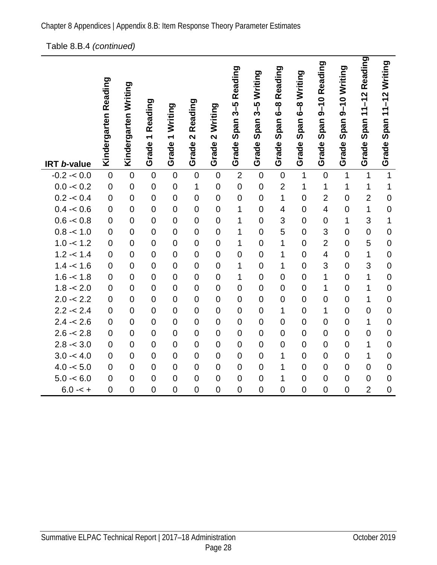#### [Table 8.B.4](#page-30-0) *(continued)*

|                    | Kindergarten Reading | Kindergarten Writing | Reading            | Writing            | 2 Reading      | Writing<br>$\overline{\mathbf{C}}$ | 3-5 Reading<br>Span | 3-5 Writing<br>Span: | Span 6-8 Reading         | 6-8 Writing<br>Span | 9-10 Reading<br>Span | Span 9-10 Writing | 11-12 Reading<br>Span · | Span 11-12 Writing |
|--------------------|----------------------|----------------------|--------------------|--------------------|----------------|------------------------------------|---------------------|----------------------|--------------------------|---------------------|----------------------|-------------------|-------------------------|--------------------|
| <b>IRT b-value</b> |                      |                      | Grade <sub>1</sub> | Grade <sub>1</sub> | Grade          | Grade                              | Grade               | Grade                | Grade                    | Grade               | Grade                | Grade             | Grade                   | Grade              |
| $-0.2 - 0.0$       | $\mathbf 0$          | $\overline{0}$       | $\mathbf 0$        | $\mathbf 0$        | $\mathbf 0$    | $\overline{0}$                     | $\overline{2}$      | $\mathbf 0$          | $\mathbf 0$              | 1                   | $\overline{0}$       | $\mathbf{1}$      | $\overline{1}$          | $\mathbf{1}$       |
| $0.0 - 0.2$        | $\mathbf 0$          | $\mathbf 0$          | $\mathbf 0$        | $\mathbf 0$        | 1              | $\mathbf 0$                        | $\mathbf 0$         | $\mathbf 0$          | $\overline{2}$           | 1                   | 1                    | $\mathbf 1$       | 1                       | $\mathbf{1}$       |
| $0.2 - 0.4$        | $\overline{0}$       | $\overline{0}$       | $\overline{0}$     | $\overline{0}$     | $\overline{0}$ | $\overline{0}$                     | $\overline{0}$      | $\overline{0}$       | $\mathbf 1$              | $\overline{0}$      | $\overline{2}$       | $\overline{0}$    | $\overline{2}$          | $\mathbf 0$        |
| $0.4 - 0.6$        | $\overline{0}$       | $\overline{0}$       | $\mathbf 0$        | $\mathbf 0$        | $\overline{0}$ | $\overline{0}$                     | 1                   | $\mathbf 0$          | $\overline{\mathcal{A}}$ | $\overline{0}$      | 4                    | $\overline{0}$    | $\mathbf{1}$            | $\mathbf 0$        |
| $0.6 - 0.8$        | $\overline{0}$       | $\overline{0}$       | $\overline{0}$     | $\overline{0}$     | $\overline{0}$ | $\overline{0}$                     | $\overline{1}$      | $\overline{0}$       | 3                        | $\overline{0}$      | $\mathbf 0$          | 1                 | 3                       | $\overline{1}$     |
| $0.8 - 1.0$        | $\overline{0}$       | $\overline{0}$       | $\overline{0}$     | $\mathbf 0$        | $\overline{0}$ | $\overline{0}$                     | $\overline{1}$      | $\overline{0}$       | 5                        | $\overline{0}$      | 3                    | $\overline{0}$    | $\overline{0}$          | $\mathbf 0$        |
| $1.0 - 1.2$        | $\overline{0}$       | $\overline{0}$       | $\mathbf 0$        | $\mathbf 0$        | $\overline{0}$ | $\overline{0}$                     | 1                   | $\overline{0}$       | 1                        | $\overline{0}$      | $\overline{2}$       | $\overline{0}$    | 5                       | $\mathbf 0$        |
| $1.2 - 1.4$        | $\overline{0}$       | $\overline{0}$       | $\overline{0}$     | $\mathbf 0$        | $\overline{0}$ | $\overline{0}$                     | $\overline{0}$      | $\mathbf 0$          | 1                        | $\overline{0}$      | 4                    | $\mathbf 0$       | 1                       | $\mathbf 0$        |
| $1.4 - 1.6$        | $\overline{0}$       | $\overline{0}$       | $\mathbf 0$        | $\mathbf 0$        | $\overline{0}$ | $\overline{0}$                     | 1                   | $\mathbf 0$          | 1                        | $\overline{0}$      | 3                    | $\mathbf 0$       | 3                       | $\mathbf 0$        |
| $1.6 - 1.8$        | $\overline{0}$       | $\overline{0}$       | $\mathbf 0$        | $\mathbf 0$        | $\overline{0}$ | $\overline{0}$                     | 1                   | $\mathbf 0$          | $\overline{0}$           | $\overline{0}$      | $\overline{1}$       | $\overline{0}$    | 1                       | $\mathbf 0$        |
| $1.8 - 2.0$        | $\overline{0}$       | $\overline{0}$       | $\mathbf 0$        | $\mathbf 0$        | $\overline{0}$ | $\overline{0}$                     | $\overline{0}$      | $\overline{0}$       | $\overline{0}$           | $\overline{0}$      | 1                    | $\overline{0}$    | 1                       | $\mathbf 0$        |
| $2.0 - 2.2$        | $\overline{0}$       | $\overline{0}$       | $\mathbf 0$        | $\mathbf 0$        | $\overline{0}$ | $\overline{0}$                     | $\overline{0}$      | $\mathbf 0$          | $\overline{0}$           | $\overline{0}$      | $\overline{0}$       | $\overline{0}$    | $\overline{1}$          | $\mathbf 0$        |
| $2.2 - 2.4$        | $\mathbf 0$          | $\mathbf 0$          | $\mathbf 0$        | $\mathbf 0$        | $\mathbf 0$    | $\mathbf 0$                        | $\overline{0}$      | $\mathbf 0$          | 1                        | $\overline{0}$      | $\mathbf 1$          | $\mathbf 0$       | $\overline{0}$          | $\mathbf 0$        |
| $2.4 - 2.6$        | $\overline{0}$       | $\overline{0}$       | $\overline{0}$     | $\overline{0}$     | $\overline{0}$ | $\overline{0}$                     | $\overline{0}$      | $\overline{0}$       | $\overline{0}$           | $\overline{0}$      | $\overline{0}$       | $\overline{0}$    | $\overline{1}$          | $\overline{0}$     |
| $2.6 - 2.8$        | $\mathbf 0$          | $\overline{0}$       | $\mathbf 0$        | $\mathbf 0$        | $\overline{0}$ | $\mathbf 0$                        | $\mathbf 0$         | $\mathbf 0$          | $\overline{0}$           | $\mathbf 0$         | $\mathbf 0$          | $\overline{0}$    | $\overline{0}$          | $\mathbf 0$        |
| $2.8 - 3.0$        | $\overline{0}$       | $\overline{0}$       | $\mathbf 0$        | $\mathbf 0$        | $\overline{0}$ | $\overline{0}$                     | $\overline{0}$      | $\overline{0}$       | $\overline{0}$           | $\overline{0}$      | $\overline{0}$       | $\mathbf 0$       | 1                       | $\overline{0}$     |
| $3.0 - 4.0$        | $\overline{0}$       | $\overline{0}$       | $\mathbf 0$        | $\mathbf 0$        | $\mathbf 0$    | $\overline{0}$                     | $\mathbf 0$         | $\mathbf 0$          | 1                        | $\mathbf 0$         | $\mathbf 0$          | $\mathbf 0$       | 1                       | $\mathbf 0$        |
| $4.0 - 5.0$        | $\overline{0}$       | $\overline{0}$       | $\overline{0}$     | $\overline{0}$     | $\overline{0}$ | $\overline{0}$                     | $\overline{0}$      | $\overline{0}$       | 1                        | $\overline{0}$      | $\overline{0}$       | $\overline{0}$    | $\overline{0}$          | $\mathbf 0$        |
| $5.0 - 6.0$        | $\mathbf 0$          | $\mathbf 0$          | $\mathbf 0$        | $\mathbf 0$        | $\mathbf 0$    | $\mathbf 0$                        | $\mathbf 0$         | $\mathbf 0$          | 1                        | $\mathbf 0$         | $\mathbf 0$          | $\mathbf 0$       | $\overline{0}$          | $\mathbf 0$        |
| $6.0 - 5 +$        | $\overline{0}$       | $\overline{0}$       | $\overline{0}$     | $\overline{0}$     | $\overline{0}$ | $\overline{0}$                     | $\overline{0}$      | $\overline{0}$       | $\overline{0}$           | $\overline{0}$      | $\overline{0}$       | $\overline{0}$    | $\overline{2}$          | $\mathbf 0$        |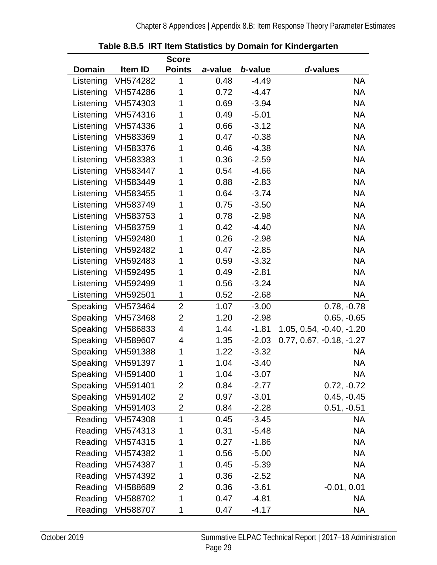<span id="page-32-0"></span>

|               |                   | <b>Score</b>   |         |         |                            |
|---------------|-------------------|----------------|---------|---------|----------------------------|
| <b>Domain</b> | Item ID           | <b>Points</b>  | a-value | b-value | d-values                   |
| Listening     | VH574282          | 1              | 0.48    | $-4.49$ | <b>NA</b>                  |
| Listening     | VH574286          | 1              | 0.72    | $-4.47$ | <b>NA</b>                  |
| Listening     | VH574303          | 1              | 0.69    | $-3.94$ | <b>NA</b>                  |
| Listening     | VH574316          | 1              | 0.49    | $-5.01$ | <b>NA</b>                  |
| Listening     | VH574336          | 1              | 0.66    | $-3.12$ | <b>NA</b>                  |
| Listening     | VH583369          | 1              | 0.47    | $-0.38$ | <b>NA</b>                  |
| Listening     | VH583376          | 1              | 0.46    | $-4.38$ | <b>NA</b>                  |
| Listening     | VH583383          | 1              | 0.36    | $-2.59$ | <b>NA</b>                  |
| Listening     | VH583447          | 1              | 0.54    | $-4.66$ | <b>NA</b>                  |
| Listening     | VH583449          | 1              | 0.88    | $-2.83$ | <b>NA</b>                  |
| Listening     | VH583455          | 1              | 0.64    | $-3.74$ | <b>NA</b>                  |
| Listening     | VH583749          | 1              | 0.75    | $-3.50$ | <b>NA</b>                  |
| Listening     | VH583753          | 1              | 0.78    | $-2.98$ | <b>NA</b>                  |
| Listening     | VH583759          | 1              | 0.42    | $-4.40$ | <b>NA</b>                  |
| Listening     | VH592480          | 1              | 0.26    | $-2.98$ | <b>NA</b>                  |
| Listening     | VH592482          | 1              | 0.47    | $-2.85$ | <b>NA</b>                  |
| Listening     | VH592483          | 1              | 0.59    | $-3.32$ | <b>NA</b>                  |
| Listening     | VH592495          | 1              | 0.49    | $-2.81$ | <b>NA</b>                  |
| Listening     | VH592499          | 1              | 0.56    | $-3.24$ | <b>NA</b>                  |
| Listening     | VH592501          | 1              | 0.52    | $-2.68$ | <b>NA</b>                  |
| Speaking      | VH573464          | $\overline{2}$ | 1.07    | $-3.00$ | $0.78, -0.78$              |
| Speaking      | VH573468          | $\overline{2}$ | 1.20    | $-2.98$ | $0.65, -0.65$              |
| Speaking      | VH586833          | 4              | 1.44    | $-1.81$ | 1.05, 0.54, -0.40, -1.20   |
| Speaking      | VH589607          | 4              | 1.35    | $-2.03$ | $0.77, 0.67, -0.18, -1.27$ |
| Speaking      | VH591388          | 1              | 1.22    | $-3.32$ | <b>NA</b>                  |
| Speaking      | VH591397          | 1              | 1.04    | $-3.40$ | <b>NA</b>                  |
|               | Speaking VH591400 | 1              | 1.04    | $-3.07$ | <b>NA</b>                  |
| Speaking      | VH591401          | 2              | 0.84    | $-2.77$ | $0.72, -0.72$              |
| Speaking      | VH591402          | 2              | 0.97    | $-3.01$ | $0.45, -0.45$              |
| Speaking      | VH591403          | 2              | 0.84    | $-2.28$ | $0.51, -0.51$              |
| Reading       | VH574308          | 1              | 0.45    | $-3.45$ | NA                         |
| Reading       | VH574313          | 1              | 0.31    | $-5.48$ | <b>NA</b>                  |
| Reading       | VH574315          | 1              | 0.27    | $-1.86$ | <b>NA</b>                  |
| Reading       | VH574382          | 1              | 0.56    | $-5.00$ | <b>NA</b>                  |
| Reading       | VH574387          | 1              | 0.45    | $-5.39$ | <b>NA</b>                  |
| Reading       | VH574392          | 1              | 0.36    | $-2.52$ | <b>NA</b>                  |
| Reading       | VH588689          | 2              | 0.36    | $-3.61$ | $-0.01, 0.01$              |
| Reading       | VH588702          | 1              | 0.47    | $-4.81$ | <b>NA</b>                  |
| Reading       | VH588707          | 1              | 0.47    | $-4.17$ | <b>NA</b>                  |

**Table 8.B.5 IRT Item Statistics by Domain for Kindergarten**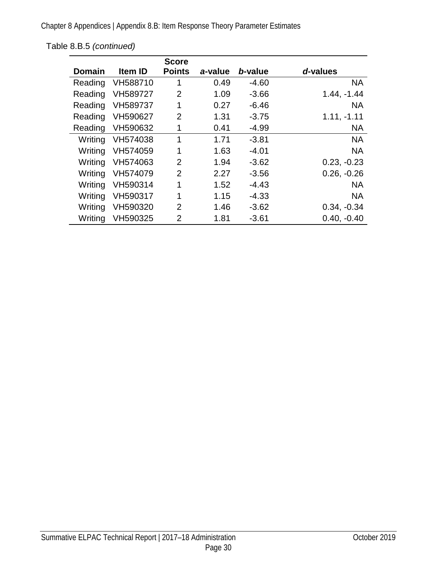Chapter 8 Appendices | Appendix 8.B: Item Response Theory Parameter Estimates

|               |                | <b>Score</b>   |         |         |               |
|---------------|----------------|----------------|---------|---------|---------------|
| <b>Domain</b> | <b>Item ID</b> | <b>Points</b>  | a-value | b-value | d-values      |
| Reading       | VH588710       | 1              | 0.49    | $-4.60$ | <b>NA</b>     |
| Reading       | VH589727       | 2              | 1.09    | $-3.66$ | $1.44, -1.44$ |
| Reading       | VH589737       | 1              | 0.27    | $-6.46$ | <b>NA</b>     |
| Reading       | VH590627       | $\overline{2}$ | 1.31    | $-3.75$ | $1.11, -1.11$ |
| Reading       | VH590632       | 1              | 0.41    | $-4.99$ | <b>NA</b>     |
| Writing       | VH574038       | 1              | 1.71    | $-3.81$ | <b>NA</b>     |
| Writing       | VH574059       | 1              | 1.63    | $-4.01$ | <b>NA</b>     |
| Writing       | VH574063       | $\overline{2}$ | 1.94    | $-3.62$ | $0.23, -0.23$ |
| Writing       | VH574079       | $\overline{2}$ | 2.27    | $-3.56$ | $0.26, -0.26$ |
| Writing       | VH590314       | 1              | 1.52    | $-4.43$ | <b>NA</b>     |
| Writing       | VH590317       | 1              | 1.15    | $-4.33$ | <b>NA</b>     |
| Writing       | VH590320       | $\mathcal{P}$  | 1.46    | $-3.62$ | $0.34, -0.34$ |
| Writing       | VH590325       | $\overline{2}$ | 1.81    | $-3.61$ | $0.40, -0.40$ |

[Table 8.B.5](#page-32-0) *(continued)*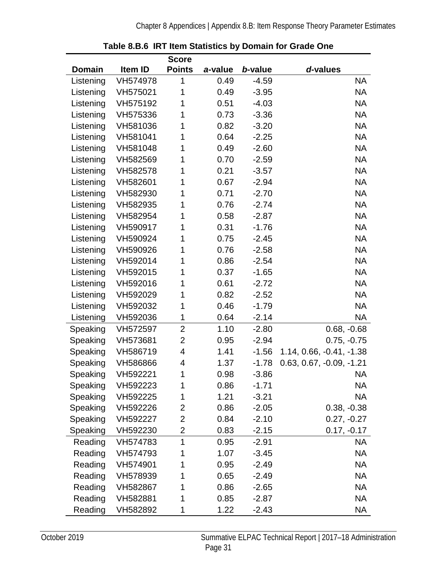<span id="page-34-0"></span>

|               |          | <b>Score</b>   |         |         |                            |
|---------------|----------|----------------|---------|---------|----------------------------|
| <b>Domain</b> | Item ID  | <b>Points</b>  | a-value | b-value | d-values                   |
| Listening     | VH574978 | 1              | 0.49    | $-4.59$ | <b>NA</b>                  |
| Listening     | VH575021 | 1              | 0.49    | $-3.95$ | <b>NA</b>                  |
| Listening     | VH575192 | 1              | 0.51    | $-4.03$ | <b>NA</b>                  |
| Listening     | VH575336 | 1              | 0.73    | $-3.36$ | <b>NA</b>                  |
| Listening     | VH581036 | 1              | 0.82    | $-3.20$ | <b>NA</b>                  |
| Listening     | VH581041 | 1              | 0.64    | $-2.25$ | <b>NA</b>                  |
| Listening     | VH581048 | 1              | 0.49    | $-2.60$ | <b>NA</b>                  |
| Listening     | VH582569 | 1              | 0.70    | $-2.59$ | <b>NA</b>                  |
| Listening     | VH582578 | 1              | 0.21    | $-3.57$ | <b>NA</b>                  |
| Listening     | VH582601 | 1              | 0.67    | $-2.94$ | <b>NA</b>                  |
| Listening     | VH582930 | 1              | 0.71    | $-2.70$ | <b>NA</b>                  |
| Listening     | VH582935 | 1              | 0.76    | $-2.74$ | <b>NA</b>                  |
| Listening     | VH582954 | 1              | 0.58    | $-2.87$ | <b>NA</b>                  |
| Listening     | VH590917 | 1              | 0.31    | $-1.76$ | <b>NA</b>                  |
| Listening     | VH590924 | 1              | 0.75    | $-2.45$ | <b>NA</b>                  |
| Listening     | VH590926 | 1              | 0.76    | $-2.58$ | <b>NA</b>                  |
| Listening     | VH592014 | 1              | 0.86    | $-2.54$ | <b>NA</b>                  |
| Listening     | VH592015 | 1              | 0.37    | $-1.65$ | <b>NA</b>                  |
| Listening     | VH592016 | 1              | 0.61    | $-2.72$ | <b>NA</b>                  |
| Listening     | VH592029 | 1              | 0.82    | $-2.52$ | <b>NA</b>                  |
| Listening     | VH592032 | 1              | 0.46    | $-1.79$ | <b>NA</b>                  |
| Listening     | VH592036 | 1              | 0.64    | $-2.14$ | <b>NA</b>                  |
| Speaking      | VH572597 | $\overline{2}$ | 1.10    | $-2.80$ | $0.68, -0.68$              |
| Speaking      | VH573681 | $\overline{2}$ | 0.95    | $-2.94$ | $0.75, -0.75$              |
| Speaking      | VH586719 | 4              | 1.41    | $-1.56$ | 1.14, 0.66, -0.41, -1.38   |
| Speaking      | VH586866 | 4              | 1.37    | $-1.78$ | $0.63, 0.67, -0.09, -1.21$ |
| Speaking      | VH592221 | 1              | 0.98    | $-3.86$ | NА                         |
| Speaking      | VH592223 | 1              | 0.86    | $-1.71$ | NA                         |
| Speaking      | VH592225 | 1              | 1.21    | $-3.21$ | NА                         |
| Speaking      | VH592226 | 2              | 0.86    | $-2.05$ | $0.38, -0.38$              |
| Speaking      | VH592227 | 2              | 0.84    | $-2.10$ | $0.27, -0.27$              |
| Speaking      | VH592230 | 2              | 0.83    | $-2.15$ | $0.17, -0.17$              |
| Reading       | VH574783 | 1              | 0.95    | $-2.91$ | NA.                        |
| Reading       | VH574793 | 1              | 1.07    | $-3.45$ | NA                         |
| Reading       | VH574901 | 1              | 0.95    | $-2.49$ | <b>NA</b>                  |
| Reading       | VH578939 |                | 0.65    | $-2.49$ | NA                         |
| Reading       | VH582867 | 1              | 0.86    | $-2.65$ | <b>NA</b>                  |
| Reading       | VH582881 | 1              | 0.85    | $-2.87$ | <b>NA</b>                  |
| Reading       | VH582892 | 1              | 1.22    | $-2.43$ | <b>NA</b>                  |

**Table 8.B.6 IRT Item Statistics by Domain for Grade One**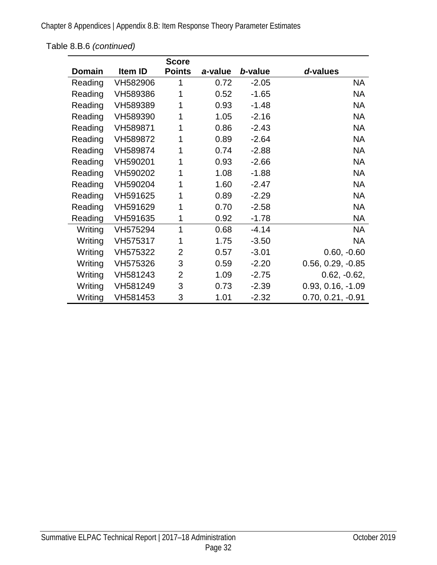Chapter 8 Appendices | Appendix 8.B: Item Response Theory Parameter Estimates

|               |          | <b>Score</b>   |         |         |                     |
|---------------|----------|----------------|---------|---------|---------------------|
| <b>Domain</b> | Item ID  | <b>Points</b>  | a-value | b-value | d-values            |
| Reading       | VH582906 | 1              | 0.72    | $-2.05$ | <b>NA</b>           |
| Reading       | VH589386 | 1              | 0.52    | $-1.65$ | <b>NA</b>           |
| Reading       | VH589389 | 1              | 0.93    | $-1.48$ | <b>NA</b>           |
| Reading       | VH589390 | 1              | 1.05    | $-2.16$ | <b>NA</b>           |
| Reading       | VH589871 | 1              | 0.86    | $-2.43$ | <b>NA</b>           |
| Reading       | VH589872 | 1              | 0.89    | $-2.64$ | <b>NA</b>           |
| Reading       | VH589874 | 1              | 0.74    | $-2.88$ | <b>NA</b>           |
| Reading       | VH590201 | 1              | 0.93    | $-2.66$ | <b>NA</b>           |
| Reading       | VH590202 | 1              | 1.08    | $-1.88$ | <b>NA</b>           |
| Reading       | VH590204 | 1              | 1.60    | $-2.47$ | <b>NA</b>           |
| Reading       | VH591625 | 1              | 0.89    | $-2.29$ | <b>NA</b>           |
| Reading       | VH591629 | 1              | 0.70    | $-2.58$ | <b>NA</b>           |
| Reading       | VH591635 | 1              | 0.92    | $-1.78$ | <b>NA</b>           |
| Writing       | VH575294 | 1              | 0.68    | $-4.14$ | <b>NA</b>           |
| Writing       | VH575317 | 1              | 1.75    | $-3.50$ | NA                  |
| Writing       | VH575322 | 2              | 0.57    | $-3.01$ | $0.60, -0.60$       |
| Writing       | VH575326 | 3              | 0.59    | $-2.20$ | $0.56, 0.29, -0.85$ |
| Writing       | VH581243 | $\overline{2}$ | 1.09    | $-2.75$ | $0.62, -0.62,$      |
| Writing       | VH581249 | 3              | 0.73    | $-2.39$ | $0.93, 0.16, -1.09$ |
| Writing       | VH581453 | 3              | 1.01    | $-2.32$ | $0.70, 0.21, -0.91$ |

[Table 8.B.6](#page-34-0) *(continued)*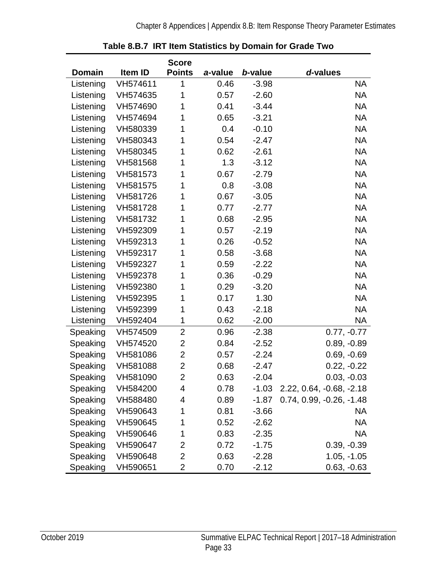<span id="page-36-0"></span>

|               |          | <b>Score</b>   |         |         |                            |
|---------------|----------|----------------|---------|---------|----------------------------|
| <b>Domain</b> | Item ID  | <b>Points</b>  | a-value | b-value | d-values                   |
| Listening     | VH574611 | 1              | 0.46    | $-3.98$ | <b>NA</b>                  |
| Listening     | VH574635 | 1              | 0.57    | $-2.60$ | <b>NA</b>                  |
| Listening     | VH574690 | 1              | 0.41    | $-3.44$ | NA                         |
| Listening     | VH574694 | 1              | 0.65    | $-3.21$ | <b>NA</b>                  |
| Listening     | VH580339 | 1              | 0.4     | $-0.10$ | <b>NA</b>                  |
| Listening     | VH580343 | 1              | 0.54    | $-2.47$ | <b>NA</b>                  |
| Listening     | VH580345 | 1              | 0.62    | $-2.61$ | <b>NA</b>                  |
| Listening     | VH581568 | 1              | 1.3     | $-3.12$ | <b>NA</b>                  |
| Listening     | VH581573 | 1              | 0.67    | $-2.79$ | <b>NA</b>                  |
| Listening     | VH581575 | 1              | 0.8     | $-3.08$ | <b>NA</b>                  |
| Listening     | VH581726 | 1              | 0.67    | $-3.05$ | <b>NA</b>                  |
| Listening     | VH581728 | 1              | 0.77    | $-2.77$ | <b>NA</b>                  |
| Listening     | VH581732 | 1              | 0.68    | $-2.95$ | <b>NA</b>                  |
| Listening     | VH592309 | 1              | 0.57    | $-2.19$ | <b>NA</b>                  |
| Listening     | VH592313 | 1              | 0.26    | $-0.52$ | <b>NA</b>                  |
| Listening     | VH592317 | 1              | 0.58    | $-3.68$ | <b>NA</b>                  |
| Listening     | VH592327 | 1              | 0.59    | $-2.22$ | <b>NA</b>                  |
| Listening     | VH592378 | 1              | 0.36    | $-0.29$ | <b>NA</b>                  |
| Listening     | VH592380 | 1              | 0.29    | $-3.20$ | <b>NA</b>                  |
| Listening     | VH592395 | 1              | 0.17    | 1.30    | <b>NA</b>                  |
| Listening     | VH592399 | 1              | 0.43    | $-2.18$ | <b>NA</b>                  |
| Listening     | VH592404 | 1              | 0.62    | $-2.00$ | NA                         |
| Speaking      | VH574509 | $\overline{2}$ | 0.96    | $-2.38$ | $0.77, -0.77$              |
| Speaking      | VH574520 | $\overline{2}$ | 0.84    | $-2.52$ | $0.89, -0.89$              |
| Speaking      | VH581086 | $\overline{2}$ | 0.57    | $-2.24$ | $0.69, -0.69$              |
| Speaking      | VH581088 | $\overline{2}$ | 0.68    | $-2.47$ | $0.22, -0.22$              |
| Speaking      | VH581090 | $\overline{2}$ | 0.63    | $-2.04$ | $0.03, -0.03$              |
| Speaking      | VH584200 | 4              | 0.78    | $-1.03$ | $2.22, 0.64, -0.68, -2.18$ |
| Speaking      | VH588480 | 4              | 0.89    | $-1.87$ | 0.74, 0.99, -0.26, -1.48   |
| Speaking      | VH590643 | 1              | 0.81    | $-3.66$ | NA                         |
| Speaking      | VH590645 | 1              | 0.52    | $-2.62$ | NA                         |
| Speaking      | VH590646 | 1              | 0.83    | $-2.35$ | ΝA                         |
| Speaking      | VH590647 | 2              | 0.72    | $-1.75$ | $0.39, -0.39$              |
| Speaking      | VH590648 | 2              | 0.63    | $-2.28$ | $1.05, -1.05$              |
| Speaking      | VH590651 | $\overline{2}$ | 0.70    | $-2.12$ | $0.63, -0.63$              |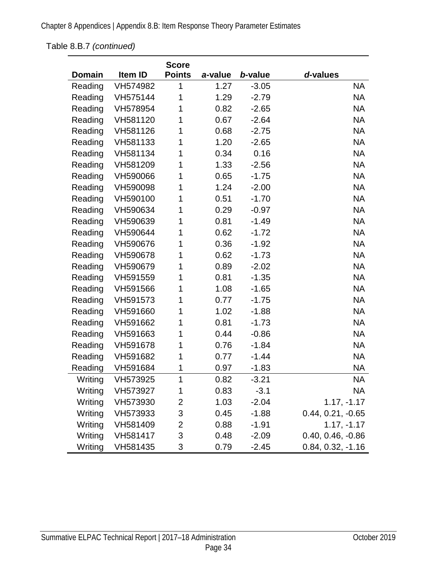Chapter 8 Appendices | Appendix 8.B: Item Response Theory Parameter Estimates

## [Table 8.B.7](#page-36-0) *(continued)*

|         |          | <b>Score</b>  |         |         |                     |
|---------|----------|---------------|---------|---------|---------------------|
| Domain  | Item ID  | <b>Points</b> | a-value | b-value | d-values            |
| Reading | VH574982 | 1             | 1.27    | $-3.05$ | <b>NA</b>           |
| Reading | VH575144 | 1             | 1.29    | $-2.79$ | <b>NA</b>           |
| Reading | VH578954 | 1             | 0.82    | $-2.65$ | <b>NA</b>           |
| Reading | VH581120 | 1             | 0.67    | $-2.64$ | <b>NA</b>           |
| Reading | VH581126 | 1             | 0.68    | $-2.75$ | <b>NA</b>           |
| Reading | VH581133 | 1             | 1.20    | $-2.65$ | <b>NA</b>           |
| Reading | VH581134 | 1             | 0.34    | 0.16    | <b>NA</b>           |
| Reading | VH581209 | 1             | 1.33    | $-2.56$ | <b>NA</b>           |
| Reading | VH590066 | 1             | 0.65    | $-1.75$ | <b>NA</b>           |
| Reading | VH590098 | 1             | 1.24    | $-2.00$ | <b>NA</b>           |
| Reading | VH590100 | 1             | 0.51    | $-1.70$ | <b>NA</b>           |
| Reading | VH590634 | 1             | 0.29    | $-0.97$ | <b>NA</b>           |
| Reading | VH590639 | 1             | 0.81    | $-1.49$ | <b>NA</b>           |
| Reading | VH590644 | 1             | 0.62    | $-1.72$ | <b>NA</b>           |
| Reading | VH590676 | 1             | 0.36    | $-1.92$ | <b>NA</b>           |
| Reading | VH590678 | 1             | 0.62    | $-1.73$ | <b>NA</b>           |
| Reading | VH590679 | 1             | 0.89    | $-2.02$ | <b>NA</b>           |
| Reading | VH591559 | 1             | 0.81    | $-1.35$ | <b>NA</b>           |
| Reading | VH591566 | 1             | 1.08    | $-1.65$ | <b>NA</b>           |
| Reading | VH591573 | 1             | 0.77    | $-1.75$ | <b>NA</b>           |
| Reading | VH591660 | 1             | 1.02    | $-1.88$ | <b>NA</b>           |
| Reading | VH591662 | 1             | 0.81    | $-1.73$ | <b>NA</b>           |
| Reading | VH591663 | 1             | 0.44    | $-0.86$ | <b>NA</b>           |
| Reading | VH591678 | 1             | 0.76    | $-1.84$ | <b>NA</b>           |
| Reading | VH591682 | 1             | 0.77    | $-1.44$ | <b>NA</b>           |
| Reading | VH591684 | 1             | 0.97    | $-1.83$ | <b>NA</b>           |
| Writing | VH573925 | $\mathbf 1$   | 0.82    | $-3.21$ | <b>NA</b>           |
| Writing | VH573927 | 1             | 0.83    | $-3.1$  | NA                  |
| Writing | VH573930 | 2             | 1.03    | $-2.04$ | $1.17, -1.17$       |
| Writing | VH573933 | 3             | 0.45    | $-1.88$ | $0.44, 0.21, -0.65$ |
| Writing | VH581409 | 2             | 0.88    | $-1.91$ | $1.17, -1.17$       |
| Writing | VH581417 | 3             | 0.48    | $-2.09$ | $0.40, 0.46, -0.86$ |
| Writing | VH581435 | 3             | 0.79    | $-2.45$ | $0.84, 0.32, -1.16$ |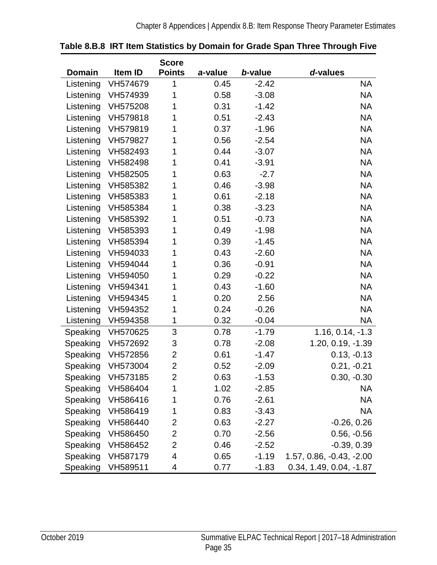|               |                   | <b>Score</b>              |         |         |                           |
|---------------|-------------------|---------------------------|---------|---------|---------------------------|
| <b>Domain</b> | Item ID           | <b>Points</b>             | a-value | b-value | d-values                  |
| Listening     | VH574679          | 1                         | 0.45    | $-2.42$ | NA                        |
| Listening     | VH574939          | 1                         | 0.58    | $-3.08$ | <b>NA</b>                 |
| Listening     | VH575208          | 1                         | 0.31    | $-1.42$ | <b>NA</b>                 |
| Listening     | VH579818          | 1                         | 0.51    | $-2.43$ | <b>NA</b>                 |
| Listening     | VH579819          | 1                         | 0.37    | $-1.96$ | <b>NA</b>                 |
| Listening     | VH579827          | 1                         | 0.56    | $-2.54$ | <b>NA</b>                 |
| Listening     | VH582493          | 1                         | 0.44    | $-3.07$ | <b>NA</b>                 |
| Listening     | VH582498          | 1                         | 0.41    | $-3.91$ | <b>NA</b>                 |
| Listening     | VH582505          | 1                         | 0.63    | $-2.7$  | <b>NA</b>                 |
| Listening     | VH585382          | 1                         | 0.46    | $-3.98$ | <b>NA</b>                 |
| Listening     | VH585383          | 1                         | 0.61    | $-2.18$ | <b>NA</b>                 |
| Listening     | VH585384          | 1                         | 0.38    | $-3.23$ | <b>NA</b>                 |
| Listening     | VH585392          | 1                         | 0.51    | $-0.73$ | <b>NA</b>                 |
| Listening     | VH585393          | 1                         | 0.49    | $-1.98$ | <b>NA</b>                 |
| Listening     | VH585394          | 1                         | 0.39    | $-1.45$ | <b>NA</b>                 |
| Listening     | VH594033          | 1                         | 0.43    | $-2.60$ | <b>NA</b>                 |
| Listening     | VH594044          | 1                         | 0.36    | $-0.91$ | <b>NA</b>                 |
| Listening     | VH594050          | 1                         | 0.29    | $-0.22$ | <b>NA</b>                 |
| Listening     | VH594341          | 1                         | 0.43    | $-1.60$ | <b>NA</b>                 |
| Listening     | VH594345          | 1                         | 0.20    | 2.56    | <b>NA</b>                 |
| Listening     | VH594352          | 1                         | 0.24    | $-0.26$ | <b>NA</b>                 |
| Listening     | VH594358          | 1                         | 0.32    | $-0.04$ | NA.                       |
| Speaking      | VH570625          | 3                         | 0.78    | $-1.79$ | $1.16, 0.14, -1.3$        |
|               | Speaking VH572692 | $\ensuremath{\mathsf{3}}$ | 0.78    | $-2.08$ | 1.20, 0.19, -1.39         |
| Speaking      | VH572856          | $\overline{2}$            | 0.61    | $-1.47$ | $0.13, -0.13$             |
| Speaking      | VH573004          | $\overline{2}$            | 0.52    | $-2.09$ | $0.21, -0.21$             |
|               | Speaking VH573185 | 2                         | 0.63    | $-1.53$ | $0.30, -0.30$             |
| Speaking      | VH586404          | 1                         | 1.02    | $-2.85$ | NA                        |
| Speaking      | VH586416          | 1                         | 0.76    | $-2.61$ | NA                        |
| Speaking      | VH586419          | 1                         | 0.83    | $-3.43$ | NA                        |
| Speaking      | VH586440          | 2                         | 0.63    | $-2.27$ | $-0.26, 0.26$             |
| Speaking      | VH586450          | $\overline{2}$            | 0.70    | $-2.56$ | $0.56, -0.56$             |
| Speaking      | VH586452          | 2                         | 0.46    | $-2.52$ | $-0.39, 0.39$             |
| Speaking      | VH587179          | 4                         | 0.65    | $-1.19$ | 1.57, 0.86, -0.43, -2.00  |
| Speaking      | VH589511          | 4                         | 0.77    | $-1.83$ | $0.34, 1.49, 0.04, -1.87$ |

<span id="page-38-0"></span>

|  | Table 8.B.8 IRT Item Statistics by Domain for Grade Span Three Through Five |  |  |  |
|--|-----------------------------------------------------------------------------|--|--|--|
|  |                                                                             |  |  |  |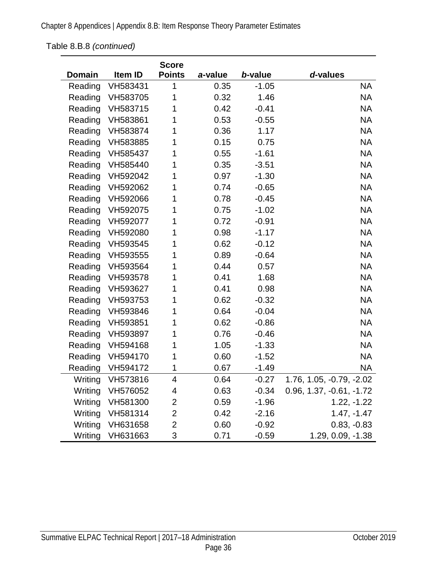## [Table 8.B.8](#page-38-0) *(continued)*

|               |                  | <b>Score</b>  |         |         |                            |
|---------------|------------------|---------------|---------|---------|----------------------------|
| <b>Domain</b> | Item ID          | <b>Points</b> | a-value | b-value | d-values                   |
| Reading       | VH583431         | 1             | 0.35    | $-1.05$ | <b>NA</b>                  |
| Reading       | VH583705         | 1             | 0.32    | 1.46    | <b>NA</b>                  |
| Reading       | VH583715         | 1             | 0.42    | $-0.41$ | <b>NA</b>                  |
| Reading       | VH583861         | 1             | 0.53    | $-0.55$ | <b>NA</b>                  |
| Reading       | VH583874         | 1             | 0.36    | 1.17    | <b>NA</b>                  |
| Reading       | VH583885         | 1             | 0.15    | 0.75    | <b>NA</b>                  |
| Reading       | VH585437         | 1             | 0.55    | $-1.61$ | <b>NA</b>                  |
| Reading       | VH585440         | 1             | 0.35    | $-3.51$ | <b>NA</b>                  |
| Reading       | VH592042         | 1             | 0.97    | $-1.30$ | <b>NA</b>                  |
| Reading       | VH592062         | 1             | 0.74    | $-0.65$ | <b>NA</b>                  |
| Reading       | VH592066         | 1             | 0.78    | $-0.45$ | <b>NA</b>                  |
| Reading       | VH592075         | 1             | 0.75    | $-1.02$ | <b>NA</b>                  |
| Reading       | VH592077         | 1             | 0.72    | $-0.91$ | <b>NA</b>                  |
| Reading       | VH592080         | 1             | 0.98    | $-1.17$ | <b>NA</b>                  |
| Reading       | VH593545         | 1             | 0.62    | $-0.12$ | <b>NA</b>                  |
| Reading       | VH593555         | 1             | 0.89    | $-0.64$ | <b>NA</b>                  |
| Reading       | VH593564         | 1             | 0.44    | 0.57    | <b>NA</b>                  |
| Reading       | VH593578         | 1             | 0.41    | 1.68    | <b>NA</b>                  |
| Reading       | VH593627         | 1             | 0.41    | 0.98    | <b>NA</b>                  |
| Reading       | VH593753         | 1             | 0.62    | $-0.32$ | <b>NA</b>                  |
| Reading       | VH593846         | 1             | 0.64    | $-0.04$ | <b>NA</b>                  |
| Reading       | VH593851         | 1             | 0.62    | $-0.86$ | <b>NA</b>                  |
| Reading       | VH593897         | 1             | 0.76    | $-0.46$ | <b>NA</b>                  |
| Reading       | VH594168         | 1             | 1.05    | $-1.33$ | <b>NA</b>                  |
| Reading       | VH594170         | 1             | 0.60    | $-1.52$ | <b>NA</b>                  |
| Reading       | VH594172         | 1             | 0.67    | $-1.49$ | <b>NA</b>                  |
|               | Writing VH573816 | 4             | 0.64    | $-0.27$ | 1.76, 1.05, -0.79, -2.02   |
| Writing       | VH576052         | 4             | 0.63    | $-0.34$ | $0.96, 1.37, -0.61, -1.72$ |
| Writing       | VH581300         | 2             | 0.59    | $-1.96$ | $1.22, -1.22$              |
| Writing       | VH581314         | 2             | 0.42    | $-2.16$ | $1.47, -1.47$              |
| Writing       | VH631658         | 2             | 0.60    | $-0.92$ | $0.83, -0.83$              |
| Writing       | VH631663         | 3             | 0.71    | $-0.59$ | 1.29, 0.09, -1.38          |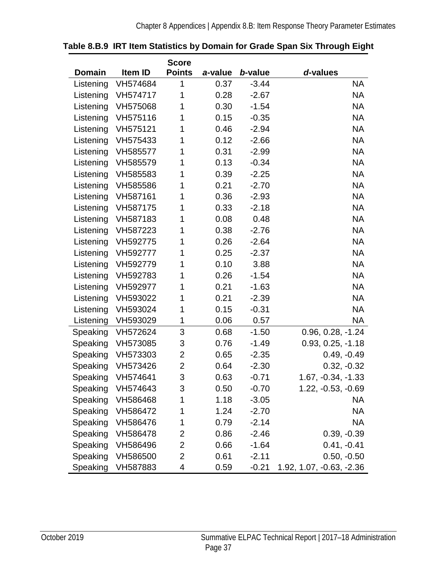|               |                   | <b>Score</b>   |         |         |                          |
|---------------|-------------------|----------------|---------|---------|--------------------------|
| <b>Domain</b> | Item ID           | <b>Points</b>  | a-value | b-value | d-values                 |
| Listening     | VH574684          | 1              | 0.37    | $-3.44$ | <b>NA</b>                |
| Listening     | VH574717          | 1              | 0.28    | $-2.67$ | <b>NA</b>                |
| Listening     | VH575068          | 1              | 0.30    | $-1.54$ | <b>NA</b>                |
| Listening     | VH575116          | 1              | 0.15    | $-0.35$ | <b>NA</b>                |
| Listening     | VH575121          | 1              | 0.46    | $-2.94$ | <b>NA</b>                |
| Listening     | VH575433          | 1              | 0.12    | $-2.66$ | <b>NA</b>                |
| Listening     | VH585577          | 1              | 0.31    | $-2.99$ | <b>NA</b>                |
| Listening     | VH585579          | 1              | 0.13    | $-0.34$ | <b>NA</b>                |
| Listening     | VH585583          | 1              | 0.39    | $-2.25$ | <b>NA</b>                |
| Listening     | VH585586          | 1              | 0.21    | $-2.70$ | <b>NA</b>                |
| Listening     | VH587161          | 1              | 0.36    | $-2.93$ | <b>NA</b>                |
| Listening     | VH587175          | 1              | 0.33    | $-2.18$ | <b>NA</b>                |
| Listening     | VH587183          | 1              | 0.08    | 0.48    | <b>NA</b>                |
| Listening     | VH587223          | 1              | 0.38    | $-2.76$ | <b>NA</b>                |
| Listening     | VH592775          | 1              | 0.26    | $-2.64$ | <b>NA</b>                |
| Listening     | VH592777          | 1              | 0.25    | $-2.37$ | <b>NA</b>                |
| Listening     | VH592779          | 1              | 0.10    | 3.88    | <b>NA</b>                |
| Listening     | VH592783          | 1              | 0.26    | $-1.54$ | <b>NA</b>                |
| Listening     | VH592977          | 1              | 0.21    | $-1.63$ | <b>NA</b>                |
| Listening     | VH593022          | 1              | 0.21    | $-2.39$ | <b>NA</b>                |
| Listening     | VH593024          | 1              | 0.15    | $-0.31$ | <b>NA</b>                |
| Listening     | VH593029          | 1              | 0.06    | 0.57    | <b>NA</b>                |
| Speaking      | VH572624          | 3              | 0.68    | $-1.50$ | $0.96, 0.28, -1.24$      |
| Speaking      | VH573085          | 3              | 0.76    | $-1.49$ | $0.93, 0.25, -1.18$      |
| Speaking      | VH573303          | 2              | 0.65    | $-2.35$ | $0.49, -0.49$            |
| Speaking      | VH573426          | $\overline{2}$ | 0.64    | $-2.30$ | $0.32, -0.32$            |
|               | Speaking VH574641 | 3              | 0.63    | $-0.71$ | 1.67, -0.34, -1.33       |
| Speaking      | VH574643          | 3              | 0.50    | $-0.70$ | $1.22, -0.53, -0.69$     |
| Speaking      | VH586468          | 1              | 1.18    | $-3.05$ | <b>NA</b>                |
| Speaking      | VH586472          | 1              | 1.24    | $-2.70$ | <b>NA</b>                |
| Speaking      | VH586476          | 1              | 0.79    | $-2.14$ | <b>NA</b>                |
| Speaking      | VH586478          | 2              | 0.86    | $-2.46$ | $0.39, -0.39$            |
| Speaking      | VH586496          | 2              | 0.66    | $-1.64$ | $0.41, -0.41$            |
| Speaking      | VH586500          | 2              | 0.61    | $-2.11$ | $0.50, -0.50$            |
| Speaking      | VH587883          | 4              | 0.59    | $-0.21$ | 1.92, 1.07, -0.63, -2.36 |

#### <span id="page-40-0"></span>**Table 8.B.9 IRT Item Statistics by Domain for Grade Span Six Through Eight**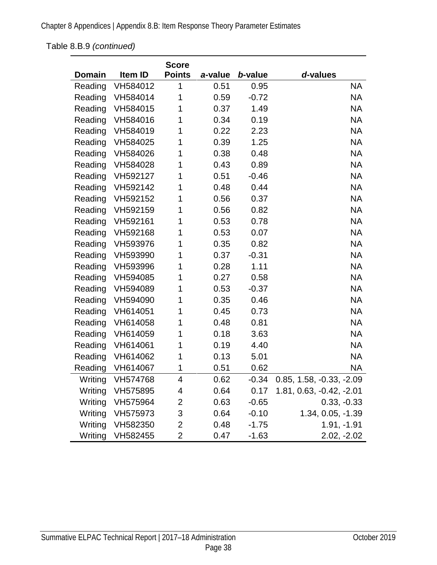[Table 8.B.9](#page-40-0) *(continued)*

|               |          | <b>Score</b>  |         |         |                          |
|---------------|----------|---------------|---------|---------|--------------------------|
| <b>Domain</b> | Item ID  | <b>Points</b> | a-value | b-value | d-values                 |
| Reading       | VH584012 | 1             | 0.51    | 0.95    | <b>NA</b>                |
| Reading       | VH584014 | 1             | 0.59    | $-0.72$ | <b>NA</b>                |
| Reading       | VH584015 | 1             | 0.37    | 1.49    | <b>NA</b>                |
| Reading       | VH584016 | 1             | 0.34    | 0.19    | <b>NA</b>                |
| Reading       | VH584019 | 1             | 0.22    | 2.23    | <b>NA</b>                |
| Reading       | VH584025 | 1             | 0.39    | 1.25    | <b>NA</b>                |
| Reading       | VH584026 | 1             | 0.38    | 0.48    | <b>NA</b>                |
| Reading       | VH584028 | 1             | 0.43    | 0.89    | <b>NA</b>                |
| Reading       | VH592127 | 1             | 0.51    | $-0.46$ | <b>NA</b>                |
| Reading       | VH592142 | 1             | 0.48    | 0.44    | <b>NA</b>                |
| Reading       | VH592152 | 1             | 0.56    | 0.37    | <b>NA</b>                |
| Reading       | VH592159 | 1             | 0.56    | 0.82    | <b>NA</b>                |
| Reading       | VH592161 | 1             | 0.53    | 0.78    | <b>NA</b>                |
| Reading       | VH592168 | 1             | 0.53    | 0.07    | <b>NA</b>                |
| Reading       | VH593976 | 1             | 0.35    | 0.82    | <b>NA</b>                |
| Reading       | VH593990 | 1             | 0.37    | $-0.31$ | <b>NA</b>                |
| Reading       | VH593996 | 1             | 0.28    | 1.11    | <b>NA</b>                |
| Reading       | VH594085 | 1             | 0.27    | 0.58    | <b>NA</b>                |
| Reading       | VH594089 | 1             | 0.53    | $-0.37$ | <b>NA</b>                |
| Reading       | VH594090 | 1             | 0.35    | 0.46    | <b>NA</b>                |
| Reading       | VH614051 | 1             | 0.45    | 0.73    | <b>NA</b>                |
| Reading       | VH614058 | 1             | 0.48    | 0.81    | <b>NA</b>                |
| Reading       | VH614059 | 1             | 0.18    | 3.63    | <b>NA</b>                |
| Reading       | VH614061 | 1             | 0.19    | 4.40    | <b>NA</b>                |
| Reading       | VH614062 | 1             | 0.13    | 5.01    | <b>NA</b>                |
| Reading       | VH614067 | 1             | 0.51    | 0.62    | <b>NA</b>                |
| Writing       | VH574768 | 4             | 0.62    | $-0.34$ | 0.85, 1.58, -0.33, -2.09 |
| Writing       | VH575895 | 4             | 0.64    | 0.17    | 1.81, 0.63, -0.42, -2.01 |
| Writing       | VH575964 | 2             | 0.63    | $-0.65$ | $0.33, -0.33$            |
| Writing       | VH575973 | 3             | 0.64    | $-0.10$ | 1.34, 0.05, -1.39        |
| Writing       | VH582350 | $\mathbf{2}$  | 0.48    | $-1.75$ | $1.91, -1.91$            |
| Writing       | VH582455 | 2             | 0.47    | $-1.63$ | $2.02, -2.02$            |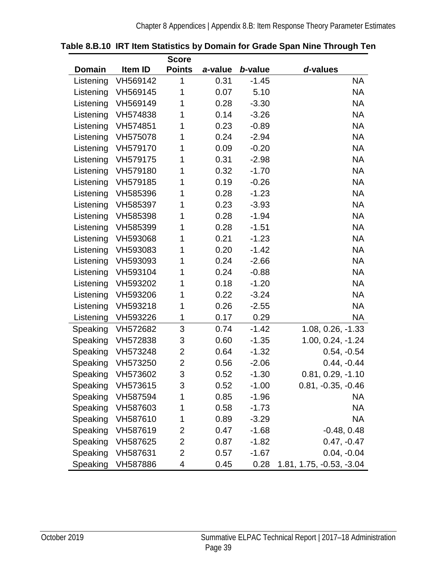|               |          | <b>Score</b>   |         |         |                          |
|---------------|----------|----------------|---------|---------|--------------------------|
| <b>Domain</b> | Item ID  | <b>Points</b>  | a-value | b-value | d-values                 |
| Listening     | VH569142 | 1              | 0.31    | $-1.45$ | <b>NA</b>                |
| Listening     | VH569145 | 1              | 0.07    | 5.10    | <b>NA</b>                |
| Listening     | VH569149 | 1              | 0.28    | $-3.30$ | <b>NA</b>                |
| Listening     | VH574838 | 1              | 0.14    | $-3.26$ | <b>NA</b>                |
| Listening     | VH574851 | 1              | 0.23    | $-0.89$ | <b>NA</b>                |
| Listening     | VH575078 | 1              | 0.24    | $-2.94$ | <b>NA</b>                |
| Listening     | VH579170 | 1              | 0.09    | $-0.20$ | <b>NA</b>                |
| Listening     | VH579175 | 1              | 0.31    | $-2.98$ | <b>NA</b>                |
| Listening     | VH579180 | 1              | 0.32    | $-1.70$ | <b>NA</b>                |
| Listening     | VH579185 | 1              | 0.19    | $-0.26$ | <b>NA</b>                |
| Listening     | VH585396 | 1              | 0.28    | $-1.23$ | <b>NA</b>                |
| Listening     | VH585397 | 1              | 0.23    | $-3.93$ | <b>NA</b>                |
| Listening     | VH585398 | 1              | 0.28    | $-1.94$ | <b>NA</b>                |
| Listening     | VH585399 | 1              | 0.28    | $-1.51$ | <b>NA</b>                |
| Listening     | VH593068 | 1              | 0.21    | $-1.23$ | <b>NA</b>                |
| Listening     | VH593083 | 1              | 0.20    | $-1.42$ | <b>NA</b>                |
| Listening     | VH593093 | 1              | 0.24    | $-2.66$ | <b>NA</b>                |
| Listening     | VH593104 | 1              | 0.24    | $-0.88$ | <b>NA</b>                |
| Listening     | VH593202 | 1              | 0.18    | $-1.20$ | <b>NA</b>                |
| Listening     | VH593206 | 1              | 0.22    | $-3.24$ | <b>NA</b>                |
| Listening     | VH593218 | 1              | 0.26    | $-2.55$ | <b>NA</b>                |
| Listening     | VH593226 | 1              | 0.17    | 0.29    | NA.                      |
| Speaking      | VH572682 | 3              | 0.74    | $-1.42$ | 1.08, 0.26, -1.33        |
| Speaking      | VH572838 | 3              | 0.60    | $-1.35$ | 1.00, 0.24, -1.24        |
| Speaking      | VH573248 | $\overline{2}$ | 0.64    | $-1.32$ | $0.54, -0.54$            |
| Speaking      | VH573250 | $\overline{2}$ | 0.56    | $-2.06$ | $0.44, -0.44$            |
| Speaking      | VH573602 | 3              | 0.52    | $-1.30$ | $0.81, 0.29, -1.10$      |
| Speaking      | VH573615 | 3              | 0.52    | $-1.00$ | $0.81, -0.35, -0.46$     |
| Speaking      | VH587594 | 1              | 0.85    | $-1.96$ | NA                       |
| Speaking      | VH587603 | 1              | 0.58    | $-1.73$ | NA                       |
| Speaking      | VH587610 | 1              | 0.89    | $-3.29$ | NA                       |
| Speaking      | VH587619 | 2              | 0.47    | $-1.68$ | $-0.48, 0.48$            |
| Speaking      | VH587625 | 2              | 0.87    | $-1.82$ | $0.47, -0.47$            |
| Speaking      | VH587631 | 2              | 0.57    | $-1.67$ | $0.04, -0.04$            |
| Speaking      | VH587886 | 4              | 0.45    | 0.28    | 1.81, 1.75, -0.53, -3.04 |

<span id="page-42-0"></span>

| Table 8.B.10 IRT Item Statistics by Domain for Grade Span Nine Through Ten |  |  |  |  |
|----------------------------------------------------------------------------|--|--|--|--|
|                                                                            |  |  |  |  |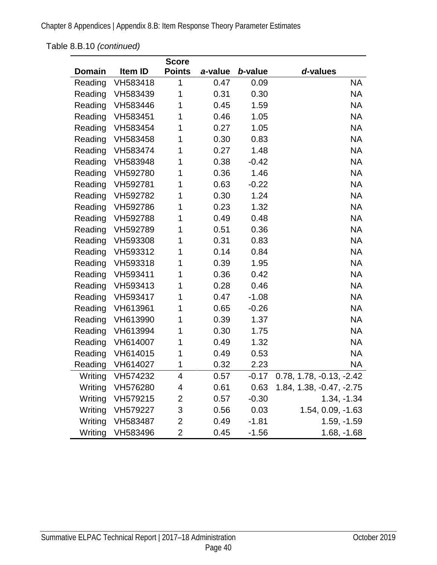Chapter 8 Appendices | Appendix 8.B: Item Response Theory Parameter Estimates

[Table 8.B.10](#page-42-0) *(continued)*

|         |          | <b>Score</b>   |         |         |                          |
|---------|----------|----------------|---------|---------|--------------------------|
| Domain  | Item ID  | <b>Points</b>  | a-value | b-value | d-values                 |
| Reading | VH583418 | 1              | 0.47    | 0.09    | <b>NA</b>                |
| Reading | VH583439 | 1              | 0.31    | 0.30    | <b>NA</b>                |
| Reading | VH583446 | 1              | 0.45    | 1.59    | <b>NA</b>                |
| Reading | VH583451 | 1              | 0.46    | 1.05    | <b>NA</b>                |
| Reading | VH583454 | 1              | 0.27    | 1.05    | <b>NA</b>                |
| Reading | VH583458 | 1              | 0.30    | 0.83    | <b>NA</b>                |
| Reading | VH583474 | 1              | 0.27    | 1.48    | <b>NA</b>                |
| Reading | VH583948 | 1              | 0.38    | $-0.42$ | <b>NA</b>                |
| Reading | VH592780 | 1              | 0.36    | 1.46    | <b>NA</b>                |
| Reading | VH592781 | 1              | 0.63    | $-0.22$ | <b>NA</b>                |
| Reading | VH592782 | 1              | 0.30    | 1.24    | <b>NA</b>                |
| Reading | VH592786 | 1              | 0.23    | 1.32    | <b>NA</b>                |
| Reading | VH592788 | 1              | 0.49    | 0.48    | <b>NA</b>                |
| Reading | VH592789 | 1              | 0.51    | 0.36    | <b>NA</b>                |
| Reading | VH593308 | 1              | 0.31    | 0.83    | <b>NA</b>                |
| Reading | VH593312 | 1              | 0.14    | 0.84    | <b>NA</b>                |
| Reading | VH593318 | 1              | 0.39    | 1.95    | <b>NA</b>                |
| Reading | VH593411 | 1              | 0.36    | 0.42    | <b>NA</b>                |
| Reading | VH593413 | 1              | 0.28    | 0.46    | <b>NA</b>                |
| Reading | VH593417 | 1              | 0.47    | $-1.08$ | <b>NA</b>                |
| Reading | VH613961 | 1              | 0.65    | $-0.26$ | <b>NA</b>                |
| Reading | VH613990 | 1              | 0.39    | 1.37    | <b>NA</b>                |
| Reading | VH613994 | 1              | 0.30    | 1.75    | <b>NA</b>                |
| Reading | VH614007 | 1              | 0.49    | 1.32    | <b>NA</b>                |
| Reading | VH614015 | 1              | 0.49    | 0.53    | <b>NA</b>                |
| Reading | VH614027 | 1              | 0.32    | 2.23    | <b>NA</b>                |
| Writing | VH574232 | 4              | 0.57    | $-0.17$ | 0.78, 1.78, -0.13, -2.42 |
| Writing | VH576280 | 4              | 0.61    | 0.63    | 1.84, 1.38, -0.47, -2.75 |
| Writing | VH579215 | $\overline{2}$ | 0.57    | $-0.30$ | $1.34, -1.34$            |
| Writing | VH579227 | 3              | 0.56    | 0.03    | 1.54, 0.09, -1.63        |
| Writing | VH583487 | $\overline{2}$ | 0.49    | $-1.81$ | $1.59, -1.59$            |
| Writing | VH583496 | $\overline{2}$ | 0.45    | $-1.56$ | $1.68, -1.68$            |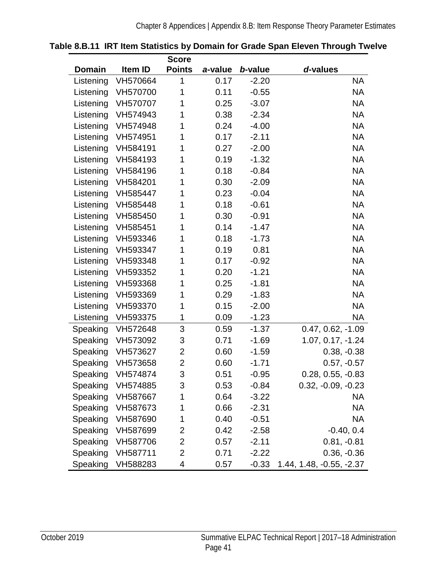|               |          | <b>Score</b>   |         |         |                          |
|---------------|----------|----------------|---------|---------|--------------------------|
| <b>Domain</b> | Item ID  | <b>Points</b>  | a-value | b-value | d-values                 |
| Listening     | VH570664 | 1              | 0.17    | $-2.20$ | <b>NA</b>                |
| Listening     | VH570700 | 1              | 0.11    | $-0.55$ | <b>NA</b>                |
| Listening     | VH570707 | 1              | 0.25    | $-3.07$ | <b>NA</b>                |
| Listening     | VH574943 | 1              | 0.38    | $-2.34$ | <b>NA</b>                |
| Listening     | VH574948 | 1              | 0.24    | $-4.00$ | <b>NA</b>                |
| Listening     | VH574951 | 1              | 0.17    | $-2.11$ | <b>NA</b>                |
| Listening     | VH584191 | 1              | 0.27    | $-2.00$ | <b>NA</b>                |
| Listening     | VH584193 | 1              | 0.19    | $-1.32$ | <b>NA</b>                |
| Listening     | VH584196 | 1              | 0.18    | $-0.84$ | <b>NA</b>                |
| Listening     | VH584201 | 1              | 0.30    | $-2.09$ | <b>NA</b>                |
| Listening     | VH585447 | 1              | 0.23    | $-0.04$ | <b>NA</b>                |
| Listening     | VH585448 | 1              | 0.18    | $-0.61$ | <b>NA</b>                |
| Listening     | VH585450 | 1              | 0.30    | $-0.91$ | <b>NA</b>                |
| Listening     | VH585451 | 1              | 0.14    | $-1.47$ | <b>NA</b>                |
| Listening     | VH593346 | 1              | 0.18    | $-1.73$ | <b>NA</b>                |
| Listening     | VH593347 | 1              | 0.19    | 0.81    | <b>NA</b>                |
| Listening     | VH593348 | 1              | 0.17    | $-0.92$ | <b>NA</b>                |
| Listening     | VH593352 | 1              | 0.20    | $-1.21$ | <b>NA</b>                |
| Listening     | VH593368 | 1              | 0.25    | $-1.81$ | <b>NA</b>                |
| Listening     | VH593369 | 1              | 0.29    | $-1.83$ | <b>NA</b>                |
| Listening     | VH593370 | 1              | 0.15    | $-2.00$ | <b>NA</b>                |
| Listening     | VH593375 | 1              | 0.09    | $-1.23$ | <b>NA</b>                |
| Speaking      | VH572648 | 3              | 0.59    | $-1.37$ | $0.47, 0.62, -1.09$      |
| Speaking      | VH573092 | 3              | 0.71    | $-1.69$ | 1.07, 0.17, -1.24        |
| Speaking      | VH573627 | 2              | 0.60    | $-1.59$ | $0.38, -0.38$            |
| Speaking      | VH573658 | $\overline{2}$ | 0.60    | $-1.71$ | $0.57, -0.57$            |
| Speaking      | VH574874 | 3              | 0.51    | $-0.95$ | $0.28, 0.55, -0.83$      |
| Speaking      | VH574885 | 3              | 0.53    | $-0.84$ | $0.32, -0.09, -0.23$     |
| Speaking      | VH587667 | 1              | 0.64    | $-3.22$ | <b>NA</b>                |
| Speaking      | VH587673 | 1              | 0.66    | $-2.31$ | NA                       |
| Speaking      | VH587690 | 1              | 0.40    | $-0.51$ | NA                       |
| Speaking      | VH587699 | 2              | 0.42    | $-2.58$ | $-0.40, 0.4$             |
| Speaking      | VH587706 | 2              | 0.57    | $-2.11$ | $0.81, -0.81$            |
| Speaking      | VH587711 | 2              | 0.71    | $-2.22$ | $0.36, -0.36$            |
| Speaking      | VH588283 | 4              | 0.57    | $-0.33$ | 1.44, 1.48, -0.55, -2.37 |

<span id="page-44-0"></span>

|  |  | Table 8.B.11 IRT Item Statistics by Domain for Grade Span Eleven Through Twelve |  |
|--|--|---------------------------------------------------------------------------------|--|
|  |  |                                                                                 |  |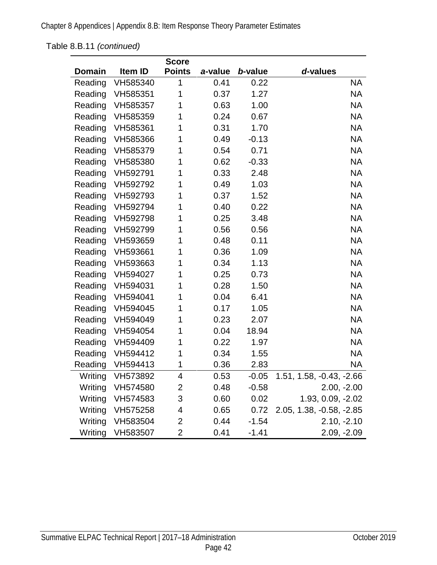Chapter 8 Appendices | Appendix 8.B: Item Response Theory Parameter Estimates

[Table 8.B.11](#page-44-0) *(continued)*

|         |          | <b>Score</b>   |         |         |                          |
|---------|----------|----------------|---------|---------|--------------------------|
| Domain  | Item ID  | <b>Points</b>  | a-value | b-value | d-values                 |
| Reading | VH585340 | 1              | 0.41    | 0.22    | <b>NA</b>                |
| Reading | VH585351 | 1              | 0.37    | 1.27    | <b>NA</b>                |
| Reading | VH585357 | 1              | 0.63    | 1.00    | <b>NA</b>                |
| Reading | VH585359 | 1              | 0.24    | 0.67    | <b>NA</b>                |
| Reading | VH585361 | 1              | 0.31    | 1.70    | <b>NA</b>                |
| Reading | VH585366 | 1              | 0.49    | $-0.13$ | <b>NA</b>                |
| Reading | VH585379 | 1              | 0.54    | 0.71    | <b>NA</b>                |
| Reading | VH585380 | 1              | 0.62    | $-0.33$ | <b>NA</b>                |
| Reading | VH592791 | 1              | 0.33    | 2.48    | <b>NA</b>                |
| Reading | VH592792 | 1              | 0.49    | 1.03    | <b>NA</b>                |
| Reading | VH592793 | 1              | 0.37    | 1.52    | <b>NA</b>                |
| Reading | VH592794 | 1              | 0.40    | 0.22    | <b>NA</b>                |
| Reading | VH592798 | 1              | 0.25    | 3.48    | <b>NA</b>                |
| Reading | VH592799 | 1              | 0.56    | 0.56    | <b>NA</b>                |
| Reading | VH593659 | 1              | 0.48    | 0.11    | <b>NA</b>                |
| Reading | VH593661 | 1              | 0.36    | 1.09    | <b>NA</b>                |
| Reading | VH593663 | 1              | 0.34    | 1.13    | <b>NA</b>                |
| Reading | VH594027 | 1              | 0.25    | 0.73    | <b>NA</b>                |
| Reading | VH594031 | 1              | 0.28    | 1.50    | <b>NA</b>                |
| Reading | VH594041 | 1              | 0.04    | 6.41    | <b>NA</b>                |
| Reading | VH594045 | 1              | 0.17    | 1.05    | <b>NA</b>                |
| Reading | VH594049 | 1              | 0.23    | 2.07    | <b>NA</b>                |
| Reading | VH594054 | 1              | 0.04    | 18.94   | <b>NA</b>                |
| Reading | VH594409 | 1              | 0.22    | 1.97    | <b>NA</b>                |
| Reading | VH594412 | 1              | 0.34    | 1.55    | <b>NA</b>                |
| Reading | VH594413 | 1              | 0.36    | 2.83    | NA                       |
| Writing | VH573892 | 4              | 0.53    | $-0.05$ | 1.51, 1.58, -0.43, -2.66 |
| Writing | VH574580 | $\overline{2}$ | 0.48    | $-0.58$ | $2.00, -2.00$            |
| Writing | VH574583 | 3              | 0.60    | 0.02    | 1.93, 0.09, -2.02        |
| Writing | VH575258 | 4              | 0.65    | 0.72    | 2.05, 1.38, -0.58, -2.85 |
| Writing | VH583504 | 2              | 0.44    | $-1.54$ | $2.10, -2.10$            |
| Writing | VH583507 | 2              | 0.41    | $-1.41$ | 2.09, -2.09              |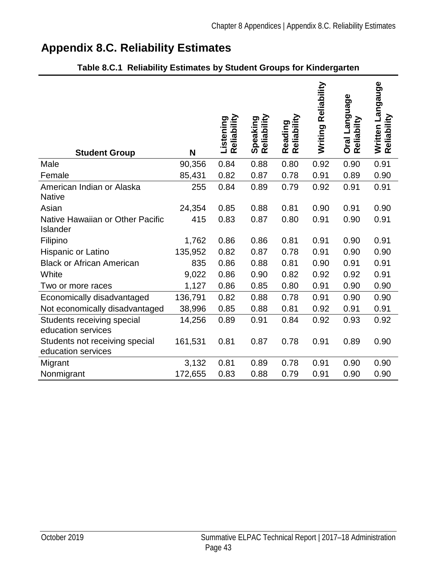# **Appendix 8.C. Reliability Estimates**

| <b>Student Group</b>                                 | N       | Reliability<br>Listening | Speaking<br>Reliability | Reading<br>Reliability | Writing Reliability | Oral Language<br>Reliabilty | Written Langauge<br>Reliability |
|------------------------------------------------------|---------|--------------------------|-------------------------|------------------------|---------------------|-----------------------------|---------------------------------|
| Male                                                 | 90,356  | 0.84                     | 0.88                    | 0.80                   | 0.92                | 0.90                        | 0.91                            |
| Female                                               | 85,431  | 0.82                     | 0.87                    | 0.78                   | 0.91                | 0.89                        | 0.90                            |
| American Indian or Alaska<br><b>Native</b>           | 255     | 0.84                     | 0.89                    | 0.79                   | 0.92                | 0.91                        | 0.91                            |
| Asian                                                | 24,354  | 0.85                     | 0.88                    | 0.81                   | 0.90                | 0.91                        | 0.90                            |
| Native Hawaiian or Other Pacific<br>Islander         | 415     | 0.83                     | 0.87                    | 0.80                   | 0.91                | 0.90                        | 0.91                            |
| Filipino                                             | 1,762   | 0.86                     | 0.86                    | 0.81                   | 0.91                | 0.90                        | 0.91                            |
| Hispanic or Latino                                   | 135,952 | 0.82                     | 0.87                    | 0.78                   | 0.91                | 0.90                        | 0.90                            |
| <b>Black or African American</b>                     | 835     | 0.86                     | 0.88                    | 0.81                   | 0.90                | 0.91                        | 0.91                            |
| White                                                | 9,022   | 0.86                     | 0.90                    | 0.82                   | 0.92                | 0.92                        | 0.91                            |
| Two or more races                                    | 1,127   | 0.86                     | 0.85                    | 0.80                   | 0.91                | 0.90                        | 0.90                            |
| Economically disadvantaged                           | 136,791 | 0.82                     | 0.88                    | 0.78                   | 0.91                | 0.90                        | 0.90                            |
| Not economically disadvantaged                       | 38,996  | 0.85                     | 0.88                    | 0.81                   | 0.92                | 0.91                        | 0.91                            |
| Students receiving special<br>education services     | 14,256  | 0.89                     | 0.91                    | 0.84                   | 0.92                | 0.93                        | 0.92                            |
| Students not receiving special<br>education services | 161,531 | 0.81                     | 0.87                    | 0.78                   | 0.91                | 0.89                        | 0.90                            |
| Migrant                                              | 3,132   | 0.81                     | 0.89                    | 0.78                   | 0.91                | 0.90                        | 0.90                            |
| Nonmigrant                                           | 172,655 | 0.83                     | 0.88                    | 0.79                   | 0.91                | 0.90                        | 0.90                            |

## **Table 8.C.1 Reliability Estimates by Student Groups for Kindergarten**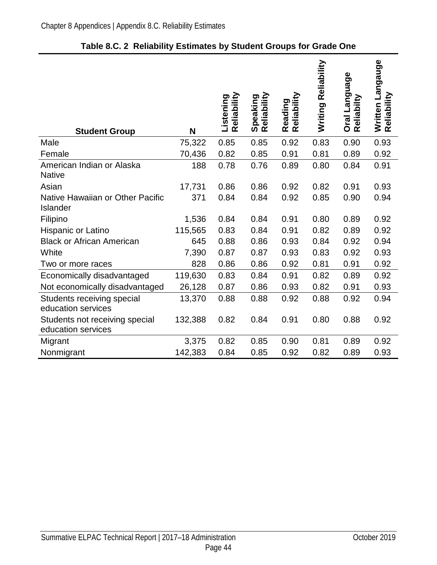| <b>Student Group</b>                                 | N       | Reliability<br>Listening | Speaking<br>Reliability | Reading<br>Reliability | Writing Reliability | Oral Language<br>Reliabilty | Written Langauge<br>Reliability |
|------------------------------------------------------|---------|--------------------------|-------------------------|------------------------|---------------------|-----------------------------|---------------------------------|
| Male                                                 | 75,322  | 0.85                     | 0.85                    | 0.92                   | 0.83                | 0.90                        | 0.93                            |
| Female                                               | 70,436  | 0.82                     | 0.85                    | 0.91                   | 0.81                | 0.89                        | 0.92                            |
| American Indian or Alaska<br><b>Native</b>           | 188     | 0.78                     | 0.76                    | 0.89                   | 0.80                | 0.84                        | 0.91                            |
| Asian                                                | 17,731  | 0.86                     | 0.86                    | 0.92                   | 0.82                | 0.91                        | 0.93                            |
| Native Hawaiian or Other Pacific<br>Islander         | 371     | 0.84                     | 0.84                    | 0.92                   | 0.85                | 0.90                        | 0.94                            |
| Filipino                                             | 1,536   | 0.84                     | 0.84                    | 0.91                   | 0.80                | 0.89                        | 0.92                            |
| <b>Hispanic or Latino</b>                            | 115,565 | 0.83                     | 0.84                    | 0.91                   | 0.82                | 0.89                        | 0.92                            |
| <b>Black or African American</b>                     | 645     | 0.88                     | 0.86                    | 0.93                   | 0.84                | 0.92                        | 0.94                            |
| White                                                | 7,390   | 0.87                     | 0.87                    | 0.93                   | 0.83                | 0.92                        | 0.93                            |
| Two or more races                                    | 828     | 0.86                     | 0.86                    | 0.92                   | 0.81                | 0.91                        | 0.92                            |
| Economically disadvantaged                           | 119,630 | 0.83                     | 0.84                    | 0.91                   | 0.82                | 0.89                        | 0.92                            |
| Not economically disadvantaged                       | 26,128  | 0.87                     | 0.86                    | 0.93                   | 0.82                | 0.91                        | 0.93                            |
| Students receiving special<br>education services     | 13,370  | 0.88                     | 0.88                    | 0.92                   | 0.88                | 0.92                        | 0.94                            |
| Students not receiving special<br>education services | 132,388 | 0.82                     | 0.84                    | 0.91                   | 0.80                | 0.88                        | 0.92                            |
| Migrant                                              | 3,375   | 0.82                     | 0.85                    | 0.90                   | 0.81                | 0.89                        | 0.92                            |
| Nonmigrant                                           | 142,383 | 0.84                     | 0.85                    | 0.92                   | 0.82                | 0.89                        | 0.93                            |

## **Table 8.C. 2 Reliability Estimates by Student Groups for Grade One**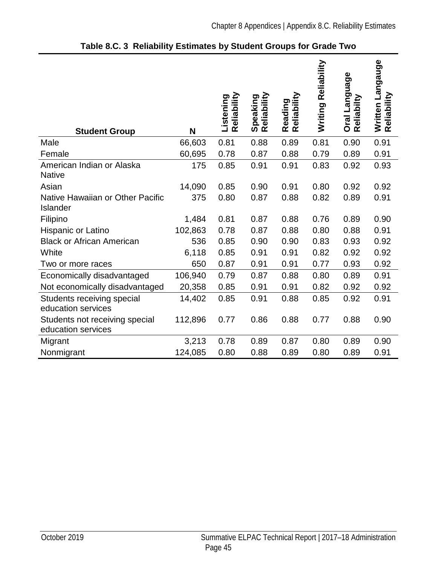| 0.81<br>0.88<br>0.89<br>0.90<br>0.91<br>Male<br>66,603<br>0.81<br>60,695<br>0.78<br>0.87<br>0.88<br>0.79<br>0.89<br>0.91<br>Female<br>American Indian or Alaska<br>175<br>0.85<br>0.91<br>0.91<br>0.83<br>0.92<br>0.93<br><b>Native</b><br>Asian<br>14,090<br>0.85<br>0.91<br>0.80<br>0.92<br>0.92<br>0.90<br>Native Hawaiian or Other Pacific<br>375<br>0.80<br>0.87<br>0.88<br>0.82<br>0.89<br>0.91<br>Islander<br>Filipino<br>0.88<br>1,484<br>0.81<br>0.87<br>0.76<br>0.89<br>0.90<br>102,863<br>0.78<br>0.87<br>0.88<br>0.80<br>0.88<br>0.91<br>Hispanic or Latino<br><b>Black or African American</b><br>536<br>0.85<br>0.90<br>0.90<br>0.83<br>0.93<br>0.92<br>6,118<br>0.85<br>0.91<br>0.91<br>0.82<br>White<br>0.92<br>0.92<br>650<br>0.87<br>0.91<br>0.91<br>0.77<br>0.93<br>0.92<br>Two or more races<br>106,940<br>0.87<br>0.88<br>0.91<br>Economically disadvantaged<br>0.79<br>0.80<br>0.89<br>Not economically disadvantaged<br>20,358<br>0.85<br>0.91<br>0.91<br>0.82<br>0.92<br>0.92<br>14,402<br>0.85<br>0.91<br>0.88<br>0.85<br>0.92<br>0.91<br>Students receiving special<br>education services<br>0.88<br>Students not receiving special<br>112,896<br>0.77<br>0.86<br>0.77<br>0.88<br>0.90<br>education services<br>3,213<br>0.78<br>0.89<br>0.87<br>0.80<br>0.89<br>0.90<br>Migrant<br>Nonmigrant<br>124,085<br>0.80<br>0.89<br>0.80<br>0.89<br>0.88<br>0.91 | <b>Student Group</b> | N | Reliability<br>Listening | Reliability<br>Speaking | Reading<br>Reliability | Reliability<br>Writing | Oral Language<br>Reliabilty | Written Langauge<br>Reliability |
|-------------------------------------------------------------------------------------------------------------------------------------------------------------------------------------------------------------------------------------------------------------------------------------------------------------------------------------------------------------------------------------------------------------------------------------------------------------------------------------------------------------------------------------------------------------------------------------------------------------------------------------------------------------------------------------------------------------------------------------------------------------------------------------------------------------------------------------------------------------------------------------------------------------------------------------------------------------------------------------------------------------------------------------------------------------------------------------------------------------------------------------------------------------------------------------------------------------------------------------------------------------------------------------------------------------------------------------------------------------------------------------|----------------------|---|--------------------------|-------------------------|------------------------|------------------------|-----------------------------|---------------------------------|
|                                                                                                                                                                                                                                                                                                                                                                                                                                                                                                                                                                                                                                                                                                                                                                                                                                                                                                                                                                                                                                                                                                                                                                                                                                                                                                                                                                                     |                      |   |                          |                         |                        |                        |                             |                                 |
|                                                                                                                                                                                                                                                                                                                                                                                                                                                                                                                                                                                                                                                                                                                                                                                                                                                                                                                                                                                                                                                                                                                                                                                                                                                                                                                                                                                     |                      |   |                          |                         |                        |                        |                             |                                 |
|                                                                                                                                                                                                                                                                                                                                                                                                                                                                                                                                                                                                                                                                                                                                                                                                                                                                                                                                                                                                                                                                                                                                                                                                                                                                                                                                                                                     |                      |   |                          |                         |                        |                        |                             |                                 |
|                                                                                                                                                                                                                                                                                                                                                                                                                                                                                                                                                                                                                                                                                                                                                                                                                                                                                                                                                                                                                                                                                                                                                                                                                                                                                                                                                                                     |                      |   |                          |                         |                        |                        |                             |                                 |
|                                                                                                                                                                                                                                                                                                                                                                                                                                                                                                                                                                                                                                                                                                                                                                                                                                                                                                                                                                                                                                                                                                                                                                                                                                                                                                                                                                                     |                      |   |                          |                         |                        |                        |                             |                                 |
|                                                                                                                                                                                                                                                                                                                                                                                                                                                                                                                                                                                                                                                                                                                                                                                                                                                                                                                                                                                                                                                                                                                                                                                                                                                                                                                                                                                     |                      |   |                          |                         |                        |                        |                             |                                 |
|                                                                                                                                                                                                                                                                                                                                                                                                                                                                                                                                                                                                                                                                                                                                                                                                                                                                                                                                                                                                                                                                                                                                                                                                                                                                                                                                                                                     |                      |   |                          |                         |                        |                        |                             |                                 |
|                                                                                                                                                                                                                                                                                                                                                                                                                                                                                                                                                                                                                                                                                                                                                                                                                                                                                                                                                                                                                                                                                                                                                                                                                                                                                                                                                                                     |                      |   |                          |                         |                        |                        |                             |                                 |
|                                                                                                                                                                                                                                                                                                                                                                                                                                                                                                                                                                                                                                                                                                                                                                                                                                                                                                                                                                                                                                                                                                                                                                                                                                                                                                                                                                                     |                      |   |                          |                         |                        |                        |                             |                                 |
|                                                                                                                                                                                                                                                                                                                                                                                                                                                                                                                                                                                                                                                                                                                                                                                                                                                                                                                                                                                                                                                                                                                                                                                                                                                                                                                                                                                     |                      |   |                          |                         |                        |                        |                             |                                 |
|                                                                                                                                                                                                                                                                                                                                                                                                                                                                                                                                                                                                                                                                                                                                                                                                                                                                                                                                                                                                                                                                                                                                                                                                                                                                                                                                                                                     |                      |   |                          |                         |                        |                        |                             |                                 |
|                                                                                                                                                                                                                                                                                                                                                                                                                                                                                                                                                                                                                                                                                                                                                                                                                                                                                                                                                                                                                                                                                                                                                                                                                                                                                                                                                                                     |                      |   |                          |                         |                        |                        |                             |                                 |
|                                                                                                                                                                                                                                                                                                                                                                                                                                                                                                                                                                                                                                                                                                                                                                                                                                                                                                                                                                                                                                                                                                                                                                                                                                                                                                                                                                                     |                      |   |                          |                         |                        |                        |                             |                                 |
|                                                                                                                                                                                                                                                                                                                                                                                                                                                                                                                                                                                                                                                                                                                                                                                                                                                                                                                                                                                                                                                                                                                                                                                                                                                                                                                                                                                     |                      |   |                          |                         |                        |                        |                             |                                 |
|                                                                                                                                                                                                                                                                                                                                                                                                                                                                                                                                                                                                                                                                                                                                                                                                                                                                                                                                                                                                                                                                                                                                                                                                                                                                                                                                                                                     |                      |   |                          |                         |                        |                        |                             |                                 |
|                                                                                                                                                                                                                                                                                                                                                                                                                                                                                                                                                                                                                                                                                                                                                                                                                                                                                                                                                                                                                                                                                                                                                                                                                                                                                                                                                                                     |                      |   |                          |                         |                        |                        |                             |                                 |

**Table 8.C. 3 Reliability Estimates by Student Groups for Grade Two**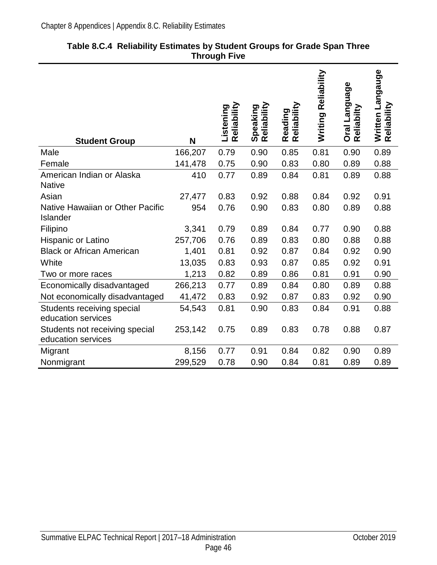| <b>Student Group</b>                                 | N       | Reliability<br>Listening | Speaking<br>Reliability | Reliability<br>Reading | Reliability<br>Writing | Oral Language<br>Reliabilty | Written Langauge<br>Reliability |
|------------------------------------------------------|---------|--------------------------|-------------------------|------------------------|------------------------|-----------------------------|---------------------------------|
| Male                                                 | 166,207 | 0.79                     | 0.90                    | 0.85                   | 0.81                   | 0.90                        | 0.89                            |
| Female                                               | 141,478 | 0.75                     | 0.90                    | 0.83                   | 0.80                   | 0.89                        | 0.88                            |
| American Indian or Alaska<br><b>Native</b>           | 410     | 0.77                     | 0.89                    | 0.84                   | 0.81                   | 0.89                        | 0.88                            |
| Asian                                                | 27,477  | 0.83                     | 0.92                    | 0.88                   | 0.84                   | 0.92                        | 0.91                            |
| Native Hawaiian or Other Pacific<br>Islander         | 954     | 0.76                     | 0.90                    | 0.83                   | 0.80                   | 0.89                        | 0.88                            |
| Filipino                                             | 3,341   | 0.79                     | 0.89                    | 0.84                   | 0.77                   | 0.90                        | 0.88                            |
| Hispanic or Latino                                   | 257,706 | 0.76                     | 0.89                    | 0.83                   | 0.80                   | 0.88                        | 0.88                            |
| <b>Black or African American</b>                     | 1,401   | 0.81                     | 0.92                    | 0.87                   | 0.84                   | 0.92                        | 0.90                            |
| White                                                | 13,035  | 0.83                     | 0.93                    | 0.87                   | 0.85                   | 0.92                        | 0.91                            |
| Two or more races                                    | 1,213   | 0.82                     | 0.89                    | 0.86                   | 0.81                   | 0.91                        | 0.90                            |
| Economically disadvantaged                           | 266,213 | 0.77                     | 0.89                    | 0.84                   | 0.80                   | 0.89                        | 0.88                            |
| Not economically disadvantaged                       | 41,472  | 0.83                     | 0.92                    | 0.87                   | 0.83                   | 0.92                        | 0.90                            |
| Students receiving special<br>education services     | 54,543  | 0.81                     | 0.90                    | 0.83                   | 0.84                   | 0.91                        | 0.88                            |
| Students not receiving special<br>education services | 253,142 | 0.75                     | 0.89                    | 0.83                   | 0.78                   | 0.88                        | 0.87                            |
| Migrant                                              | 8,156   | 0.77                     | 0.91                    | 0.84                   | 0.82                   | 0.90                        | 0.89                            |
| Nonmigrant                                           | 299,529 | 0.78                     | 0.90                    | 0.84                   | 0.81                   | 0.89                        | 0.89                            |

#### **Table 8.C.4 Reliability Estimates by Student Groups for Grade Span Three Through Five**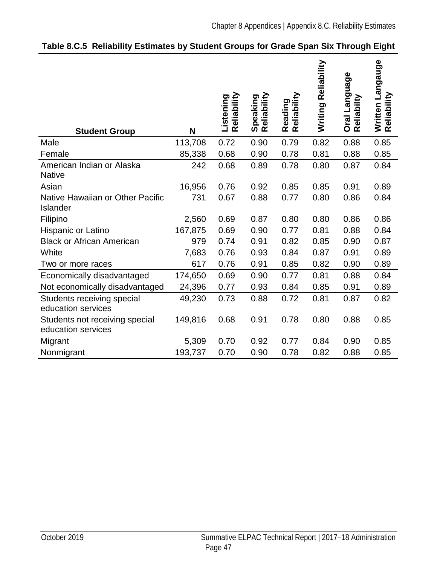| <b>Student Group</b>                                 | N       | Reliability<br>Listening | Reliability<br>Speaking | Reliability<br>Reading | Reliability<br>Writing | Oral Language<br>Reliabilty | Written Langauge<br>Reliability |
|------------------------------------------------------|---------|--------------------------|-------------------------|------------------------|------------------------|-----------------------------|---------------------------------|
| Male                                                 | 113,708 | 0.72                     | 0.90                    | 0.79                   | 0.82                   | 0.88                        | 0.85                            |
| Female                                               | 85,338  | 0.68                     | 0.90                    | 0.78                   | 0.81                   | 0.88                        | 0.85                            |
| American Indian or Alaska<br><b>Native</b>           | 242     | 0.68                     | 0.89                    | 0.78                   | 0.80                   | 0.87                        | 0.84                            |
| Asian                                                | 16,956  | 0.76                     | 0.92                    | 0.85                   | 0.85                   | 0.91                        | 0.89                            |
| Native Hawaiian or Other Pacific<br>Islander         | 731     | 0.67                     | 0.88                    | 0.77                   | 0.80                   | 0.86                        | 0.84                            |
| Filipino                                             | 2,560   | 0.69                     | 0.87                    | 0.80                   | 0.80                   | 0.86                        | 0.86                            |
| Hispanic or Latino                                   | 167,875 | 0.69                     | 0.90                    | 0.77                   | 0.81                   | 0.88                        | 0.84                            |
| <b>Black or African American</b>                     | 979     | 0.74                     | 0.91                    | 0.82                   | 0.85                   | 0.90                        | 0.87                            |
| White                                                | 7,683   | 0.76                     | 0.93                    | 0.84                   | 0.87                   | 0.91                        | 0.89                            |
| Two or more races                                    | 617     | 0.76                     | 0.91                    | 0.85                   | 0.82                   | 0.90                        | 0.89                            |
| Economically disadvantaged                           | 174,650 | 0.69                     | 0.90                    | 0.77                   | 0.81                   | 0.88                        | 0.84                            |
| Not economically disadvantaged                       | 24,396  | 0.77                     | 0.93                    | 0.84                   | 0.85                   | 0.91                        | 0.89                            |
| Students receiving special<br>education services     | 49,230  | 0.73                     | 0.88                    | 0.72                   | 0.81                   | 0.87                        | 0.82                            |
| Students not receiving special<br>education services | 149,816 | 0.68                     | 0.91                    | 0.78                   | 0.80                   | 0.88                        | 0.85                            |
| Migrant                                              | 5,309   | 0.70                     | 0.92                    | 0.77                   | 0.84                   | 0.90                        | 0.85                            |
| Nonmigrant                                           | 193,737 | 0.70                     | 0.90                    | 0.78                   | 0.82                   | 0.88                        | 0.85                            |

## **Table 8.C.5 Reliability Estimates by Student Groups for Grade Span Six Through Eight**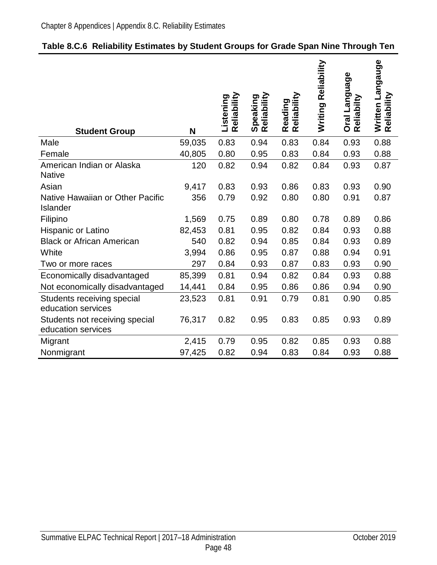| 0.83<br>0.94<br>0.83<br>0.84<br>0.93<br>0.88<br>Male<br>59,035<br>40,805<br>0.80<br>0.95<br>0.83<br>0.84<br>0.93<br>0.88<br>Female<br>American Indian or Alaska<br>120<br>0.82<br>0.94<br>0.82<br>0.84<br>0.93<br>0.87<br><b>Native</b><br>Asian<br>0.83<br>0.86<br>0.83<br>0.93<br>0.90<br>9,417<br>0.93<br>Native Hawaiian or Other Pacific<br>0.79<br>0.80<br>356<br>0.92<br>0.80<br>0.91<br>0.87<br>Islander<br>Filipino<br>1,569<br>0.75<br>0.89<br>0.80<br>0.78<br>0.89<br>0.86<br>0.81<br>0.95<br>0.82<br>0.84<br>82,453<br>0.93<br>0.88<br>Hispanic or Latino<br><b>Black or African American</b><br>540<br>0.82<br>0.94<br>0.85<br>0.84<br>0.93<br>0.89<br>0.86<br>0.95<br>White<br>3,994<br>0.87<br>0.88<br>0.94<br>0.91<br>0.84<br>0.87<br>0.83<br>0.93<br>297<br>0.93<br>0.90<br>Two or more races<br>Economically disadvantaged<br>85,399<br>0.81<br>0.94<br>0.82<br>0.84<br>0.93<br>0.88<br>Not economically disadvantaged<br>14,441<br>0.84<br>0.95<br>0.86<br>0.86<br>0.94<br>0.90<br>0.81<br>0.91<br>0.81<br>0.90<br>Students receiving special<br>23,523<br>0.79<br>0.85<br>education services<br>0.82<br>0.83<br>0.93<br>Students not receiving special<br>76,317<br>0.95<br>0.85<br>0.89<br>education services<br>0.82<br>2,415<br>0.79<br>0.95<br>0.85<br>0.93<br>0.88<br>Migrant<br>Nonmigrant<br>97,425<br>0.82<br>0.94<br>0.83<br>0.84<br>0.93<br>0.88 | <b>Student Group</b> | N | Reliability<br>Listening | Reliability<br>Speaking | Reading<br>Reliability | Reliability<br>Writing | Oral Language<br>Reliabilty | Written Langauge<br>Reliability |
|--------------------------------------------------------------------------------------------------------------------------------------------------------------------------------------------------------------------------------------------------------------------------------------------------------------------------------------------------------------------------------------------------------------------------------------------------------------------------------------------------------------------------------------------------------------------------------------------------------------------------------------------------------------------------------------------------------------------------------------------------------------------------------------------------------------------------------------------------------------------------------------------------------------------------------------------------------------------------------------------------------------------------------------------------------------------------------------------------------------------------------------------------------------------------------------------------------------------------------------------------------------------------------------------------------------------------------------------------------------------------------|----------------------|---|--------------------------|-------------------------|------------------------|------------------------|-----------------------------|---------------------------------|
|                                                                                                                                                                                                                                                                                                                                                                                                                                                                                                                                                                                                                                                                                                                                                                                                                                                                                                                                                                                                                                                                                                                                                                                                                                                                                                                                                                                |                      |   |                          |                         |                        |                        |                             |                                 |
|                                                                                                                                                                                                                                                                                                                                                                                                                                                                                                                                                                                                                                                                                                                                                                                                                                                                                                                                                                                                                                                                                                                                                                                                                                                                                                                                                                                |                      |   |                          |                         |                        |                        |                             |                                 |
|                                                                                                                                                                                                                                                                                                                                                                                                                                                                                                                                                                                                                                                                                                                                                                                                                                                                                                                                                                                                                                                                                                                                                                                                                                                                                                                                                                                |                      |   |                          |                         |                        |                        |                             |                                 |
|                                                                                                                                                                                                                                                                                                                                                                                                                                                                                                                                                                                                                                                                                                                                                                                                                                                                                                                                                                                                                                                                                                                                                                                                                                                                                                                                                                                |                      |   |                          |                         |                        |                        |                             |                                 |
|                                                                                                                                                                                                                                                                                                                                                                                                                                                                                                                                                                                                                                                                                                                                                                                                                                                                                                                                                                                                                                                                                                                                                                                                                                                                                                                                                                                |                      |   |                          |                         |                        |                        |                             |                                 |
|                                                                                                                                                                                                                                                                                                                                                                                                                                                                                                                                                                                                                                                                                                                                                                                                                                                                                                                                                                                                                                                                                                                                                                                                                                                                                                                                                                                |                      |   |                          |                         |                        |                        |                             |                                 |
|                                                                                                                                                                                                                                                                                                                                                                                                                                                                                                                                                                                                                                                                                                                                                                                                                                                                                                                                                                                                                                                                                                                                                                                                                                                                                                                                                                                |                      |   |                          |                         |                        |                        |                             |                                 |
|                                                                                                                                                                                                                                                                                                                                                                                                                                                                                                                                                                                                                                                                                                                                                                                                                                                                                                                                                                                                                                                                                                                                                                                                                                                                                                                                                                                |                      |   |                          |                         |                        |                        |                             |                                 |
|                                                                                                                                                                                                                                                                                                                                                                                                                                                                                                                                                                                                                                                                                                                                                                                                                                                                                                                                                                                                                                                                                                                                                                                                                                                                                                                                                                                |                      |   |                          |                         |                        |                        |                             |                                 |
|                                                                                                                                                                                                                                                                                                                                                                                                                                                                                                                                                                                                                                                                                                                                                                                                                                                                                                                                                                                                                                                                                                                                                                                                                                                                                                                                                                                |                      |   |                          |                         |                        |                        |                             |                                 |
|                                                                                                                                                                                                                                                                                                                                                                                                                                                                                                                                                                                                                                                                                                                                                                                                                                                                                                                                                                                                                                                                                                                                                                                                                                                                                                                                                                                |                      |   |                          |                         |                        |                        |                             |                                 |
|                                                                                                                                                                                                                                                                                                                                                                                                                                                                                                                                                                                                                                                                                                                                                                                                                                                                                                                                                                                                                                                                                                                                                                                                                                                                                                                                                                                |                      |   |                          |                         |                        |                        |                             |                                 |
|                                                                                                                                                                                                                                                                                                                                                                                                                                                                                                                                                                                                                                                                                                                                                                                                                                                                                                                                                                                                                                                                                                                                                                                                                                                                                                                                                                                |                      |   |                          |                         |                        |                        |                             |                                 |
|                                                                                                                                                                                                                                                                                                                                                                                                                                                                                                                                                                                                                                                                                                                                                                                                                                                                                                                                                                                                                                                                                                                                                                                                                                                                                                                                                                                |                      |   |                          |                         |                        |                        |                             |                                 |
|                                                                                                                                                                                                                                                                                                                                                                                                                                                                                                                                                                                                                                                                                                                                                                                                                                                                                                                                                                                                                                                                                                                                                                                                                                                                                                                                                                                |                      |   |                          |                         |                        |                        |                             |                                 |
|                                                                                                                                                                                                                                                                                                                                                                                                                                                                                                                                                                                                                                                                                                                                                                                                                                                                                                                                                                                                                                                                                                                                                                                                                                                                                                                                                                                |                      |   |                          |                         |                        |                        |                             |                                 |

## **Table 8.C.6 Reliability Estimates by Student Groups for Grade Span Nine Through Ten**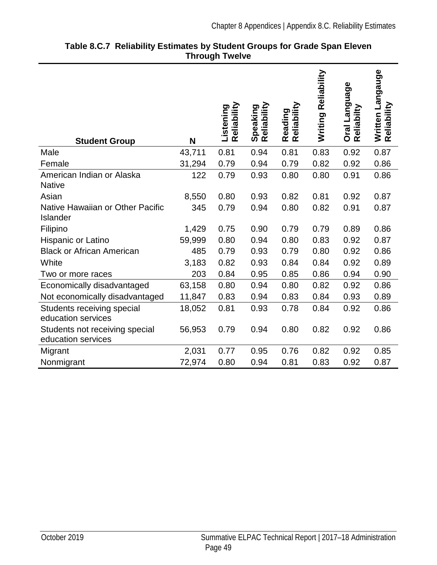| <b>Student Group</b>                                 | N      | Reliability<br>Listening | Reliability<br>Speaking | Reliability<br>Reading | Reliability<br>Writing | Oral Language<br>Reliabilty | Written Langauge<br>Reliability |
|------------------------------------------------------|--------|--------------------------|-------------------------|------------------------|------------------------|-----------------------------|---------------------------------|
| Male                                                 | 43,711 | 0.81                     | 0.94                    | 0.81                   | 0.83                   | 0.92                        | 0.87                            |
| Female                                               | 31,294 | 0.79                     | 0.94                    | 0.79                   | 0.82                   | 0.92                        | 0.86                            |
| American Indian or Alaska<br><b>Native</b>           | 122    | 0.79                     | 0.93                    | 0.80                   | 0.80                   | 0.91                        | 0.86                            |
| Asian                                                | 8,550  | 0.80                     | 0.93                    | 0.82                   | 0.81                   | 0.92                        | 0.87                            |
| Native Hawaiian or Other Pacific<br>Islander         | 345    | 0.79                     | 0.94                    | 0.80                   | 0.82                   | 0.91                        | 0.87                            |
| Filipino                                             | 1,429  | 0.75                     | 0.90                    | 0.79                   | 0.79                   | 0.89                        | 0.86                            |
| Hispanic or Latino                                   | 59,999 | 0.80                     | 0.94                    | 0.80                   | 0.83                   | 0.92                        | 0.87                            |
| <b>Black or African American</b>                     | 485    | 0.79                     | 0.93                    | 0.79                   | 0.80                   | 0.92                        | 0.86                            |
| White                                                | 3,183  | 0.82                     | 0.93                    | 0.84                   | 0.84                   | 0.92                        | 0.89                            |
| Two or more races                                    | 203    | 0.84                     | 0.95                    | 0.85                   | 0.86                   | 0.94                        | 0.90                            |
| Economically disadvantaged                           | 63,158 | 0.80                     | 0.94                    | 0.80                   | 0.82                   | 0.92                        | 0.86                            |
| Not economically disadvantaged                       | 11,847 | 0.83                     | 0.94                    | 0.83                   | 0.84                   | 0.93                        | 0.89                            |
| Students receiving special<br>education services     | 18,052 | 0.81                     | 0.93                    | 0.78                   | 0.84                   | 0.92                        | 0.86                            |
| Students not receiving special<br>education services | 56,953 | 0.79                     | 0.94                    | 0.80                   | 0.82                   | 0.92                        | 0.86                            |
| Migrant                                              | 2,031  | 0.77                     | 0.95                    | 0.76                   | 0.82                   | 0.92                        | 0.85                            |
| Nonmigrant                                           | 72,974 | 0.80                     | 0.94                    | 0.81                   | 0.83                   | 0.92                        | 0.87                            |

#### **Table 8.C.7 Reliability Estimates by Student Groups for Grade Span Eleven Through Twelve**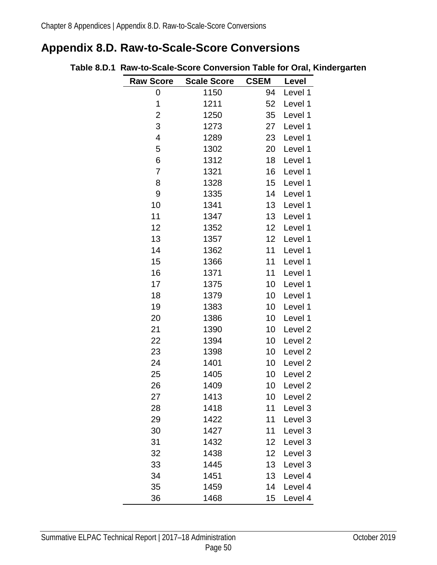# <span id="page-53-0"></span>**Appendix 8.D. Raw-to-Scale-Score Conversions**

| <b>Raw Score</b> | <b>Scale Score</b> | <b>CSEM</b>       | Level              |
|------------------|--------------------|-------------------|--------------------|
| 0                | 1150               | 94                | Level 1            |
| 1                | 1211               | 52                | Level 1            |
| 2                | 1250               | 35                | Level 1            |
| 3                | 1273               | 27                | Level 1            |
| 4                | 1289               | 23                | Level 1            |
| 5                | 1302               | 20                | Level 1            |
| 6                | 1312               | 18                | Level 1            |
| 7                | 1321               | 16                | Level 1            |
| 8                | 1328               | 15                | Level 1            |
| 9                | 1335               | 14                | Level 1            |
| 10               | 1341               | 13                | Level 1            |
| 11               | 1347               | 13                | Level 1            |
| 12               | 1352               | 12                | Level 1            |
| 13               | 1357               | $12 \overline{ }$ | Level 1            |
| 14               | 1362               | 11                | Level 1            |
| 15               | 1366               | 11                | Level 1            |
| 16               | 1371               | 11                | Level 1            |
| 17               | 1375               | 10                | Level 1            |
| 18               | 1379               | 10                | Level 1            |
| 19               | 1383               | 10                | Level 1            |
| 20               | 1386               | 10                | Level 1            |
| 21               | 1390               | 10                | Level <sub>2</sub> |
| 22               | 1394               | 10                | Level <sub>2</sub> |
| 23               | 1398               | 10                | Level <sub>2</sub> |
| 24               | 1401               | 10                | Level <sub>2</sub> |
| 25               | 1405               | 10                | Level <sub>2</sub> |
| 26               | 1409               | 10                | Level <sub>2</sub> |
| 27               | 1413               | 10                | Level <sub>2</sub> |
| 28               | 1418               | 11                | Level 3            |
| 29               | 1422               | 11                | Level 3            |
| 30               | 1427               | 11                | Level 3            |
| 31               | 1432               | 12 <sub>2</sub>   | Level 3            |
| 32               | 1438               | 12 <sub>2</sub>   | Level 3            |
| 33               | 1445               | 13                | Level 3            |
| 34               | 1451               | 13                | Level 4            |
| 35               | 1459               | 14                | Level 4            |
| 36               | 1468               | 15                | Level 4            |

#### **Table 8.D.1 Raw-to-Scale-Score Conversion Table for Oral, Kindergarten**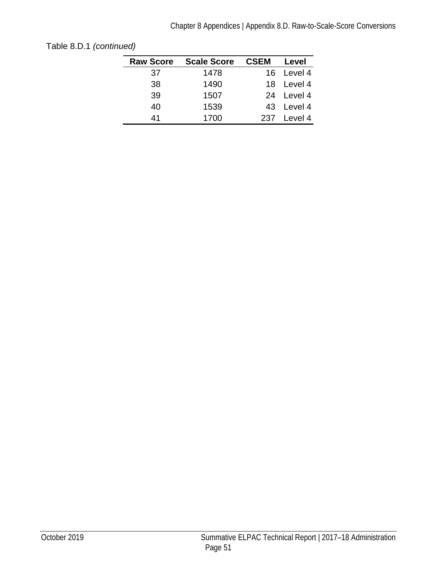| <b>Raw Score</b> | <b>Scale Score</b> | <b>CSEM</b> | Level      |
|------------------|--------------------|-------------|------------|
| 37               | 1478               |             | 16 Level 4 |
| 38               | 1490               |             | 18 Level 4 |
| 39               | 1507               | 24          | Level 4    |
| 40               | 1539               |             | 43 Level 4 |
| 41               | 1700               | 237         | Level 4    |

[Table 8.D.1](#page-53-0) *(continued)*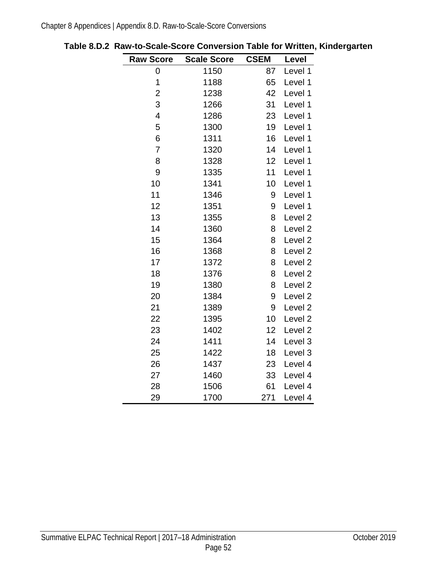| <b>Raw Score</b> | <b>Scale Score</b> | <b>CSEM</b> | Level              |
|------------------|--------------------|-------------|--------------------|
| 0                | 1150               | 87          | Level 1            |
| 1                | 1188               | 65          | Level 1            |
| $\overline{c}$   | 1238               | 42          | Level 1            |
| 3                | 1266               | 31          | Level 1            |
| 4                | 1286               | 23          | Level 1            |
| 5                | 1300               | 19          | Level 1            |
| 6                | 1311               | 16          | Level 1            |
| $\overline{7}$   | 1320               | 14          | Level 1            |
| 8                | 1328               | 12          | Level 1            |
| 9                | 1335               | 11          | Level 1            |
| 10               | 1341               | 10          | Level 1            |
| 11               | 1346               | 9           | Level 1            |
| 12               | 1351               | 9           | Level 1            |
| 13               | 1355               | 8           | Level <sub>2</sub> |
| 14               | 1360               | 8           | Level <sub>2</sub> |
| 15               | 1364               | 8           | Level <sub>2</sub> |
| 16               | 1368               | 8           | Level <sub>2</sub> |
| 17               | 1372               | 8           | Level <sub>2</sub> |
| 18               | 1376               | 8           | Level <sub>2</sub> |
| 19               | 1380               | 8           | Level <sub>2</sub> |
| 20               | 1384               | 9           | Level <sub>2</sub> |
| 21               | 1389               | 9           | Level <sub>2</sub> |
| 22               | 1395               | 10          | Level <sub>2</sub> |
| 23               | 1402               | 12          | Level <sub>2</sub> |
| 24               | 1411               | 14          | Level 3            |
| 25               | 1422               | 18          | Level 3            |
| 26               | 1437               | 23          | Level 4            |
| 27               | 1460               | 33          | Level 4            |
| 28               | 1506               | 61          | Level 4            |
| 29               | 1700               | 271         | Level 4            |

**Table 8.D.2 Raw-to-Scale-Score Conversion Table for Written, Kindergarten**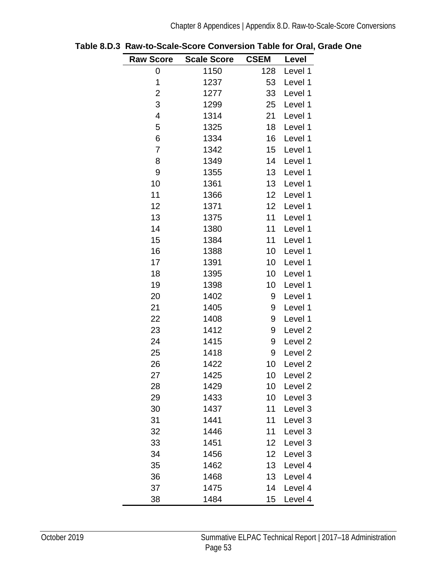| <b>Raw Score</b> | <b>Scale Score</b> | <b>CSEM</b> | Level              |
|------------------|--------------------|-------------|--------------------|
| 0                | 1150               | 128         | Level 1            |
| 1                | 1237               | 53          | Level 1            |
| $\overline{c}$   | 1277               | 33          | Level 1            |
| 3                | 1299               | 25          | Level 1            |
| 4                | 1314               | 21          | Level 1            |
| 5                | 1325               | 18          | Level 1            |
| 6                | 1334               | 16          | Level 1            |
| 7                | 1342               | 15          | Level 1            |
| 8                | 1349               | 14          | Level 1            |
| 9                | 1355               | 13          | Level 1            |
| 10               | 1361               | 13          | Level 1            |
| 11               | 1366               | 12          | Level 1            |
| 12               | 1371               | 12          | Level 1            |
| 13               | 1375               | 11          | Level 1            |
| 14               | 1380               | 11          | Level 1            |
| 15               | 1384               | 11          | Level 1            |
| 16               | 1388               | 10          | Level 1            |
| 17               | 1391               | 10          | Level 1            |
| 18               | 1395               | 10          | Level 1            |
| 19               | 1398               | 10          | Level 1            |
| 20               | 1402               | 9           | Level 1            |
| 21               | 1405               | 9           | Level 1            |
| 22               | 1408               | 9           | Level 1            |
| 23               | 1412               | 9           | Level <sub>2</sub> |
| 24               | 1415               | 9           | Level 2            |
| 25               | 1418               | 9           | Level <sub>2</sub> |
| 26               | 1422               | 10          | Level <sub>2</sub> |
| 27               | 1425               | 10          | Level <sub>2</sub> |
| 28               | 1429               | 10          | Level 2            |
| 29               | 1433               | 10          | Level 3            |
| 30               | 1437               | 11          | Level 3            |
| 31               | 1441               | 11          | Level 3            |
| 32               | 1446               | 11          | Level 3            |
| 33               | 1451               | 12          | Level 3            |
| 34               | 1456               | 12          | Level 3            |
| 35               | 1462               | 13          | Level 4            |
| 36               | 1468               | 13          | Level 4            |
| 37               | 1475               | 14          | Level 4            |
| 38               | 1484               | 15          | Level 4            |

<span id="page-56-0"></span>**Table 8.D.3 Raw-to-Scale-Score Conversion Table for Oral, Grade One**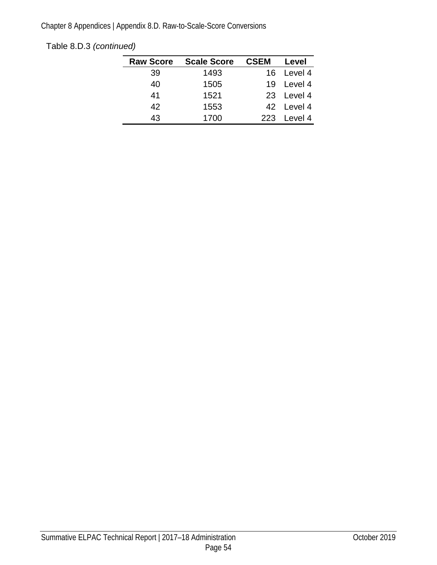## [Table 8.D.3](#page-56-0) *(continued)*

| <b>Raw Score</b> | <b>Scale Score</b> | <b>CSEM</b> | Level      |
|------------------|--------------------|-------------|------------|
| 39               | 1493               |             | 16 Level 4 |
| 40               | 1505               | 19          | Level 4    |
| 41               | 1521               |             | 23 Level 4 |
| 42               | 1553               |             | 42 Level 4 |
| 43               | 1700               | 223         | Level 4    |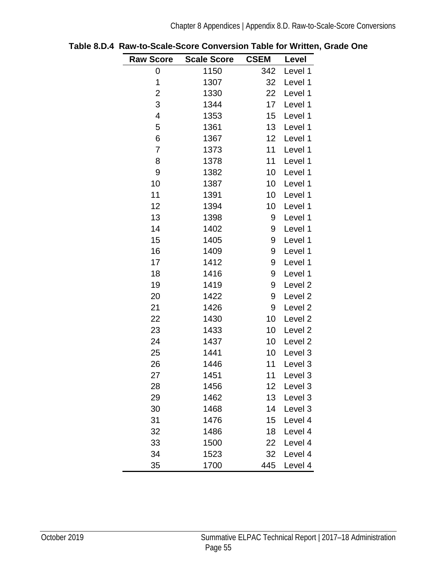| <b>Raw Score</b>        | <b>Scale Score</b> | <b>CSEM</b> | Level              |
|-------------------------|--------------------|-------------|--------------------|
| 0                       | 1150               | 342         | Level 1            |
| 1                       | 1307               | 32          | Level 1            |
| $\overline{c}$          | 1330               | 22          | Level 1            |
| 3                       | 1344               | 17          | Level 1            |
| $\overline{\mathbf{4}}$ | 1353               | 15          | Level 1            |
| 5                       | 1361               | 13          | Level 1            |
| 6                       | 1367               | 12          | Level 1            |
| $\overline{7}$          | 1373               | 11          | Level 1            |
| 8                       | 1378               | 11          | Level 1            |
| 9                       | 1382               | 10          | Level 1            |
| 10                      | 1387               | 10          | Level 1            |
| 11                      | 1391               | 10          | Level 1            |
| 12                      | 1394               | 10          | Level 1            |
| 13                      | 1398               | 9           | Level 1            |
| 14                      | 1402               | 9           | Level 1            |
| 15                      | 1405               | 9           | Level 1            |
| 16                      | 1409               | 9           | Level 1            |
| 17                      | 1412               | 9           | Level 1            |
| 18                      | 1416               | 9           | Level 1            |
| 19                      | 1419               | 9           | Level <sub>2</sub> |
| 20                      | 1422               | 9           | Level <sub>2</sub> |
| 21                      | 1426               | 9           | Level 2            |
| 22                      | 1430               | 10          | Level 2            |
| 23                      | 1433               | 10          | Level 2            |
| 24                      | 1437               | 10          | Level 2            |
| 25                      | 1441               | 10          | Level 3            |
| 26                      | 1446               | 11          | Level 3            |
| 27                      | 1451               | 11          | Level 3            |
| 28                      | 1456               | 12          | Level 3            |
| 29                      | 1462               | 13          | Level 3            |
| 30                      | 1468               | 14          | Level 3            |
| 31                      | 1476               | 15          | Level 4            |
| 32                      | 1486               | 18          | Level 4            |
| 33                      | 1500               | 22          | Level 4            |
| 34                      | 1523               | 32          | Level 4            |
| 35                      | 1700               | 445         | Level 4            |

**Table 8.D.4 Raw-to-Scale-Score Conversion Table for Written, Grade One**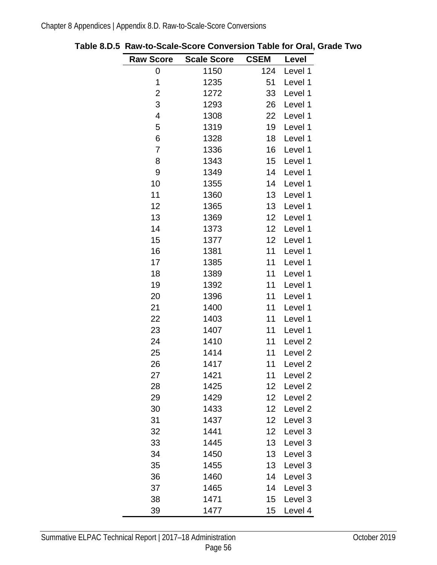| <b>Raw Score</b> | <b>Scale Score</b> | <b>CSEM</b>     | Level              |
|------------------|--------------------|-----------------|--------------------|
| 0                | 1150               | 124             | Level 1            |
| 1                | 1235               | 51              | Level 1            |
| $\overline{c}$   | 1272               | 33              | Level 1            |
| 3                | 1293               | 26              | Level 1            |
| $\overline{4}$   | 1308               | 22              | Level 1            |
| 5                | 1319               | 19              | Level 1            |
| 6                | 1328               | 18              | Level 1            |
| 7                | 1336               | 16              | Level 1            |
| 8                | 1343               | 15              | Level 1            |
| 9                | 1349               | 14              | Level 1            |
| 10               | 1355               | 14              | Level 1            |
| 11               | 1360               | 13              | Level 1            |
| 12               | 1365               | 13              | Level 1            |
| 13               | 1369               | 12              | Level 1            |
| 14               | 1373               | 12              | Level 1            |
| 15               | 1377               | 12              | Level 1            |
| 16               | 1381               | 11              | Level 1            |
| 17               | 1385               | 11              | Level 1            |
| 18               | 1389               | 11              | Level 1            |
| 19               | 1392               | 11              | Level 1            |
| 20               | 1396               | 11              | Level 1            |
| 21               | 1400               | 11              | Level 1            |
| 22               | 1403               | 11              | Level 1            |
| 23               | 1407               | 11              | Level 1            |
| 24               | 1410               | 11              | Level <sub>2</sub> |
| 25               | 1414               | 11              | Level <sub>2</sub> |
| 26               | 1417               | 11              | Level <sub>2</sub> |
| 27               | 1421               | 11              | Level <sub>2</sub> |
| 28               | 1425               | 12              | Level <sub>2</sub> |
| 29               | 1429               | 12 <sub>2</sub> | Level 2            |
| 30               | 1433               | 12 <sub>2</sub> | Level <sub>2</sub> |
| 31               | 1437               | 12 <sub>2</sub> | Level 3            |
| 32               | 1441               | 12 <sub>2</sub> | Level 3            |
| 33               | 1445               | 13              | Level 3            |
| 34               | 1450               | 13              | Level 3            |
| 35               | 1455               | 13              | Level 3            |
| 36               | 1460               | 14              | Level 3            |
| 37               | 1465               | 14              | Level 3            |
| 38               | 1471               | 15 <sub>1</sub> | Level 3            |
| 39               | 1477               | 15              | Level 4            |

<span id="page-59-0"></span>**Table 8.D.5 Raw-to-Scale-Score Conversion Table for Oral, Grade Two**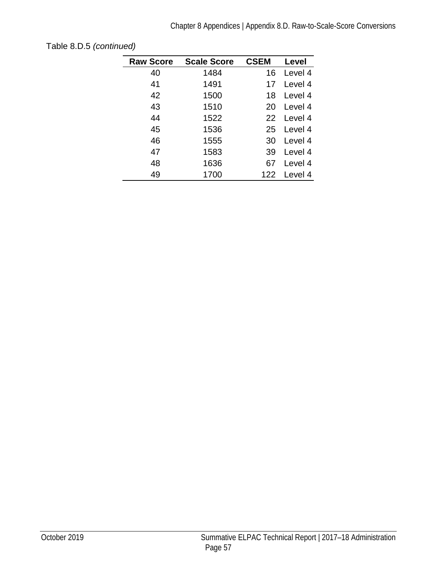| <b>Raw Score</b> | <b>Scale Score</b> | <b>CSEM</b> | Level   |
|------------------|--------------------|-------------|---------|
| 40               | 1484               | 16          | Level 4 |
| 41               | 1491               | 17          | Level 4 |
| 42               | 1500               | 18          | Level 4 |
| 43               | 1510               | 20          | Level 4 |
| 44               | 1522               | 22          | Level 4 |
| 45               | 1536               | 25          | Level 4 |
| 46               | 1555               | 30          | Level 4 |
| 47               | 1583               | 39          | Level 4 |
| 48               | 1636               | 67          | Level 4 |
| 49               | 1700               | 122         | Level 4 |

[Table 8.D.5](#page-59-0) *(continued)*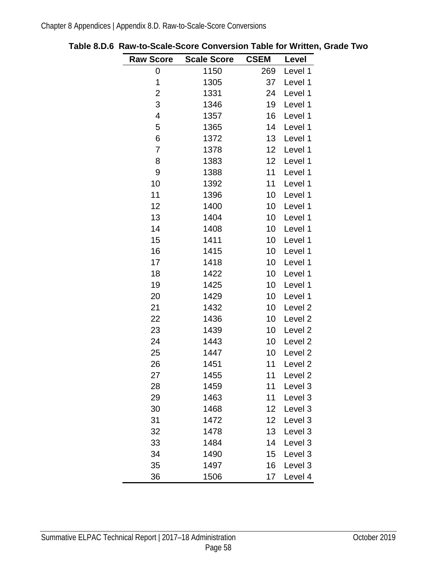| <b>Raw Score</b>        | <b>Scale Score</b> | <b>CSEM</b>     | Level              |
|-------------------------|--------------------|-----------------|--------------------|
| 0                       | 1150               | 269             | Level 1            |
| 1                       | 1305               | 37              | Level 1            |
| $\overline{c}$          | 1331               | 24              | Level 1            |
| 3                       | 1346               | 19              | Level 1            |
| $\overline{\mathbf{4}}$ | 1357               | 16              | Level 1            |
| 5                       | 1365               | 14              | Level 1            |
| 6                       | 1372               | 13              | Level 1            |
| 7                       | 1378               | 12              | Level 1            |
| 8                       | 1383               | 12 <sub>2</sub> | Level 1            |
| 9                       | 1388               | 11              | Level 1            |
| 10                      | 1392               | 11              | Level 1            |
| 11                      | 1396               | 10              | Level 1            |
| 12                      | 1400               | 10              | Level 1            |
| 13                      | 1404               | 10              | Level 1            |
| 14                      | 1408               | 10 <sub>1</sub> | Level 1            |
| 15                      | 1411               | 10              | Level 1            |
| 16                      | 1415               | 10              | Level 1            |
| 17                      | 1418               | 10              | Level 1            |
| 18                      | 1422               | 10              | Level 1            |
| 19                      | 1425               | 10              | Level 1            |
| 20                      | 1429               | 10              | Level 1            |
| 21                      | 1432               | 10              | Level <sub>2</sub> |
| 22                      | 1436               | 10              | Level <sub>2</sub> |
| 23                      | 1439               | 10              | Level 2            |
| 24                      | 1443               | 10              | Level <sub>2</sub> |
| 25                      | 1447               | 10 <sup>°</sup> | Level 2            |
| 26                      | 1451               | 11              | Level <sub>2</sub> |
| 27                      | 1455               | 11              | Level <sub>2</sub> |
| 28                      | 1459               | 11              | Level 3            |
| 29                      | 1463               | 11              | Level 3            |
| 30                      | 1468               | 12 <sub>2</sub> | Level 3            |
| 31                      | 1472               | 12 <sub>2</sub> | Level 3            |
| 32                      | 1478               | 13              | Level 3            |
| 33                      | 1484               | 14              | Level 3            |
| 34                      | 1490               | 15              | Level 3            |
| 35                      | 1497               | 16              | Level 3            |
| 36                      | 1506               | 17              | Level 4            |

<span id="page-61-0"></span>**Table 8.D.6 Raw-to-Scale-Score Conversion Table for Written, Grade Two**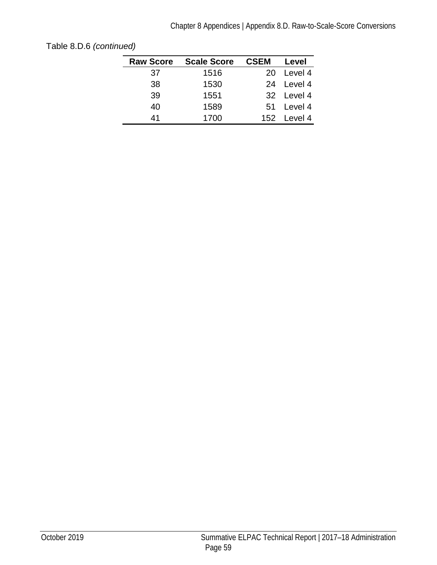| <b>Raw Score</b> | <b>Scale Score</b> | <b>CSEM</b> | Level       |
|------------------|--------------------|-------------|-------------|
| 37               | 1516               | 20.         | Level 4     |
| 38               | 1530               |             | 24 Level 4  |
| 39               | 1551               |             | 32 Level 4  |
| 40               | 1589               |             | 51 Level 4  |
| 41               | 1700               |             | 152 Level 4 |

[Table 8.D.6](#page-61-0) *(continued)*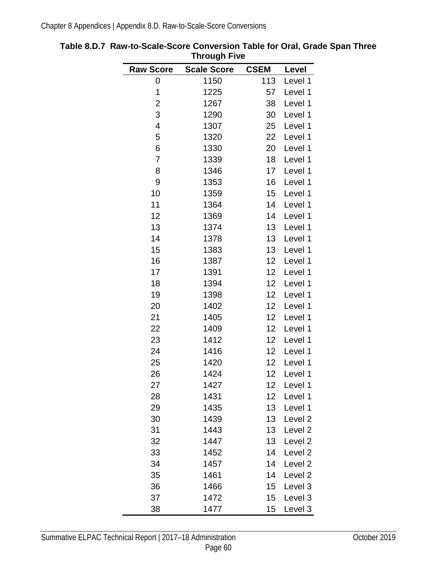| ,,,,ought,,, <del>,</del> |                    |             |                    |
|---------------------------|--------------------|-------------|--------------------|
| <b>Raw Score</b>          | <b>Scale Score</b> | <b>CSEM</b> | Level              |
| 0                         | 1150               | 113         | Level 1            |
| 1                         | 1225               | 57          | Level 1            |
| $\overline{c}$            | 1267               | 38          | Level 1            |
| 3                         | 1290               | 30          | Level 1            |
| $\overline{\mathbf{4}}$   | 1307               | 25          | Level 1            |
| 5                         | 1320               | 22          | Level 1            |
| 6                         | 1330               | 20          | Level 1            |
| $\overline{7}$            | 1339               | 18          | Level 1            |
| 8                         | 1346               | 17          | Level 1            |
| 9                         | 1353               | 16          | Level 1            |
| 10                        | 1359               | 15          | Level 1            |
| 11                        | 1364               | 14          | Level 1            |
| 12                        | 1369               | 14          | Level 1            |
| 13                        | 1374               | 13          | Level 1            |
| 14                        | 1378               | 13          | Level 1            |
| 15                        | 1383               | 13          | Level 1            |
| 16                        | 1387               | 12          | Level 1            |
| 17                        | 1391               | 12          | Level 1            |
| 18                        | 1394               | 12          | Level 1            |
| 19                        | 1398               | 12          | Level 1            |
| 20                        | 1402               | 12          | Level 1            |
| 21                        | 1405               | 12          | Level 1            |
| 22                        | 1409               | 12          | Level 1            |
| 23                        | 1412               | 12          | Level 1            |
| 24                        | 1416               | 12          | Level 1            |
| 25                        | 1420               | 12          | Level 1            |
| 26                        | 1424               | 12          | Level 1            |
| 27                        | 1427               | 12          | Level 1            |
| 28                        | 1431               | 12          | Level 1            |
| 29                        | 1435               | 13          | Level 1            |
| 30                        | 1439               | 13          | Level <sub>2</sub> |
| 31                        | 1443               | 13          | Level <sub>2</sub> |
| 32                        | 1447               | 13          | Level <sub>2</sub> |
| 33                        | 1452               | 14          | Level <sub>2</sub> |
| 34                        | 1457               | 14          | Level <sub>2</sub> |
| 35                        | 1461               | 14          | Level <sub>2</sub> |
| 36                        | 1466               | 15          | Level 3            |
| 37                        | 1472               | 15          | Level 3            |
| 38                        | 1477               | 15          | Level 3            |

## <span id="page-63-0"></span>**Table 8.D.7 Raw-to-Scale-Score Conversion Table for Oral, Grade Span Three Through Five**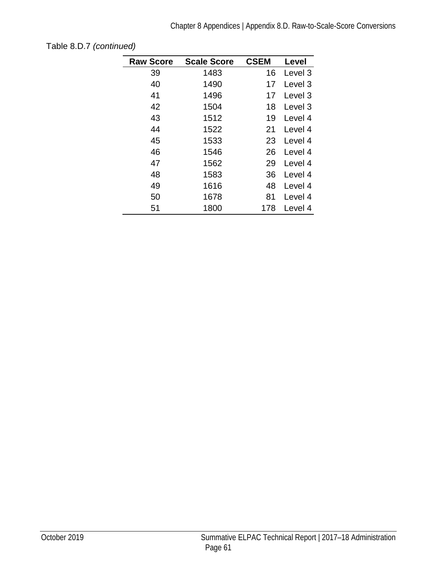| <b>Raw Score</b> | <b>Scale Score</b> | <b>CSEM</b> | Level              |
|------------------|--------------------|-------------|--------------------|
| 39               | 1483               | 16          | Level 3            |
| 40               | 1490               | 17          | Level 3            |
| 41               | 1496               | 17          | Level 3            |
| 42               | 1504               | 18          | Level <sub>3</sub> |
| 43               | 1512               | 19          | Level 4            |
| 44               | 1522               | 21          | Level 4            |
| 45               | 1533               | 23          | Level 4            |
| 46               | 1546               | 26          | Level 4            |
| 47               | 1562               | 29          | Level 4            |
| 48               | 1583               | 36          | Level 4            |
| 49               | 1616               | 48          | Level 4            |
| 50               | 1678               | 81          | Level 4            |
| 51               | 1800               | 178         | Level 4            |

[Table 8.D.7](#page-63-0) *(continued)*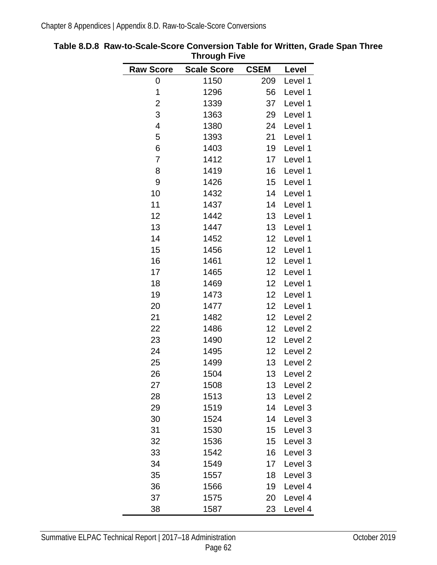| ,,,,ought,,vo            |                    |                   |                    |
|--------------------------|--------------------|-------------------|--------------------|
| <b>Raw Score</b>         | <b>Scale Score</b> | <b>CSEM</b>       | Level              |
| 0                        | 1150               | 209               | Level 1            |
| 1                        | 1296               | 56                | Level 1            |
| $\overline{c}$           | 1339               | 37                | Level 1            |
| 3                        | 1363               | 29                | Level 1            |
| $\overline{\mathcal{A}}$ | 1380               | 24                | Level 1            |
| 5                        | 1393               | 21                | Level 1            |
| 6                        | 1403               | 19                | Level 1            |
| 7                        | 1412               | 17                | Level 1            |
| 8                        | 1419               | 16                | Level 1            |
| 9                        | 1426               | 15                | Level 1            |
| 10                       | 1432               | 14                | Level 1            |
| 11                       | 1437               | 14                | Level 1            |
| 12                       | 1442               | 13                | Level 1            |
| 13                       | 1447               | 13 <sup>°</sup>   | Level 1            |
| 14                       | 1452               | 12                | Level 1            |
| 15                       | 1456               | $12 \overline{ }$ | Level 1            |
| 16                       | 1461               | 12 <sub>2</sub>   | Level 1            |
| 17                       | 1465               | 12                | Level 1            |
| 18                       | 1469               | 12                | Level 1            |
| 19                       | 1473               | $12 \overline{ }$ | Level 1            |
| 20                       | 1477               | 12                | Level 1            |
| 21                       | 1482               | 12                | Level 2            |
| 22                       | 1486               | 12 <sub>2</sub>   | Level 2            |
| 23                       | 1490               | 12                | Level <sub>2</sub> |
| 24                       | 1495               | 12                | Level <sub>2</sub> |
| 25                       | 1499               | 13                | Level 2            |
| 26                       | 1504               | 13                | Level <sub>2</sub> |
| 27                       | 1508               | 13                | Level <sub>2</sub> |
| 28                       | 1513               | 13                | Level <sub>2</sub> |
| 29                       | 1519               | 14                | Level 3            |
| 30                       | 1524               | 14                | Level 3            |
| 31                       | 1530               | 15                | Level 3            |
| 32                       | 1536               | 15                | Level 3            |
| 33                       | 1542               | 16                | Level 3            |
| 34                       | 1549               | 17                | Level 3            |
| 35                       | 1557               | 18                | Level 3            |
| 36                       | 1566               | 19                | Level 4            |
| 37                       | 1575               | 20                | Level 4            |
| 38                       | 1587               | 23                | Level 4            |

<span id="page-65-0"></span>**Table 8.D.8 Raw-to-Scale-Score Conversion Table for Written, Grade Span Three Through Five**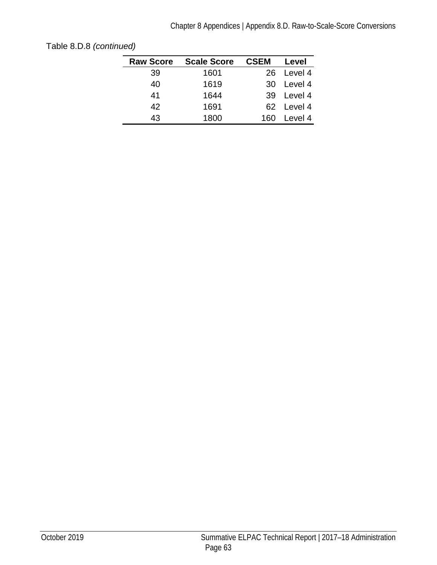| <b>Raw Score</b> | <b>Scale Score</b> | <b>CSEM</b> | Level      |
|------------------|--------------------|-------------|------------|
| 39               | 1601               |             | 26 Level 4 |
| 40               | 1619               | 30          | Level 4    |
| 41               | 1644               |             | 39 Level 4 |
| 42               | 1691               |             | 62 Level 4 |
| 43               | 1800               | 160         | Level 4    |
|                  |                    |             |            |

| Table 8.D.8 (continued) |  |
|-------------------------|--|
|-------------------------|--|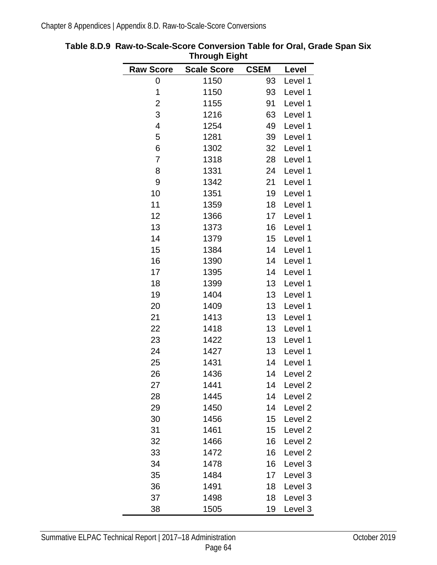|                         | יייי טעשטייי       |             |                    |
|-------------------------|--------------------|-------------|--------------------|
| <b>Raw Score</b>        | <b>Scale Score</b> | <b>CSEM</b> | Level              |
| 0                       | 1150               | 93          | Level 1            |
| 1                       | 1150               | 93          | Level 1            |
| $\overline{2}$          | 1155               | 91          | Level 1            |
| 3                       | 1216               | 63          | Level 1            |
| $\overline{\mathbf{4}}$ | 1254               | 49          | Level 1            |
| 5                       | 1281               | 39          | Level 1            |
| 6                       | 1302               | 32          | Level 1            |
| 7                       | 1318               | 28          | Level 1            |
| 8                       | 1331               | 24          | Level 1            |
| 9                       | 1342               | 21          | Level 1            |
| 10                      | 1351               | 19          | Level 1            |
| 11                      | 1359               | 18          | Level 1            |
| 12                      | 1366               | 17          | Level 1            |
| 13                      | 1373               | 16          | Level 1            |
| 14                      | 1379               | 15          | Level 1            |
| 15                      | 1384               | 14          | Level 1            |
| 16                      | 1390               | 14          | Level 1            |
| 17                      | 1395               | 14          | Level 1            |
| 18                      | 1399               | 13          | Level 1            |
| 19                      | 1404               | 13          | Level 1            |
| 20                      | 1409               | 13          | Level 1            |
| 21                      | 1413               | 13          | Level 1            |
| 22                      | 1418               | 13          | Level 1            |
| 23                      | 1422               | 13          | Level 1            |
| 24                      | 1427               | 13          | Level 1            |
| 25                      | 1431               | 14          | Level 1            |
| 26                      | 1436               | 14          | Level <sub>2</sub> |
| 27                      | 1441               | 14          | Level <sub>2</sub> |
| 28                      | 1445               | 14          | Level <sub>2</sub> |
| 29                      | 1450               | 14          | Level <sub>2</sub> |
| 30                      | 1456               | 15          | Level <sub>2</sub> |
| 31                      | 1461               | 15          | Level <sub>2</sub> |
| 32                      | 1466               | 16          | Level <sub>2</sub> |
| 33                      | 1472               | 16          | Level <sub>2</sub> |
| 34                      | 1478               | 16          | Level 3            |
| 35                      | 1484               | 17          | Level 3            |
| 36                      | 1491               | 18          | Level 3            |
| 37                      | 1498               | 18          | Level 3            |
| 38                      | 1505               | 19          | Level 3            |

<span id="page-67-0"></span>**Table 8.D.9 Raw-to-Scale-Score Conversion Table for Oral, Grade Span Six Through Eight**  $\blacksquare$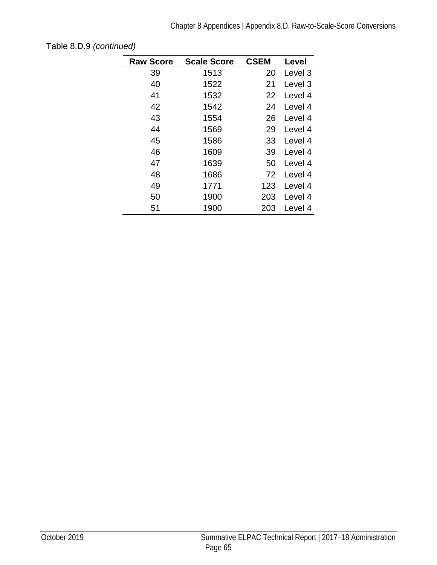| <b>Raw Score</b> | <b>Scale Score</b> | <b>CSEM</b> |         |
|------------------|--------------------|-------------|---------|
|                  |                    |             | Level   |
| 39               | 1513               | 20          | Level 3 |
| 40               | 1522               | 21          | Level 3 |
| 41               | 1532               | 22          | Level 4 |
| 42               | 1542               | 24          | Level 4 |
| 43               | 1554               | 26          | Level 4 |
| 44               | 1569               | 29          | Level 4 |
| 45               | 1586               | 33          | Level 4 |
| 46               | 1609               | 39          | Level 4 |
| 47               | 1639               | 50          | Level 4 |
| 48               | 1686               | 72          | Level 4 |
| 49               | 1771               | 123         | Level 4 |
| 50               | 1900               | 203         | Level 4 |
| 51               | 1900               | 203         | Level 4 |

[Table 8.D.9](#page-67-0) *(continued)*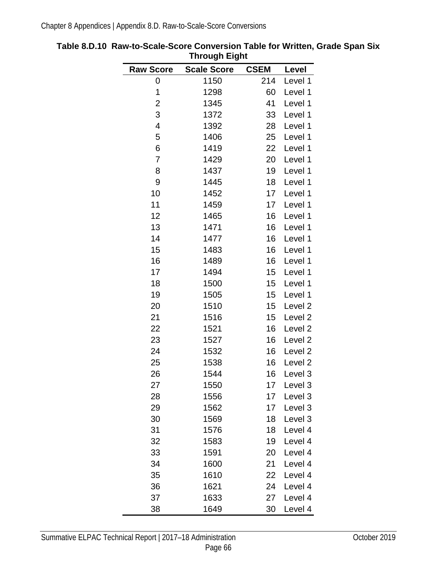|                         | ייישעי⊐ ייפ∾טייי   |             |                    |
|-------------------------|--------------------|-------------|--------------------|
| <b>Raw Score</b>        | <b>Scale Score</b> | <b>CSEM</b> | Level              |
| 0                       | 1150               | 214         | Level 1            |
| 1                       | 1298               | 60          | Level 1            |
| $\overline{c}$          | 1345               | 41          | Level 1            |
| 3                       | 1372               | 33          | Level 1            |
| $\overline{\mathbf{4}}$ | 1392               | 28          | Level 1            |
| 5                       | 1406               | 25          | Level 1            |
| 6                       | 1419               | 22          | Level 1            |
| $\overline{7}$          | 1429               | 20          | Level 1            |
| 8                       | 1437               | 19          | Level 1            |
| 9                       | 1445               | 18          | Level 1            |
| 10                      | 1452               | 17          | Level 1            |
| 11                      | 1459               | 17          | Level 1            |
| 12                      | 1465               | 16          | Level 1            |
| 13                      | 1471               | 16          | Level 1            |
| 14                      | 1477               | 16          | Level 1            |
| 15                      | 1483               | 16          | Level 1            |
| 16                      | 1489               | 16          | Level 1            |
| 17                      | 1494               | 15          | Level 1            |
| 18                      | 1500               | 15          | Level 1            |
| 19                      | 1505               | 15          | Level 1            |
| 20                      | 1510               | 15          | Level <sub>2</sub> |
| 21                      | 1516               | 15          | Level 2            |
| 22                      | 1521               | 16          | Level 2            |
| 23                      | 1527               | 16          | Level 2            |
| 24                      | 1532               | 16          | Level <sub>2</sub> |
| 25                      | 1538               | 16          | Level <sub>2</sub> |
| 26                      | 1544               | 16          | Level <sub>3</sub> |
| 27                      | 1550               | 17          | Level 3            |
| 28                      | 1556               | 17          | Level 3            |
| 29                      | 1562               | 17          | Level 3            |
| 30                      | 1569               | 18          | Level 3            |
| 31                      | 1576               | 18          | Level 4            |
| 32                      | 1583               | 19          | Level 4            |
| 33                      | 1591               | 20          | Level 4            |
| 34                      | 1600               | 21          | Level 4            |
| 35                      | 1610               | 22          | Level 4            |
| 36                      | 1621               | 24          | Level 4            |
| 37                      | 1633               | 27          | Level 4            |
| 38                      | 1649               | 30          | Level 4            |

<span id="page-69-0"></span>**Table 8.D.10 Raw-to-Scale-Score Conversion Table for Written, Grade Span Six Through Eight** ÷,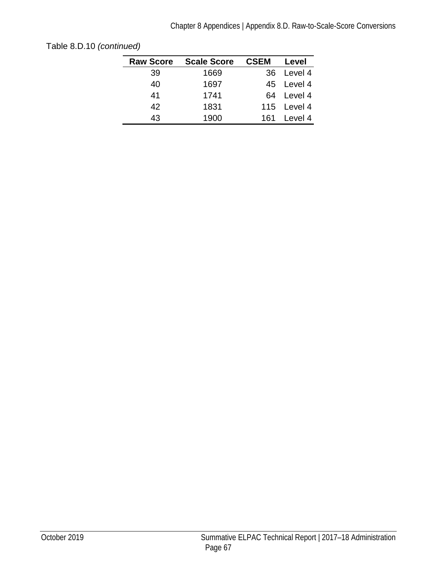| <b>Raw Score</b> | <b>Scale Score</b> | <b>CSEM</b> | Level       |
|------------------|--------------------|-------------|-------------|
| 39               | 1669               |             | 36 Level 4  |
| 40               | 1697               |             | 45 Level 4  |
| 41               | 1741               |             | 64 Level 4  |
| 42               | 1831               |             | 115 Level 4 |
| 43               | 1900               | 161.        | Level 4     |
|                  |                    |             |             |

[Table 8.D.10](#page-69-0) *(continued)*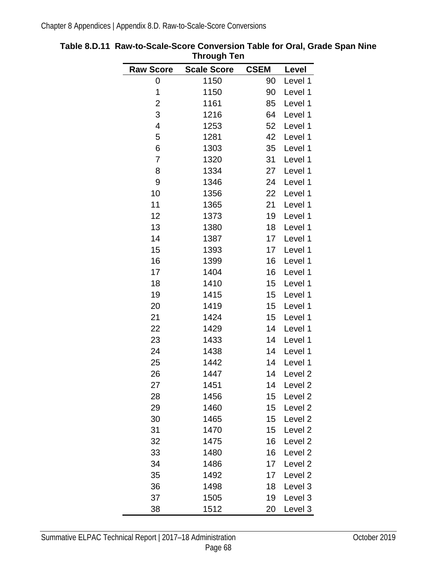|                         | ınıvuğlı ren       |             |                    |
|-------------------------|--------------------|-------------|--------------------|
| <b>Raw Score</b>        | <b>Scale Score</b> | <b>CSEM</b> | Level              |
| 0                       | 1150               | 90          | Level 1            |
| 1                       | 1150               | 90          | Level 1            |
| $\overline{c}$          | 1161               | 85          | Level 1            |
| 3                       | 1216               | 64          | Level 1            |
| $\overline{\mathbf{4}}$ | 1253               | 52          | Level 1            |
| 5                       | 1281               | 42          | Level 1            |
| 6                       | 1303               | 35          | Level 1            |
| $\overline{7}$          | 1320               | 31          | Level 1            |
| 8                       | 1334               | 27          | Level 1            |
| 9                       | 1346               | 24          | Level 1            |
| 10                      | 1356               | 22          | Level 1            |
| 11                      | 1365               | 21          | Level 1            |
| 12                      | 1373               | 19          | Level 1            |
| 13                      | 1380               | 18          | Level 1            |
| 14                      | 1387               | 17          | Level 1            |
| 15                      | 1393               | 17          | Level 1            |
| 16                      | 1399               | 16          | Level 1            |
| 17                      | 1404               | 16          | Level 1            |
| 18                      | 1410               | 15          | Level 1            |
| 19                      | 1415               | 15          | Level 1            |
| 20                      | 1419               | 15          | Level 1            |
| 21                      | 1424               | 15          | Level 1            |
| 22                      | 1429               | 14          | Level 1            |
| 23                      | 1433               | 14          | Level 1            |
| 24                      | 1438               | 14          | Level 1            |
| 25                      | 1442               | 14          | Level 1            |
| 26                      | 1447               | 14          | Level <sub>2</sub> |
| 27                      | 1451               | 14          | Level <sub>2</sub> |
| 28                      | 1456               | 15          | Level <sub>2</sub> |
| 29                      | 1460               | 15          | Level <sub>2</sub> |
| 30                      | 1465               | 15          | Level <sub>2</sub> |
| 31                      | 1470               | 15          | Level <sub>2</sub> |
| 32                      | 1475               | 16          | Level <sub>2</sub> |
| 33                      | 1480               | 16          | Level <sub>2</sub> |
| 34                      | 1486               | 17          | Level <sub>2</sub> |
| 35                      | 1492               | 17          | Level <sub>2</sub> |
| 36                      | 1498               | 18          | Level 3            |
| 37                      | 1505               | 19          | Level 3            |
| 38                      | 1512               | 20          | Level 3            |

**Table 8.D.11 Raw-to-Scale-Score Conversion Table for Oral, Grade Span Nine Through Ten**  $\overline{\phantom{0}}$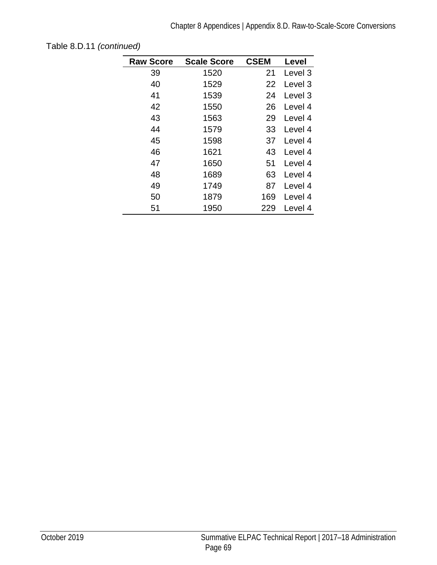| <b>Raw Score</b> | <b>Scale Score</b> | <b>CSEM</b> | Level   |
|------------------|--------------------|-------------|---------|
| 39               | 1520               | 21          | Level 3 |
| 40               | 1529               | 22          | Level 3 |
| 41               | 1539               | 24          | Level 3 |
| 42               | 1550               | 26          | Level 4 |
| 43               | 1563               | 29          | Level 4 |
| 44               | 1579               | 33          | Level 4 |
| 45               | 1598               | 37          | Level 4 |
| 46               | 1621               | 43          | Level 4 |
| 47               | 1650               | 51          | Level 4 |
| 48               | 1689               | 63          | Level 4 |
| 49               | 1749               | 87          | Level 4 |
| 50               | 1879               | 169         | Level 4 |
| 51               | 1950               | 229         | Level 4 |

[Table 8.D.11](#page-71-0) *(continued)*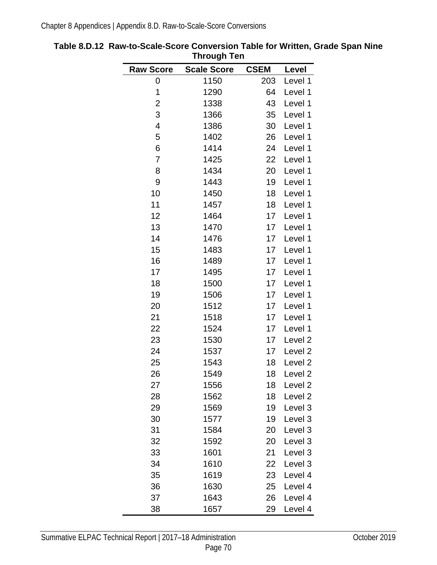| ınıvuyıı ı <del>c</del> ıı |                    |             |                    |  |
|----------------------------|--------------------|-------------|--------------------|--|
| <b>Raw Score</b>           | <b>Scale Score</b> | <b>CSEM</b> | Level              |  |
| 0                          | 1150               | 203         | Level 1            |  |
| 1                          | 1290               | 64          | Level 1            |  |
| $\overline{\mathbf{c}}$    | 1338               | 43          | Level 1            |  |
| 3                          | 1366               | 35          | Level 1            |  |
| 4                          | 1386               | 30          | Level 1            |  |
| 5                          | 1402               | 26          | Level 1            |  |
| 6                          | 1414               | 24          | Level 1            |  |
| 7                          | 1425               | 22          | Level 1            |  |
| 8                          | 1434               | 20          | Level 1            |  |
| 9                          | 1443               | 19          | Level 1            |  |
| 10                         | 1450               | 18          | Level 1            |  |
| 11                         | 1457               | 18          | Level 1            |  |
| 12                         | 1464               | 17          | Level 1            |  |
| 13                         | 1470               | 17          | Level 1            |  |
| 14                         | 1476               | 17          | Level 1            |  |
| 15                         | 1483               | 17          | Level 1            |  |
| 16                         | 1489               | 17          | Level 1            |  |
| 17                         | 1495               | 17          | Level 1            |  |
| 18                         | 1500               | 17          | Level 1            |  |
| 19                         | 1506               | 17          | Level 1            |  |
| 20                         | 1512               | 17          | Level 1            |  |
| 21                         | 1518               | 17          | Level 1            |  |
| 22                         | 1524               | 17          | Level 1            |  |
| 23                         | 1530               | 17          | Level <sub>2</sub> |  |
| 24                         | 1537               | 17          | Level <sub>2</sub> |  |
| 25                         | 1543               | 18          | Level <sub>2</sub> |  |
| 26                         | 1549               | 18          | Level <sub>2</sub> |  |
| 27                         | 1556               | 18          | Level <sub>2</sub> |  |
| 28                         | 1562               | 18          | Level <sub>2</sub> |  |
| 29                         | 1569               | 19          | Level 3            |  |
| 30                         | 1577               | 19          | Level 3            |  |
| 31                         | 1584               | 20          | Level 3            |  |
| 32                         | 1592               | 20          | Level 3            |  |
| 33                         | 1601               | 21          | Level 3            |  |
| 34                         | 1610               | 22          | Level 3            |  |
| 35                         | 1619               | 23          | Level 4            |  |
| 36                         | 1630               | 25          | Level 4            |  |
| 37                         | 1643               | 26          | Level 4            |  |
| 38                         | 1657               | 29          | Level 4            |  |

<span id="page-73-0"></span>**Table 8.D.12 Raw-to-Scale-Score Conversion Table for Written, Grade Span Nine Through Ten**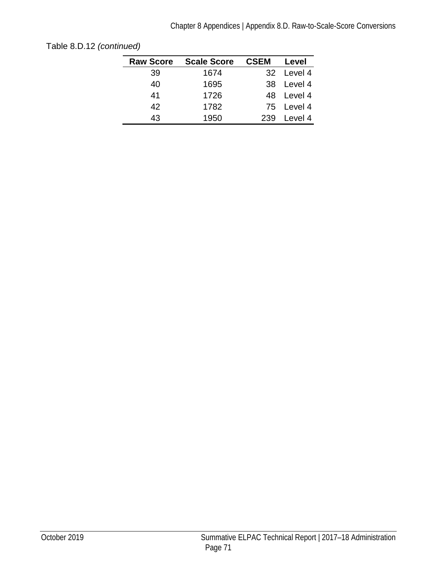| <b>Raw Score</b> | <b>Scale Score</b> | <b>CSEM</b> | Level      |
|------------------|--------------------|-------------|------------|
| 39               | 1674               |             | 32 Level 4 |
| 40               | 1695               |             | 38 Level 4 |
| 41               | 1726               |             | 48 Level 4 |
| 42               | 1782               |             | 75 Level 4 |
| 43               | 1950               | 239         | Level 4    |

[Table 8.D.12](#page-73-0) *(continued)*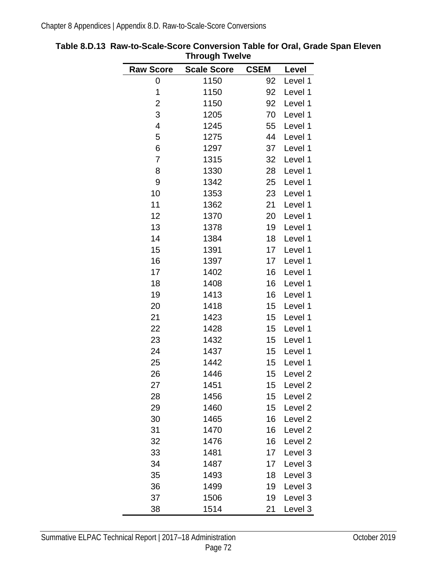| <b>Raw Score</b>        | <b>Scale Score</b> | <b>CSEM</b> | Level              |
|-------------------------|--------------------|-------------|--------------------|
| 0                       | 1150               | 92          | Level 1            |
| 1                       | 1150               | 92          | Level 1            |
| $\overline{c}$          | 1150               | 92          | Level 1            |
| 3                       | 1205               | 70          | Level 1            |
| $\overline{\mathbf{4}}$ | 1245               | 55          | Level 1            |
| 5                       | 1275               | 44          | Level 1            |
| 6                       | 1297               | 37          | Level 1            |
| $\overline{7}$          | 1315               | 32          | Level 1            |
| 8                       | 1330               | 28          | Level 1            |
| 9                       | 1342               | 25          | Level 1            |
| 10                      | 1353               | 23          | Level 1            |
| 11                      | 1362               | 21          | Level 1            |
| 12                      | 1370               | 20          | Level 1            |
| 13                      | 1378               | 19          | Level 1            |
| 14                      | 1384               | 18          | Level 1            |
| 15                      | 1391               | 17          | Level 1            |
| 16                      | 1397               | 17          | Level 1            |
| 17                      | 1402               | 16          | Level 1            |
| 18                      | 1408               | 16          | Level 1            |
| 19                      | 1413               | 16          | Level 1            |
| 20                      | 1418               | 15          | Level 1            |
| 21                      | 1423               | 15          | Level 1            |
| 22                      | 1428               | 15          | Level 1            |
| 23                      | 1432               | 15          | Level 1            |
| 24                      | 1437               | 15          | Level 1            |
| 25                      | 1442               | 15          | Level 1            |
| 26                      | 1446               | 15          | Level <sub>2</sub> |
| 27                      | 1451               | 15          | Level <sub>2</sub> |
| 28                      | 1456               | 15          | Level <sub>2</sub> |
| 29                      | 1460               | 15          | Level <sub>2</sub> |
| 30                      | 1465               | 16          | Level <sub>2</sub> |
| 31                      | 1470               | 16          | Level <sub>2</sub> |
| 32                      | 1476               | 16          | Level <sub>2</sub> |
| 33                      | 1481               | 17          | Level 3            |
| 34                      | 1487               | 17          | Level 3            |
| 35                      | 1493               | 18          | Level 3            |
| 36                      | 1499               | 19          | Level 3            |
| 37                      | 1506               | 19          | Level 3            |
| 38                      | 1514               | 21          | Level 3            |

<span id="page-75-0"></span>**Table 8.D.13 Raw-to-Scale-Score Conversion Table for Oral, Grade Span Eleven Through Twelve**  $\blacksquare$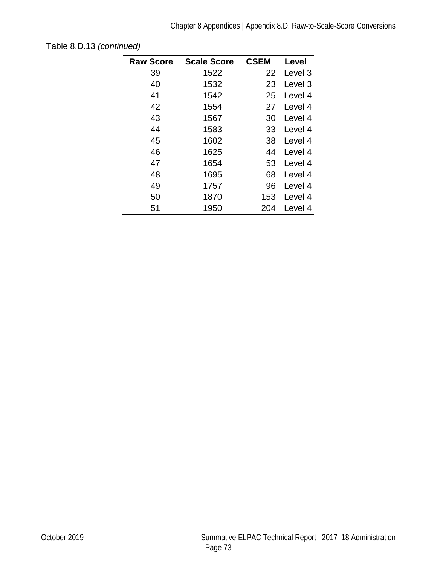| <b>Raw Score</b> | <b>Scale Score</b> | <b>CSEM</b> | Level   |
|------------------|--------------------|-------------|---------|
| 39               | 1522               | 22          | Level 3 |
| 40               | 1532               | 23          | Level 3 |
| 41               | 1542               | 25          | Level 4 |
| 42               | 1554               | 27          | Level 4 |
| 43               | 1567               | 30          | Level 4 |
| 44               | 1583               | 33          | Level 4 |
| 45               | 1602               | 38          | Level 4 |
| 46               | 1625               | 44          | Level 4 |
| 47               | 1654               | 53          | Level 4 |
| 48               | 1695               | 68          | Level 4 |
| 49               | 1757               | 96          | Level 4 |
| 50               | 1870               | 153         | Level 4 |
| 51               | 1950               | 204         | Level 4 |

[Table 8.D.13](#page-75-0) *(continued)*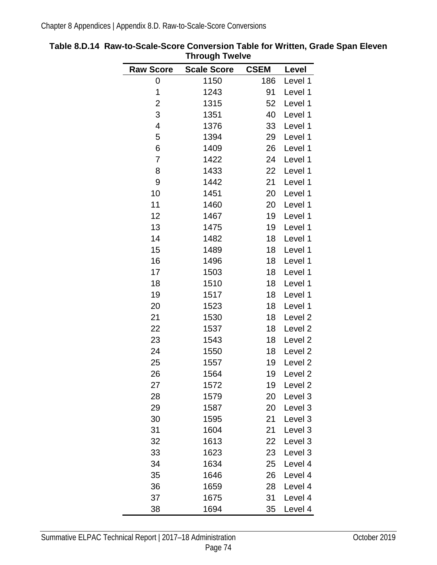| <b>Raw Score</b>         | <b>Scale Score</b> | <b>CSEM</b> | Level              |
|--------------------------|--------------------|-------------|--------------------|
| 0                        | 1150               | 186         | Level 1            |
| 1                        | 1243               | 91          | Level 1            |
| $\overline{\mathbf{c}}$  | 1315               | 52          | Level 1            |
| 3                        | 1351               | 40          | Level 1            |
| $\overline{\mathcal{A}}$ | 1376               | 33          | Level 1            |
| 5                        | 1394               | 29          | Level 1            |
| 6                        | 1409               | 26          | Level 1            |
| 7                        | 1422               | 24          | Level 1            |
| 8                        | 1433               | 22          | Level 1            |
| 9                        | 1442               | 21          | Level 1            |
| 10                       | 1451               | 20          | Level 1            |
| 11                       | 1460               | 20          | Level 1            |
| 12                       | 1467               | 19          | Level 1            |
| 13                       | 1475               | 19          | Level 1            |
| 14                       | 1482               | 18          | Level 1            |
| 15                       | 1489               | 18          | Level 1            |
| 16                       | 1496               | 18          | Level 1            |
| 17                       | 1503               | 18          | Level 1            |
| 18                       | 1510               | 18          | Level 1            |
| 19                       | 1517               | 18          | Level 1            |
| 20                       | 1523               | 18          | Level 1            |
| 21                       | 1530               | 18          | Level 2            |
| 22                       | 1537               | 18          | Level 2            |
| 23                       | 1543               | 18          | Level 2            |
| 24                       | 1550               | 18          | Level 2            |
| 25                       | 1557               | 19          | Level 2            |
| 26                       | 1564               | 19          | Level <sub>2</sub> |
| 27                       | 1572               | 19          | Level <sub>2</sub> |
| 28                       | 1579               | 20          | Level 3            |
| 29                       | 1587               | 20          | Level 3            |
| 30                       | 1595               | 21          | Level 3            |
| 31                       | 1604               | 21          | Level 3            |
| 32                       | 1613               | 22          | Level 3            |
| 33                       | 1623               | 23          | Level 3            |
| 34                       | 1634               | 25          | Level 4            |
| 35                       | 1646               | 26          | Level 4            |
| 36                       | 1659               | 28          | Level 4            |
| 37                       | 1675               | 31          | Level 4            |
| 38                       | 1694               | 35          | Level 4            |

<span id="page-77-0"></span>**Table 8.D.14 Raw-to-Scale-Score Conversion Table for Written, Grade Span Eleven Through Twelve**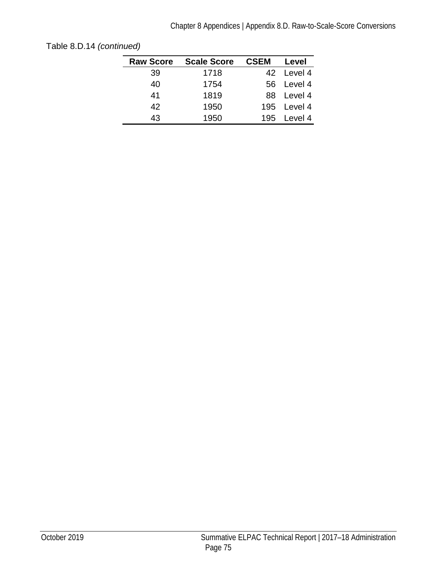| <b>Raw Score</b> | <b>Scale Score</b> | <b>CSEM</b> | Level       |
|------------------|--------------------|-------------|-------------|
| 39               | 1718               |             | 42 Level 4  |
| 40               | 1754               |             | 56 Level 4  |
| 41               | 1819               |             | 88 Level 4  |
| 42               | 1950               |             | 195 Level 4 |
| 43               | 1950               |             | 195 Level 4 |

[Table 8.D.14](#page-77-0) *(continued)*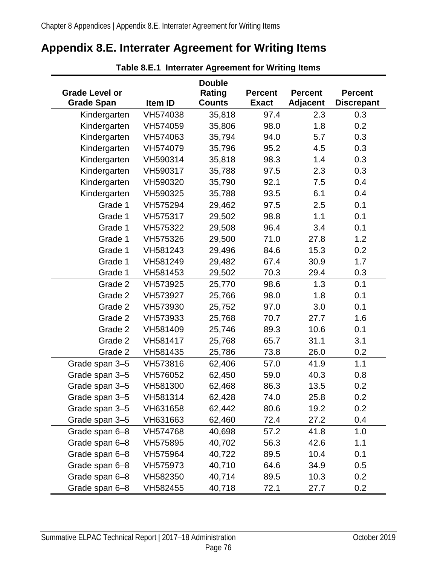## <span id="page-79-0"></span>**Appendix 8.E. Interrater Agreement for Writing Items**

| <b>Grade Level or</b><br><b>Grade Span</b> | Item ID  | <b>Double</b><br><b>Rating</b><br><b>Counts</b> | <b>Percent</b><br><b>Exact</b> | <b>Percent</b><br><b>Adjacent</b> | <b>Percent</b><br><b>Discrepant</b> |
|--------------------------------------------|----------|-------------------------------------------------|--------------------------------|-----------------------------------|-------------------------------------|
| Kindergarten                               | VH574038 | 35,818                                          | 97.4                           | 2.3                               | 0.3                                 |
| Kindergarten                               | VH574059 | 35,806                                          | 98.0                           | 1.8                               | 0.2                                 |
| Kindergarten                               | VH574063 | 35,794                                          | 94.0                           | 5.7                               | 0.3                                 |
| Kindergarten                               | VH574079 | 35,796                                          | 95.2                           | 4.5                               | 0.3                                 |
| Kindergarten                               | VH590314 | 35,818                                          | 98.3                           | 1.4                               | 0.3                                 |
| Kindergarten                               | VH590317 | 35,788                                          | 97.5                           | 2.3                               | 0.3                                 |
| Kindergarten                               | VH590320 | 35,790                                          | 92.1                           | 7.5                               | 0.4                                 |
| Kindergarten                               | VH590325 | 35,788                                          | 93.5                           | 6.1                               | 0.4                                 |
| Grade 1                                    | VH575294 | 29,462                                          | 97.5                           | 2.5                               | 0.1                                 |
| Grade 1                                    | VH575317 | 29,502                                          | 98.8                           | 1.1                               | 0.1                                 |
| Grade 1                                    | VH575322 | 29,508                                          | 96.4                           | 3.4                               | 0.1                                 |
| Grade 1                                    | VH575326 | 29,500                                          | 71.0                           | 27.8                              | 1.2                                 |
| Grade 1                                    | VH581243 | 29,496                                          | 84.6                           | 15.3                              | 0.2                                 |
| Grade 1                                    | VH581249 | 29,482                                          | 67.4                           | 30.9                              | 1.7                                 |
| Grade 1                                    | VH581453 | 29,502                                          | 70.3                           | 29.4                              | 0.3                                 |
| Grade 2                                    | VH573925 | 25,770                                          | 98.6                           | 1.3                               | 0.1                                 |
| Grade 2                                    | VH573927 | 25,766                                          | 98.0                           | 1.8                               | 0.1                                 |
| Grade 2                                    | VH573930 | 25,752                                          | 97.0                           | 3.0                               | 0.1                                 |
| Grade 2                                    | VH573933 | 25,768                                          | 70.7                           | 27.7                              | 1.6                                 |
| Grade 2                                    | VH581409 | 25,746                                          | 89.3                           | 10.6                              | 0.1                                 |
| Grade 2                                    | VH581417 | 25,768                                          | 65.7                           | 31.1                              | 3.1                                 |
| Grade 2                                    | VH581435 | 25,786                                          | 73.8                           | 26.0                              | 0.2                                 |
| Grade span 3-5                             | VH573816 | 62,406                                          | 57.0                           | 41.9                              | 1.1                                 |
| Grade span 3-5                             | VH576052 | 62,450                                          | 59.0                           | 40.3                              | 0.8                                 |
| Grade span 3-5                             | VH581300 | 62,468                                          | 86.3                           | 13.5                              | 0.2                                 |
| Grade span 3-5                             | VH581314 | 62,428                                          | 74.0                           | 25.8                              | 0.2                                 |
| Grade span 3-5                             | VH631658 | 62,442                                          | 80.6                           | 19.2                              | 0.2                                 |
| Grade span 3-5                             | VH631663 | 62,460                                          | 72.4                           | 27.2                              | 0.4                                 |
| Grade span 6-8                             | VH574768 | 40,698                                          | 57.2                           | 41.8                              | 1.0                                 |
| Grade span 6-8                             | VH575895 | 40,702                                          | 56.3                           | 42.6                              | 1.1                                 |
| Grade span 6-8                             | VH575964 | 40,722                                          | 89.5                           | 10.4                              | 0.1                                 |
| Grade span 6-8                             | VH575973 | 40,710                                          | 64.6                           | 34.9                              | 0.5                                 |
| Grade span 6-8                             | VH582350 | 40,714                                          | 89.5                           | 10.3                              | 0.2                                 |
| Grade span 6-8                             | VH582455 | 40,718                                          | 72.1                           | 27.7                              | 0.2                                 |

**Table 8.E.1 Interrater Agreement for Writing Items**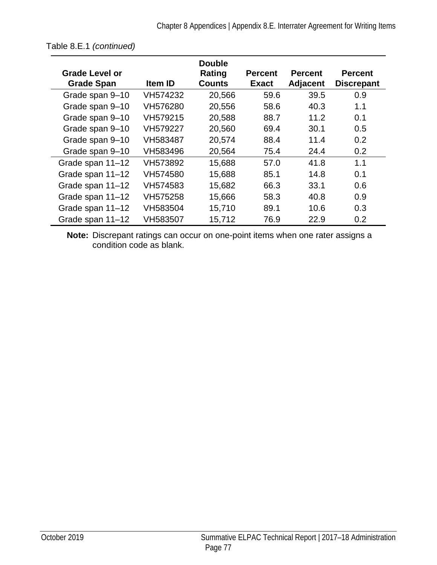| Grade Level or<br><b>Grade Span</b> | <b>Item ID</b> | <b>Double</b><br>Rating<br><b>Counts</b> | <b>Percent</b><br><b>Exact</b> | <b>Percent</b><br><b>Adjacent</b> | <b>Percent</b><br><b>Discrepant</b> |
|-------------------------------------|----------------|------------------------------------------|--------------------------------|-----------------------------------|-------------------------------------|
| Grade span 9-10                     | VH574232       | 20,566                                   | 59.6                           | 39.5                              | 0.9                                 |
| Grade span 9-10                     | VH576280       | 20,556                                   | 58.6                           | 40.3                              | 1.1                                 |
| Grade span 9-10                     | VH579215       | 20,588                                   | 88.7                           | 11.2                              | 0.1                                 |
| Grade span 9-10                     | VH579227       | 20,560                                   | 69.4                           | 30.1                              | 0.5                                 |
| Grade span 9-10                     | VH583487       | 20,574                                   | 88.4                           | 11.4                              | 0.2                                 |
| Grade span 9-10                     | VH583496       | 20,564                                   | 75.4                           | 24.4                              | 0.2                                 |
| Grade span 11-12                    | VH573892       | 15,688                                   | 57.0                           | 41.8                              | 1.1                                 |
| Grade span 11-12                    | VH574580       | 15,688                                   | 85.1                           | 14.8                              | 0.1                                 |
| Grade span 11-12                    | VH574583       | 15,682                                   | 66.3                           | 33.1                              | 0.6                                 |
| Grade span 11-12                    | VH575258       | 15,666                                   | 58.3                           | 40.8                              | 0.9                                 |
| Grade span 11-12                    | VH583504       | 15,710                                   | 89.1                           | 10.6                              | 0.3                                 |
| Grade span 11-12                    | VH583507       | 15,712                                   | 76.9                           | 22.9                              | 0.2                                 |

**Note:** Discrepant ratings can occur on one-point items when one rater assigns a condition code as blank.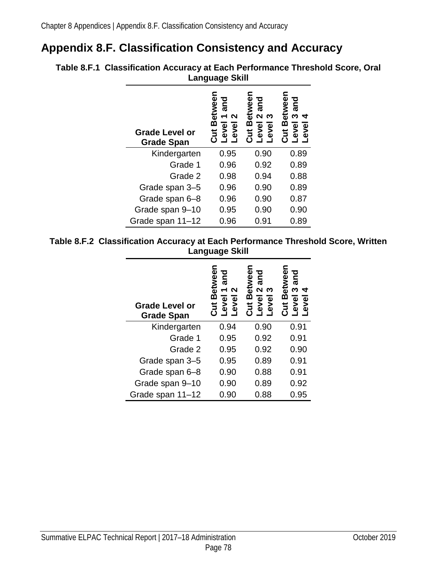# **Appendix 8.F. Classification Consistency and Accuracy**

|  | <b>Grade Level or</b><br><b>Grade Span</b> | <b>Betwee</b><br>and<br>N<br>$\blacktriangledown$<br>evel<br>ō<br>ě<br>ئ<br>قا | etwee<br>pure<br>$\mathbf{\Omega}$<br>ო<br>മ<br>level<br>evel<br><u>ដូ</u> | etwee<br>and<br>ω<br>4<br>മ<br>evel<br>evel<br><u>ដ</u> |
|--|--------------------------------------------|--------------------------------------------------------------------------------|----------------------------------------------------------------------------|---------------------------------------------------------|
|  | Kindergarten                               | 0.95                                                                           | 0.90                                                                       | 0.89                                                    |
|  | Grade 1                                    | 0.96                                                                           | 0.92                                                                       | 0.89                                                    |
|  | Grade 2                                    | 0.98                                                                           | 0.94                                                                       | 0.88                                                    |
|  | Grade span 3-5                             | 0.96                                                                           | 0.90                                                                       | 0.89                                                    |
|  | Grade span 6-8                             | 0.96                                                                           | 0.90                                                                       | 0.87                                                    |
|  | Grade span 9-10                            | 0.95                                                                           | 0.90                                                                       | 0.90                                                    |
|  | Grade span 11-12                           | 0.96                                                                           | 0.91                                                                       | 0.89                                                    |

**Table 8.F.1 Classification Accuracy at Each Performance Threshold Score, Oral Language Skill**

#### **Table 8.F.2 Classification Accuracy at Each Performance Threshold Score, Written Language Skill**

| <b>Grade Level or</b><br><b>Grade Span</b> | ი<br>მმ<br>and<br><b>PEN</b><br>N<br>⋒<br><b>evel</b><br>$\bullet$<br>چ<br>ち | ეტი<br>მ<br>pue<br>€<br>$\mathbf{\Omega}$<br>ო<br>ഇ<br>$\overline{\mathbf{0}}$<br>evel<br>ti<br>Ö<br>چ | ō<br>and<br>ã<br>ო<br><u>ന</u><br>Φ<br><b>evel</b><br>5<br>Ö<br>⋧ |
|--------------------------------------------|------------------------------------------------------------------------------|--------------------------------------------------------------------------------------------------------|-------------------------------------------------------------------|
| Kindergarten                               | 0.94                                                                         | 0.90                                                                                                   | 0.91                                                              |
| Grade 1                                    | 0.95                                                                         | 0.92                                                                                                   | 0.91                                                              |
| Grade 2                                    | 0.95                                                                         | 0.92                                                                                                   | 0.90                                                              |
| Grade span 3-5                             | 0.95                                                                         | 0.89                                                                                                   | 0.91                                                              |
| Grade span 6-8                             | 0.90                                                                         | 0.88                                                                                                   | 0.91                                                              |
| Grade span 9-10                            | 0.90                                                                         | 0.89                                                                                                   | 0.92                                                              |
| Grade span 11-12                           | 0.90                                                                         | 0.88                                                                                                   | 0.95                                                              |